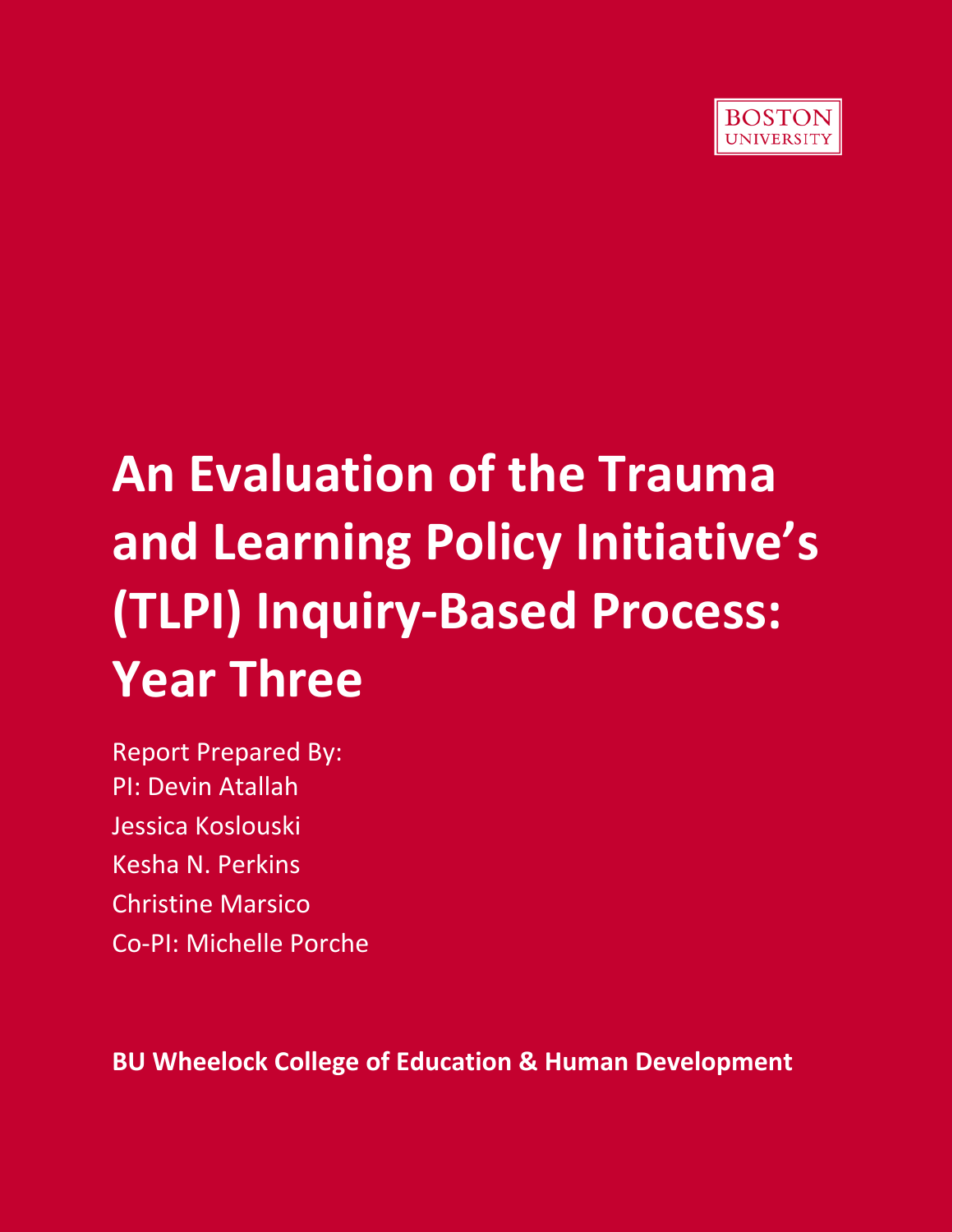

# **An Evaluation of the Trauma and Learning Policy Initiative's (TLPI) Inquiry‐Based Process: Year Three**

Report Prepared By: PI: Devin Atallah Jessica Koslouski Kesha N. Perkins Christine Marsico Co‐PI: Michelle Porche

**BU Wheelock College of Education & Human Development**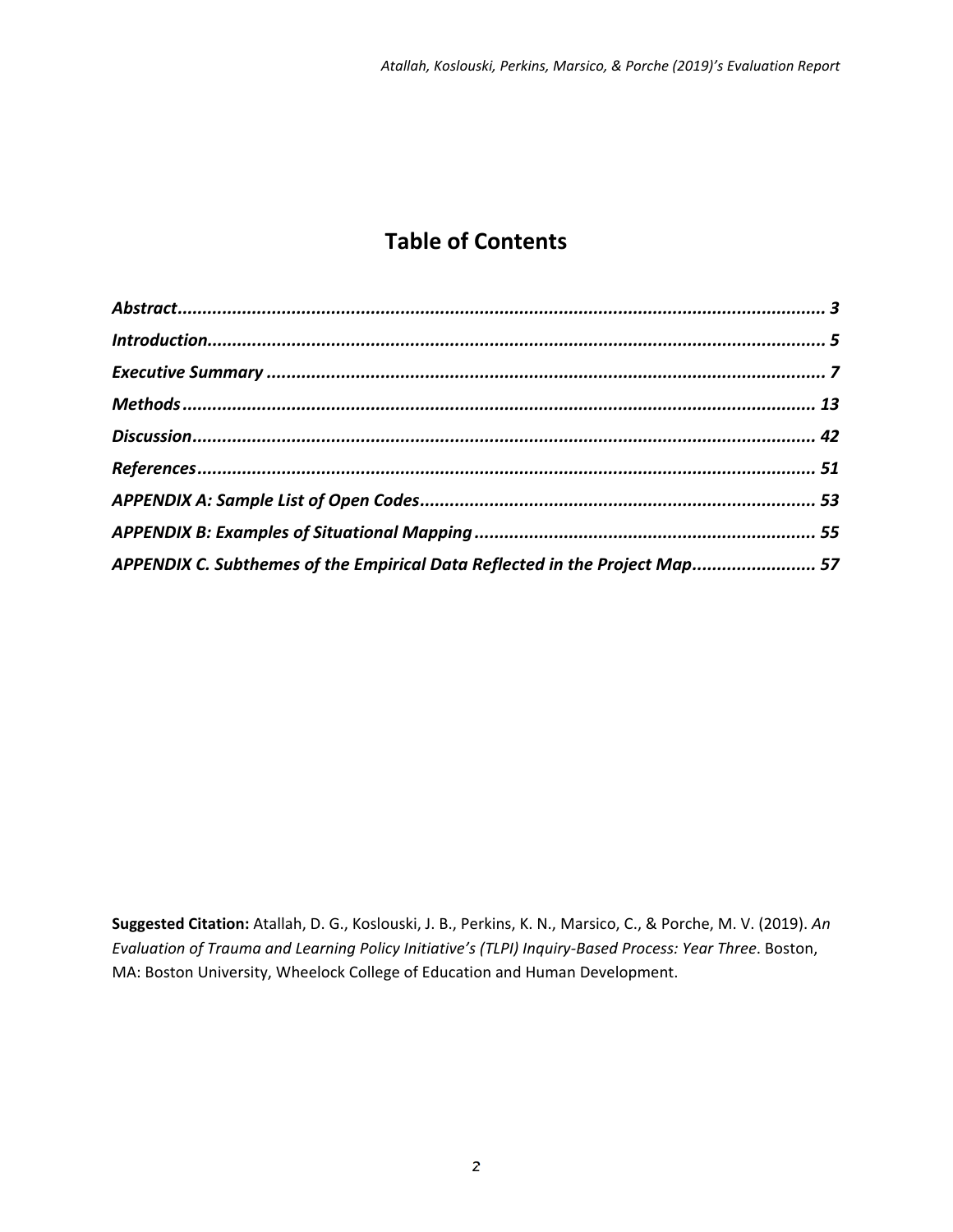### **Table of Contents**

| APPENDIX C. Subthemes of the Empirical Data Reflected in the Project Map 57 |  |
|-----------------------------------------------------------------------------|--|
|                                                                             |  |

**Suggested Citation:** Atallah, D. G., Koslouski, J. B., Perkins, K. N., Marsico, C., & Porche, M. V. (2019). *An Evaluation of Trauma and Learning Policy Initiative's (TLPI) Inquiry‐Based Process: Year Three*. Boston, MA: Boston University, Wheelock College of Education and Human Development.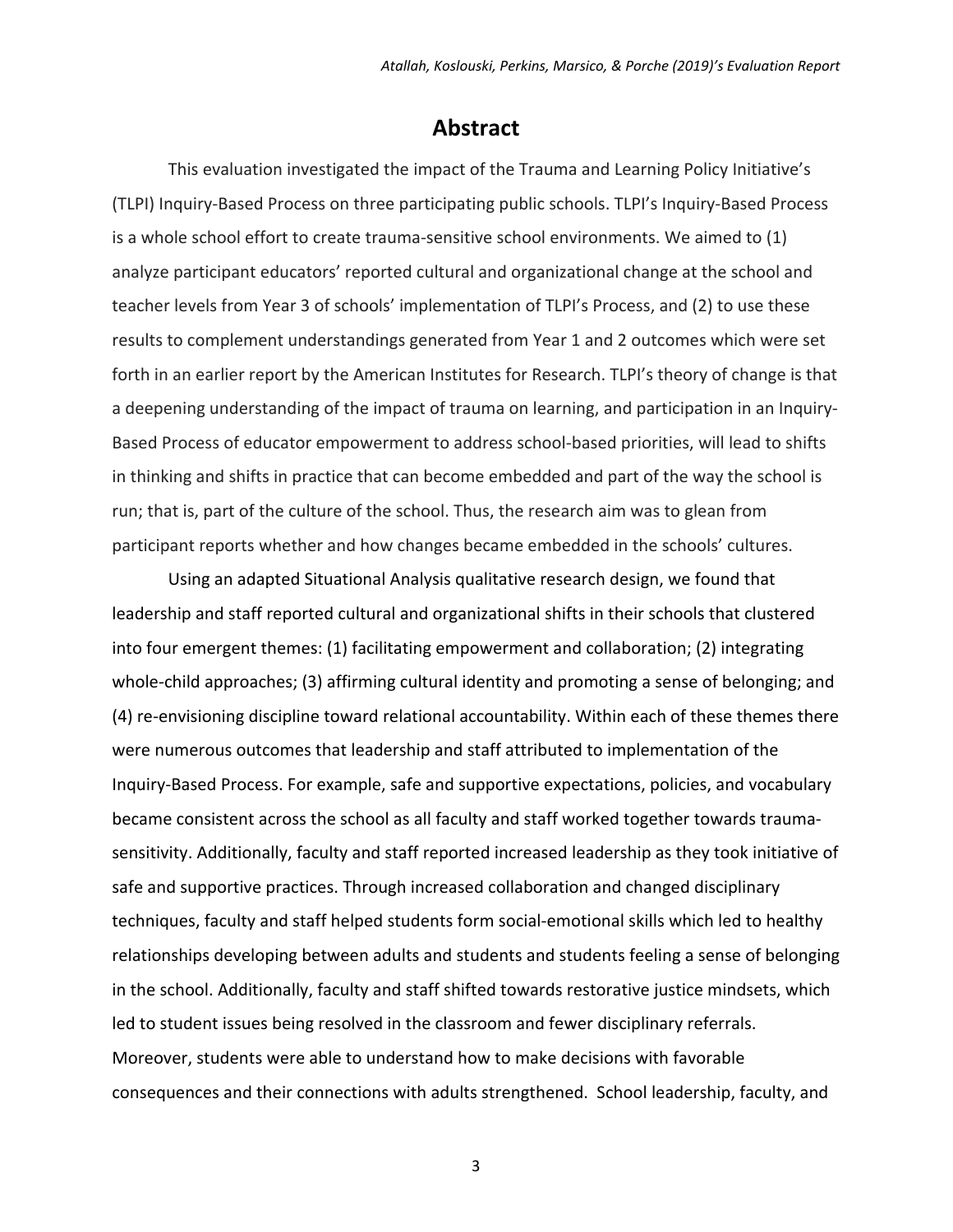### **Abstract**

This evaluation investigated the impact of the Trauma and Learning Policy Initiative's (TLPI) Inquiry‐Based Process on three participating public schools. TLPI's Inquiry‐Based Process is a whole school effort to create trauma-sensitive school environments. We aimed to  $(1)$ analyze participant educators' reported cultural and organizational change at the school and teacher levels from Year 3 of schools' implementation of TLPI's Process, and (2) to use these results to complement understandings generated from Year 1 and 2 outcomes which were set forth in an earlier report by the American Institutes for Research. TLPI's theory of change is that a deepening understanding of the impact of trauma on learning, and participation in an Inquiry‐ Based Process of educator empowerment to address school‐based priorities, will lead to shifts in thinking and shifts in practice that can become embedded and part of the way the school is run; that is, part of the culture of the school. Thus, the research aim was to glean from participant reports whether and how changes became embedded in the schools' cultures.

Using an adapted Situational Analysis qualitative research design, we found that leadership and staff reported cultural and organizational shifts in their schools that clustered into four emergent themes: (1) facilitating empowerment and collaboration; (2) integrating whole-child approaches; (3) affirming cultural identity and promoting a sense of belonging; and (4) re‐envisioning discipline toward relational accountability. Within each of these themes there were numerous outcomes that leadership and staff attributed to implementation of the Inquiry‐Based Process. For example, safe and supportive expectations, policies, and vocabulary became consistent across the school as all faculty and staff worked together towards trauma‐ sensitivity. Additionally, faculty and staff reported increased leadership as they took initiative of safe and supportive practices. Through increased collaboration and changed disciplinary techniques, faculty and staff helped students form social‐emotional skills which led to healthy relationships developing between adults and students and students feeling a sense of belonging in the school. Additionally, faculty and staff shifted towards restorative justice mindsets, which led to student issues being resolved in the classroom and fewer disciplinary referrals. Moreover, students were able to understand how to make decisions with favorable consequences and their connections with adults strengthened. School leadership, faculty, and

 $\sim$  3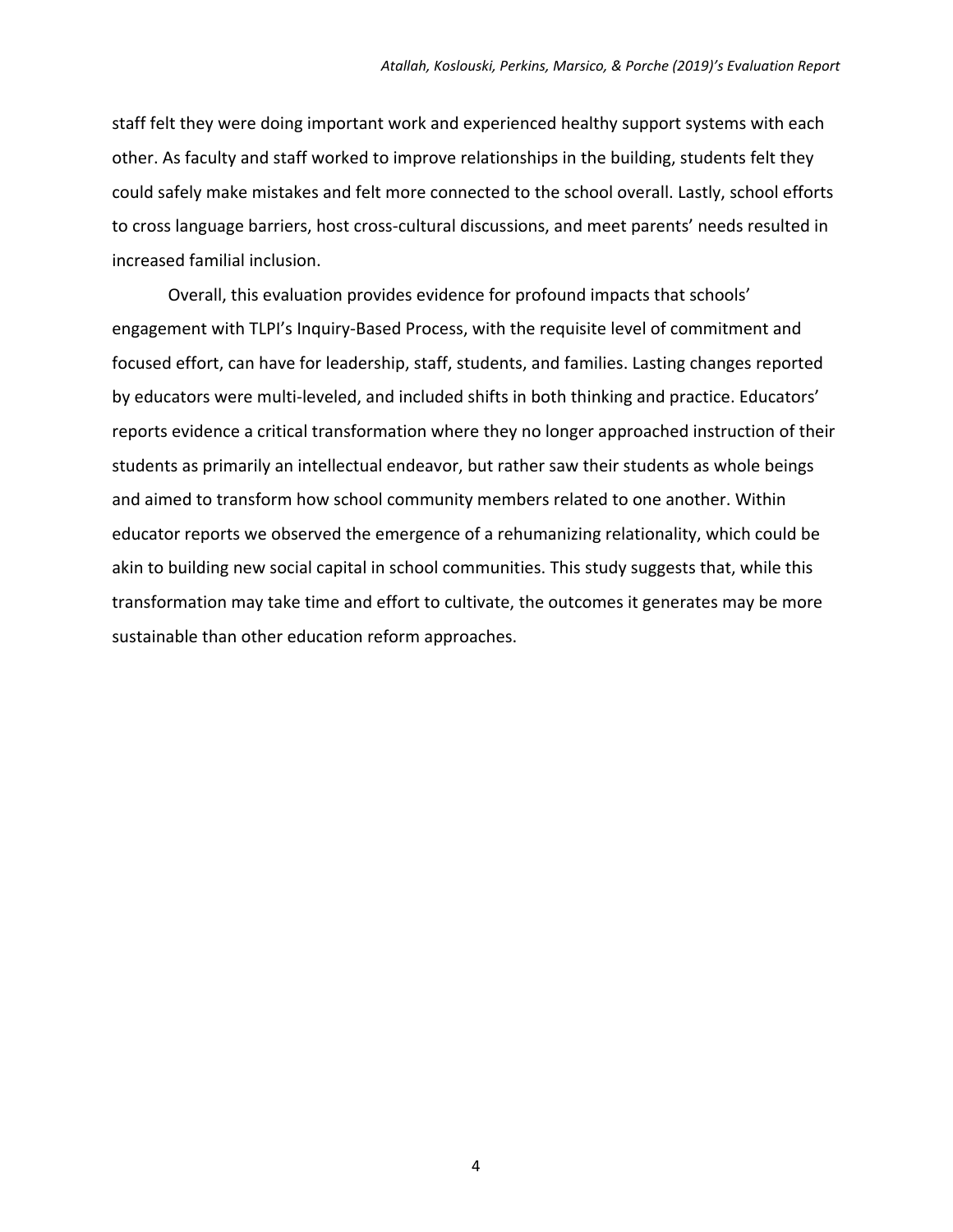staff felt they were doing important work and experienced healthy support systems with each other. As faculty and staff worked to improve relationships in the building, students felt they could safely make mistakes and felt more connected to the school overall. Lastly, school efforts to cross language barriers, host cross‐cultural discussions, and meet parents' needs resulted in increased familial inclusion.

Overall, this evaluation provides evidence for profound impacts that schools' engagement with TLPI's Inquiry‐Based Process, with the requisite level of commitment and focused effort, can have for leadership, staff, students, and families. Lasting changes reported by educators were multi-leveled, and included shifts in both thinking and practice. Educators' reports evidence a critical transformation where they no longer approached instruction of their students as primarily an intellectual endeavor, but rather saw their students as whole beings and aimed to transform how school community members related to one another. Within educator reports we observed the emergence of a rehumanizing relationality, which could be akin to building new social capital in school communities. This study suggests that, while this transformation may take time and effort to cultivate, the outcomes it generates may be more sustainable than other education reform approaches.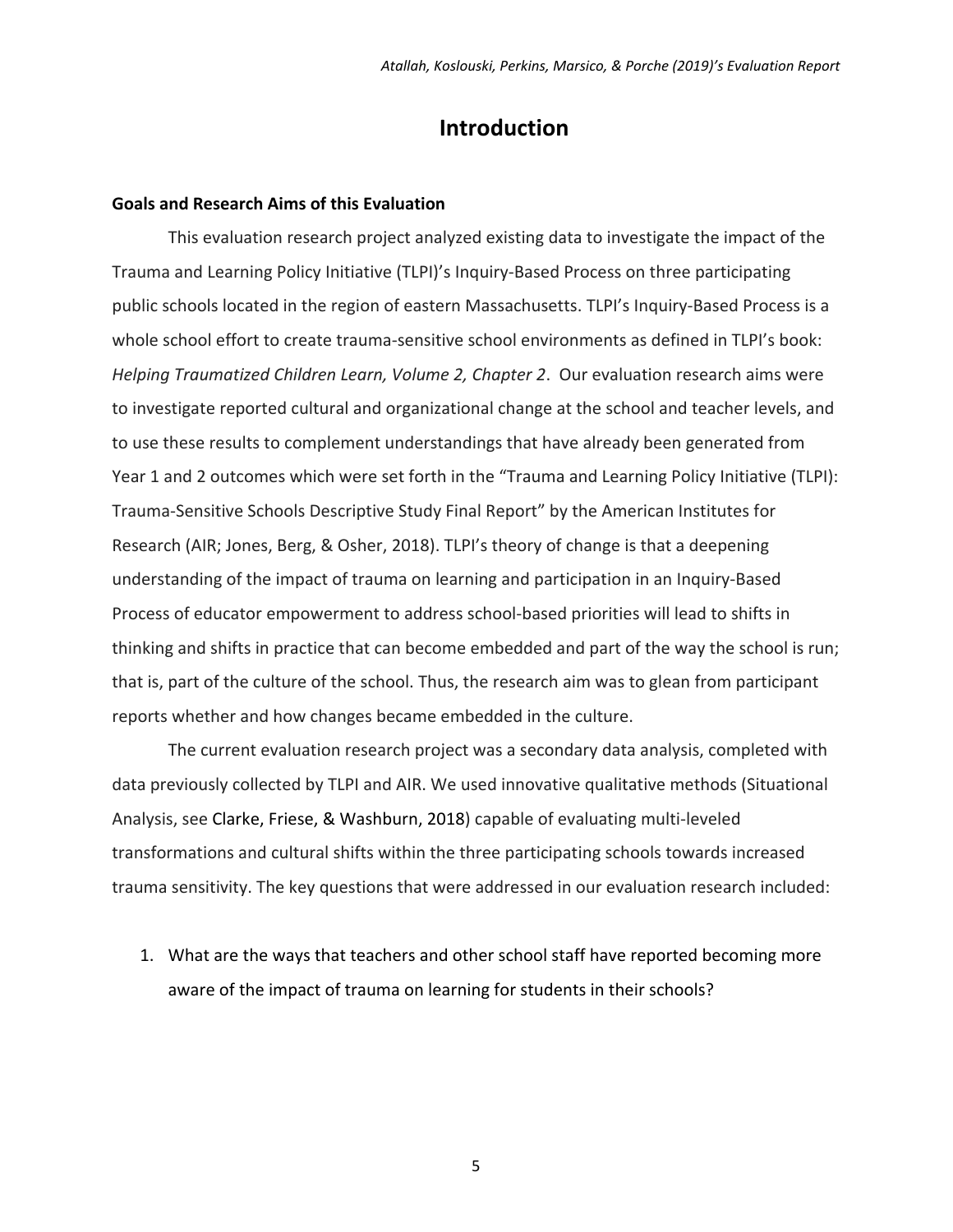### **Introduction**

#### **Goals and Research Aims of this Evaluation**

This evaluation research project analyzed existing data to investigate the impact of the Trauma and Learning Policy Initiative (TLPI)'s Inquiry‐Based Process on three participating public schools located in the region of eastern Massachusetts. TLPI's Inquiry‐Based Process is a whole school effort to create trauma-sensitive school environments as defined in TLPI's book: *Helping Traumatized Children Learn, Volume 2, Chapter 2*. Our evaluation research aims were to investigate reported cultural and organizational change at the school and teacher levels, and to use these results to complement understandings that have already been generated from Year 1 and 2 outcomes which were set forth in the "Trauma and Learning Policy Initiative (TLPI): Trauma‐Sensitive Schools Descriptive Study Final Report" by the American Institutes for Research (AIR; Jones, Berg, & Osher, 2018). TLPI's theory of change is that a deepening understanding of the impact of trauma on learning and participation in an Inquiry‐Based Process of educator empowerment to address school‐based priorities will lead to shifts in thinking and shifts in practice that can become embedded and part of the way the school is run; that is, part of the culture of the school. Thus, the research aim was to glean from participant reports whether and how changes became embedded in the culture.

The current evaluation research project was a secondary data analysis, completed with data previously collected by TLPI and AIR. We used innovative qualitative methods (Situational Analysis, see Clarke, Friese, & Washburn, 2018) capable of evaluating multi‐leveled transformations and cultural shifts within the three participating schools towards increased trauma sensitivity. The key questions that were addressed in our evaluation research included:

1. What are the ways that teachers and other school staff have reported becoming more aware of the impact of trauma on learning for students in their schools?

 $\sim$  5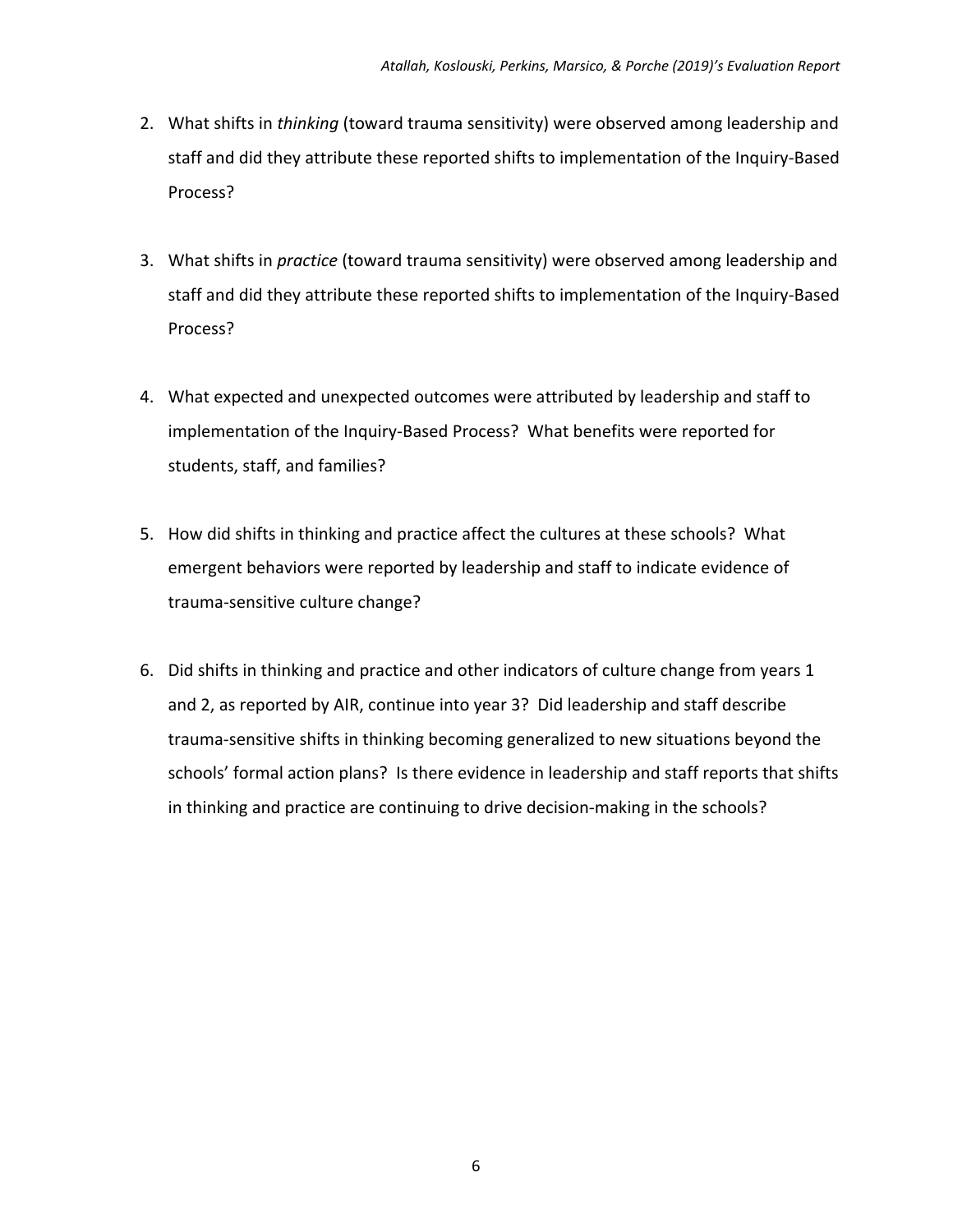- 2. What shifts in *thinking* (toward trauma sensitivity) were observed among leadership and staff and did they attribute these reported shifts to implementation of the Inquiry‐Based Process?
- 3. What shifts in *practice* (toward trauma sensitivity) were observed among leadership and staff and did they attribute these reported shifts to implementation of the Inquiry‐Based Process?
- 4. What expected and unexpected outcomes were attributed by leadership and staff to implementation of the Inquiry‐Based Process? What benefits were reported for students, staff, and families?
- 5. How did shifts in thinking and practice affect the cultures at these schools? What emergent behaviors were reported by leadership and staff to indicate evidence of trauma‐sensitive culture change?
- 6. Did shifts in thinking and practice and other indicators of culture change from years 1 and 2, as reported by AIR, continue into year 3? Did leadership and staff describe trauma‐sensitive shifts in thinking becoming generalized to new situations beyond the schools' formal action plans? Is there evidence in leadership and staff reports that shifts in thinking and practice are continuing to drive decision‐making in the schools?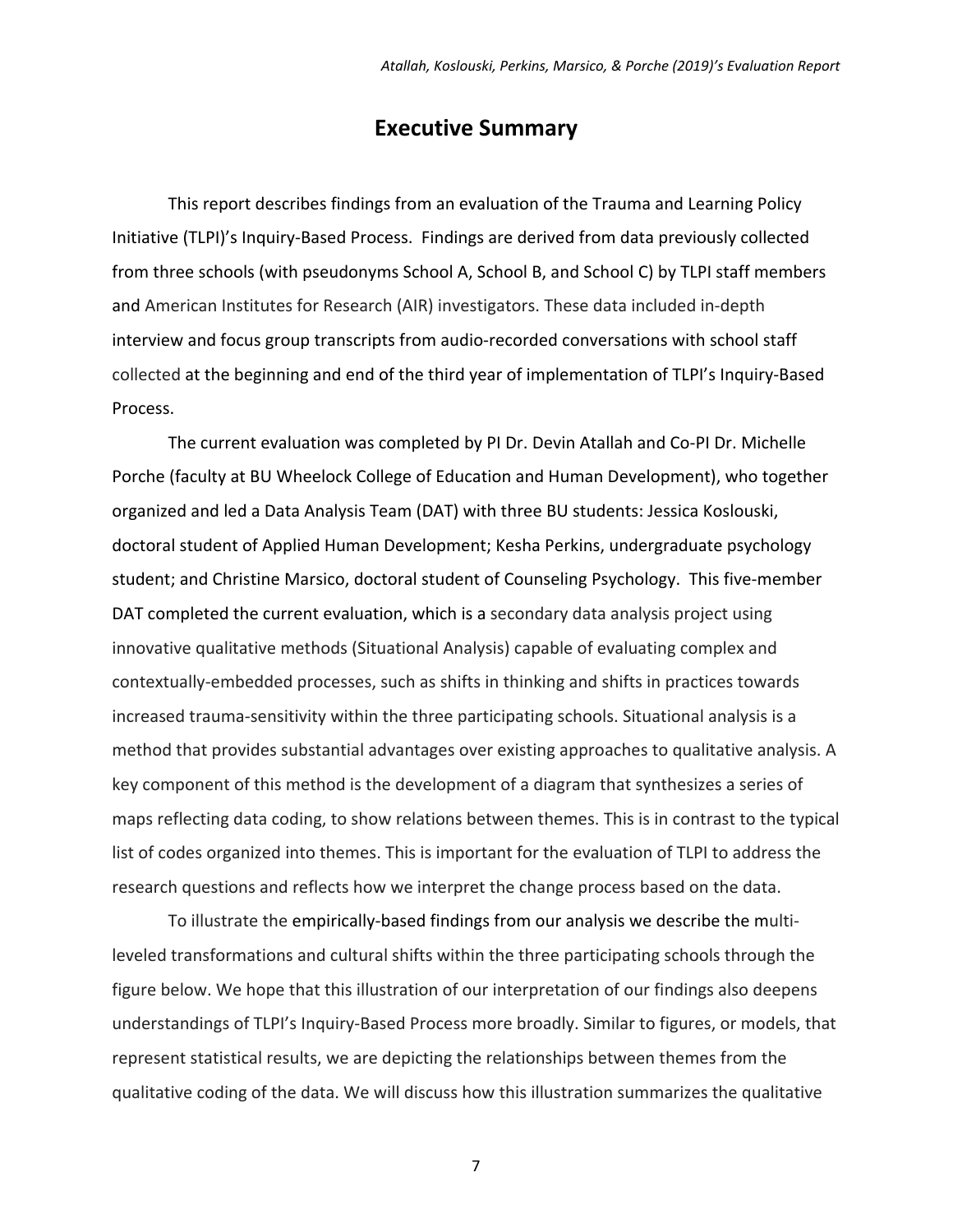### **Executive Summary**

This report describes findings from an evaluation of the Trauma and Learning Policy Initiative (TLPI)'s Inquiry‐Based Process. Findings are derived from data previously collected from three schools (with pseudonyms School A, School B, and School C) by TLPI staff members and American Institutes for Research (AIR) investigators. These data included in‐depth interview and focus group transcripts from audio‐recorded conversations with school staff collected at the beginning and end of the third year of implementation of TLPI's Inquiry‐Based Process.

The current evaluation was completed by PI Dr. Devin Atallah and Co‐PI Dr. Michelle Porche (faculty at BU Wheelock College of Education and Human Development), who together organized and led a Data Analysis Team (DAT) with three BU students: Jessica Koslouski, doctoral student of Applied Human Development; Kesha Perkins, undergraduate psychology student; and Christine Marsico, doctoral student of Counseling Psychology. This five‐member DAT completed the current evaluation, which is a secondary data analysis project using innovative qualitative methods (Situational Analysis) capable of evaluating complex and contextually‐embedded processes, such as shifts in thinking and shifts in practices towards increased trauma‐sensitivity within the three participating schools. Situational analysis is a method that provides substantial advantages over existing approaches to qualitative analysis. A key component of this method is the development of a diagram that synthesizes a series of maps reflecting data coding, to show relations between themes. This is in contrast to the typical list of codes organized into themes. This is important for the evaluation of TLPI to address the research questions and reflects how we interpret the change process based on the data.

To illustrate the empirically‐based findings from our analysis we describe the multi‐ leveled transformations and cultural shifts within the three participating schools through the figure below. We hope that this illustration of our interpretation of our findings also deepens understandings of TLPI's Inquiry‐Based Process more broadly. Similar to figures, or models, that represent statistical results, we are depicting the relationships between themes from the qualitative coding of the data. We will discuss how this illustration summarizes the qualitative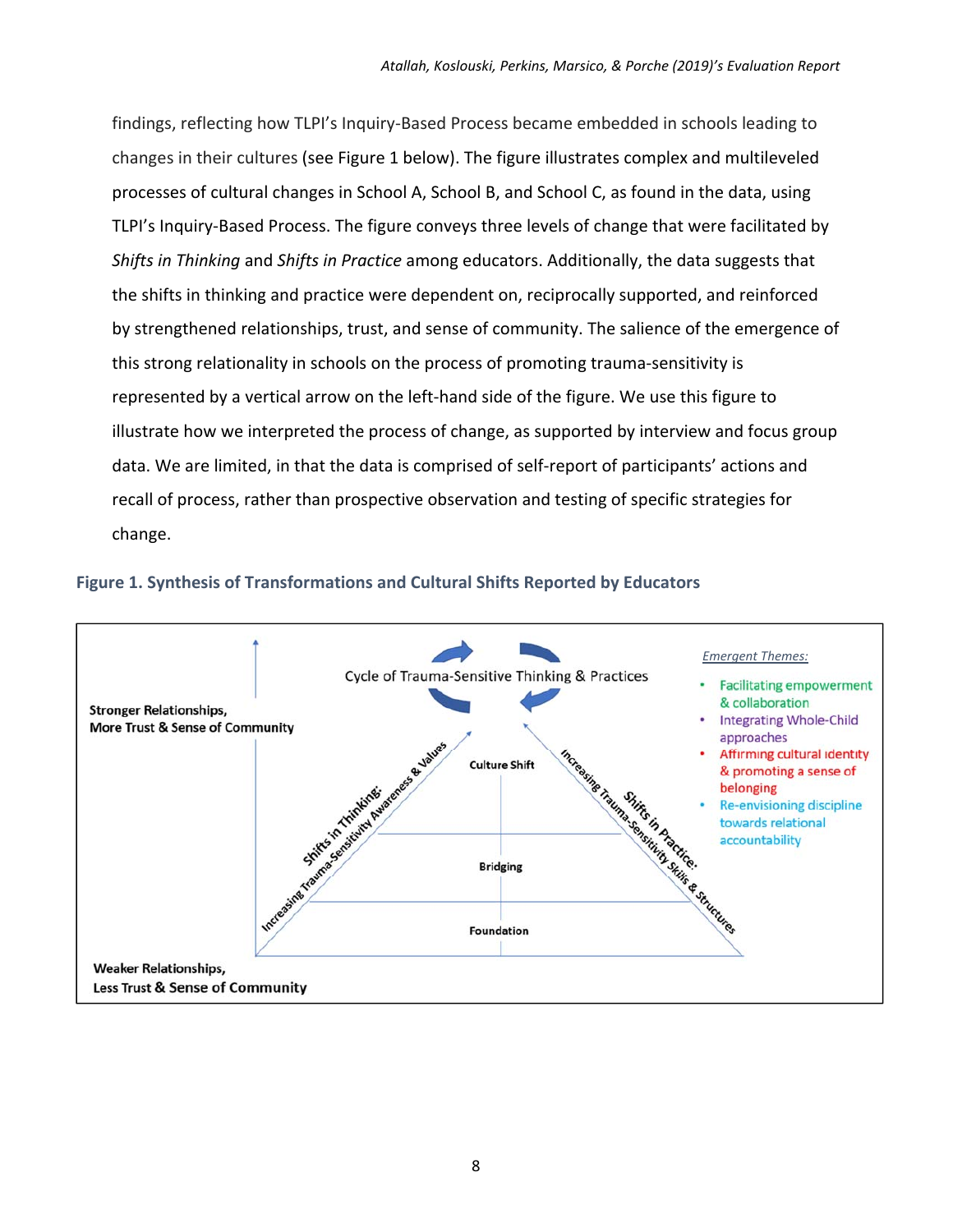findings, reflecting how TLPI's Inquiry‐Based Process became embedded in schools leading to changes in their cultures (see Figure 1 below). The figure illustrates complex and multileveled processes of cultural changes in School A, School B, and School C, as found in the data, using TLPI's Inquiry‐Based Process. The figure conveys three levels of change that were facilitated by *Shifts in Thinking* and *Shifts in Practice* among educators. Additionally, the data suggests that the shifts in thinking and practice were dependent on, reciprocally supported, and reinforced by strengthened relationships, trust, and sense of community. The salience of the emergence of this strong relationality in schools on the process of promoting trauma‐sensitivity is represented by a vertical arrow on the left-hand side of the figure. We use this figure to illustrate how we interpreted the process of change, as supported by interview and focus group data. We are limited, in that the data is comprised of self‐report of participants' actions and recall of process, rather than prospective observation and testing of specific strategies for change.



#### **Figure 1. Synthesis of Transformations and Cultural Shifts Reported by Educators**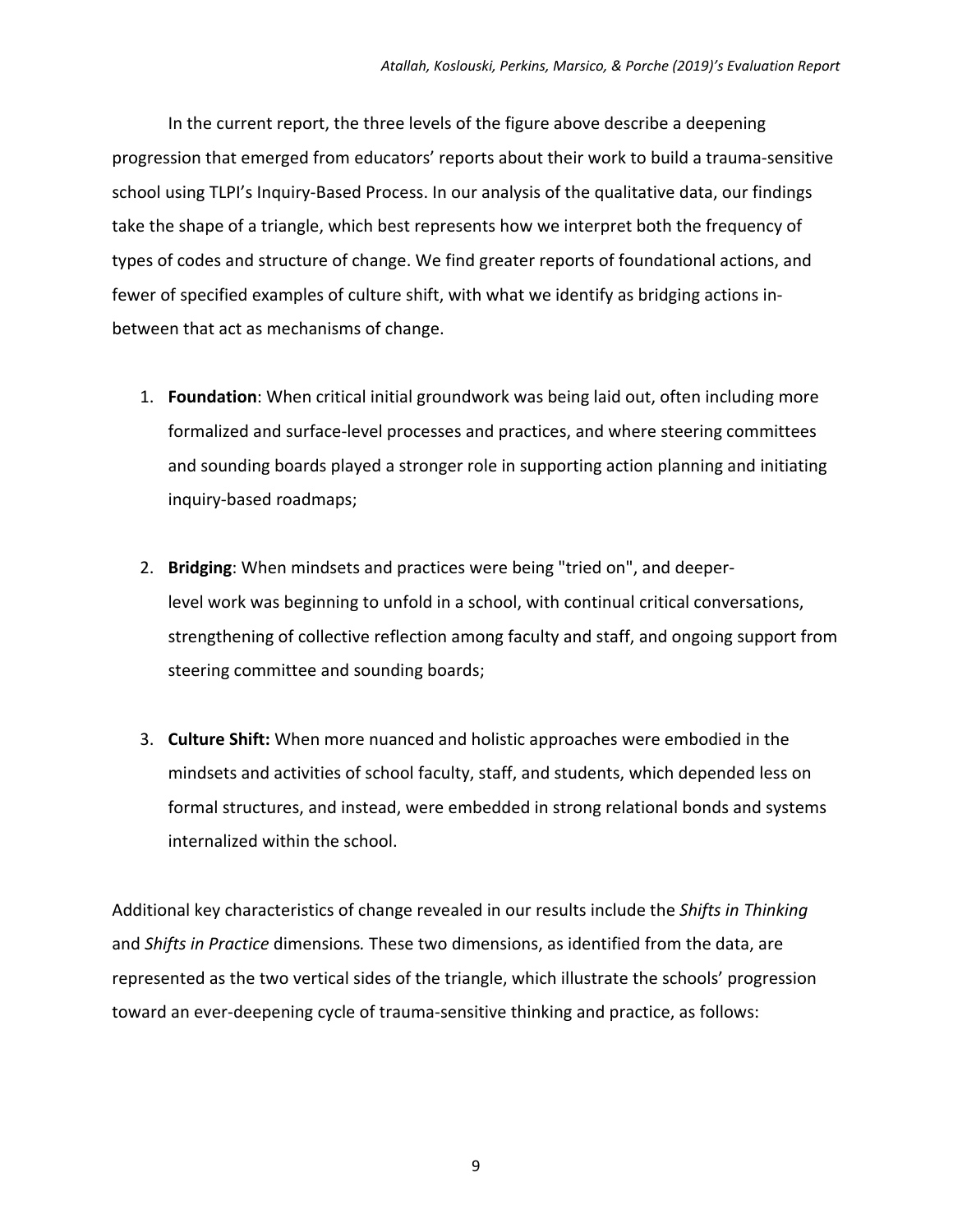In the current report, the three levels of the figure above describe a deepening progression that emerged from educators' reports about their work to build a trauma‐sensitive school using TLPI's Inquiry‐Based Process. In our analysis of the qualitative data, our findings take the shape of a triangle, which best represents how we interpret both the frequency of types of codes and structure of change. We find greater reports of foundational actions, and fewer of specified examples of culture shift, with what we identify as bridging actions in‐ between that act as mechanisms of change.

- 1. **Foundation**: When critical initial groundwork was being laid out, often including more formalized and surface-level processes and practices, and where steering committees and sounding boards played a stronger role in supporting action planning and initiating inquiry‐based roadmaps;
- 2. **Bridging**: When mindsets and practices were being "tried on", and deeper‐ level work was beginning to unfold in a school, with continual critical conversations, strengthening of collective reflection among faculty and staff, and ongoing support from steering committee and sounding boards;
- 3. **Culture Shift:** When more nuanced and holistic approaches were embodied in the mindsets and activities of school faculty, staff, and students, which depended less on formal structures, and instead, were embedded in strong relational bonds and systems internalized within the school.

Additional key characteristics of change revealed in our results include the *Shifts in Thinking*  and *Shifts in Practice* dimensions*.* These two dimensions, as identified from the data, are represented as the two vertical sides of the triangle, which illustrate the schools' progression toward an ever‐deepening cycle of trauma‐sensitive thinking and practice, as follows: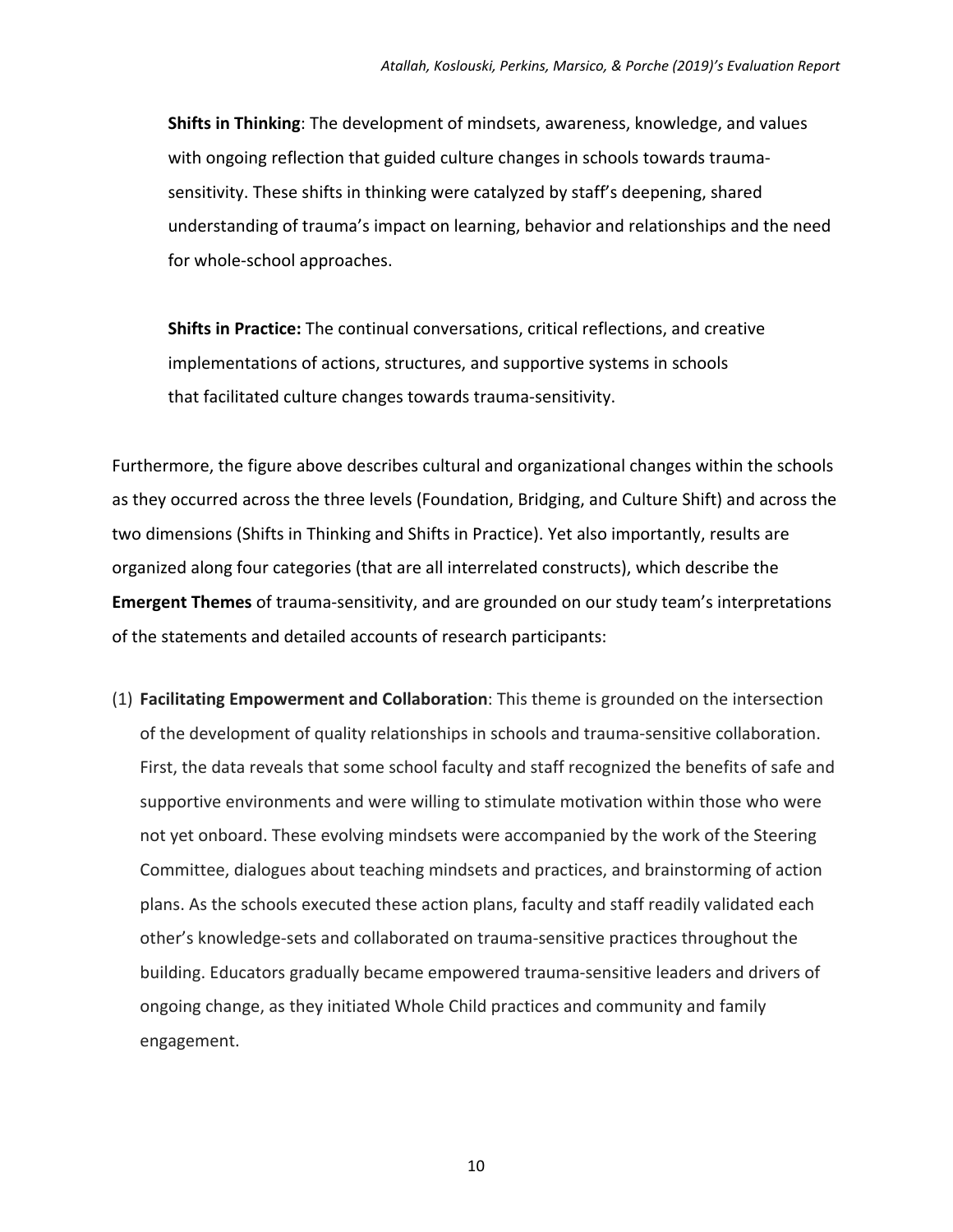**Shifts in Thinking**: The development of mindsets, awareness, knowledge, and values with ongoing reflection that guided culture changes in schools towards traumasensitivity. These shifts in thinking were catalyzed by staff's deepening, shared understanding of trauma's impact on learning, behavior and relationships and the need for whole‐school approaches.

**Shifts in Practice:** The continual conversations, critical reflections, and creative implementations of actions, structures, and supportive systems in schools that facilitated culture changes towards trauma‐sensitivity.

Furthermore, the figure above describes cultural and organizational changes within the schools as they occurred across the three levels (Foundation, Bridging, and Culture Shift) and across the two dimensions (Shifts in Thinking and Shifts in Practice). Yet also importantly, results are organized along four categories (that are all interrelated constructs), which describe the Emergent Themes of trauma-sensitivity, and are grounded on our study team's interpretations of the statements and detailed accounts of research participants:

(1) **Facilitating Empowerment and Collaboration**: This theme is grounded on the intersection of the development of quality relationships in schools and trauma‐sensitive collaboration. First, the data reveals that some school faculty and staff recognized the benefits of safe and supportive environments and were willing to stimulate motivation within those who were not yet onboard. These evolving mindsets were accompanied by the work of the Steering Committee, dialogues about teaching mindsets and practices, and brainstorming of action plans. As the schools executed these action plans, faculty and staff readily validated each other's knowledge‐sets and collaborated on trauma‐sensitive practices throughout the building. Educators gradually became empowered trauma‐sensitive leaders and drivers of ongoing change, as they initiated Whole Child practices and community and family engagement.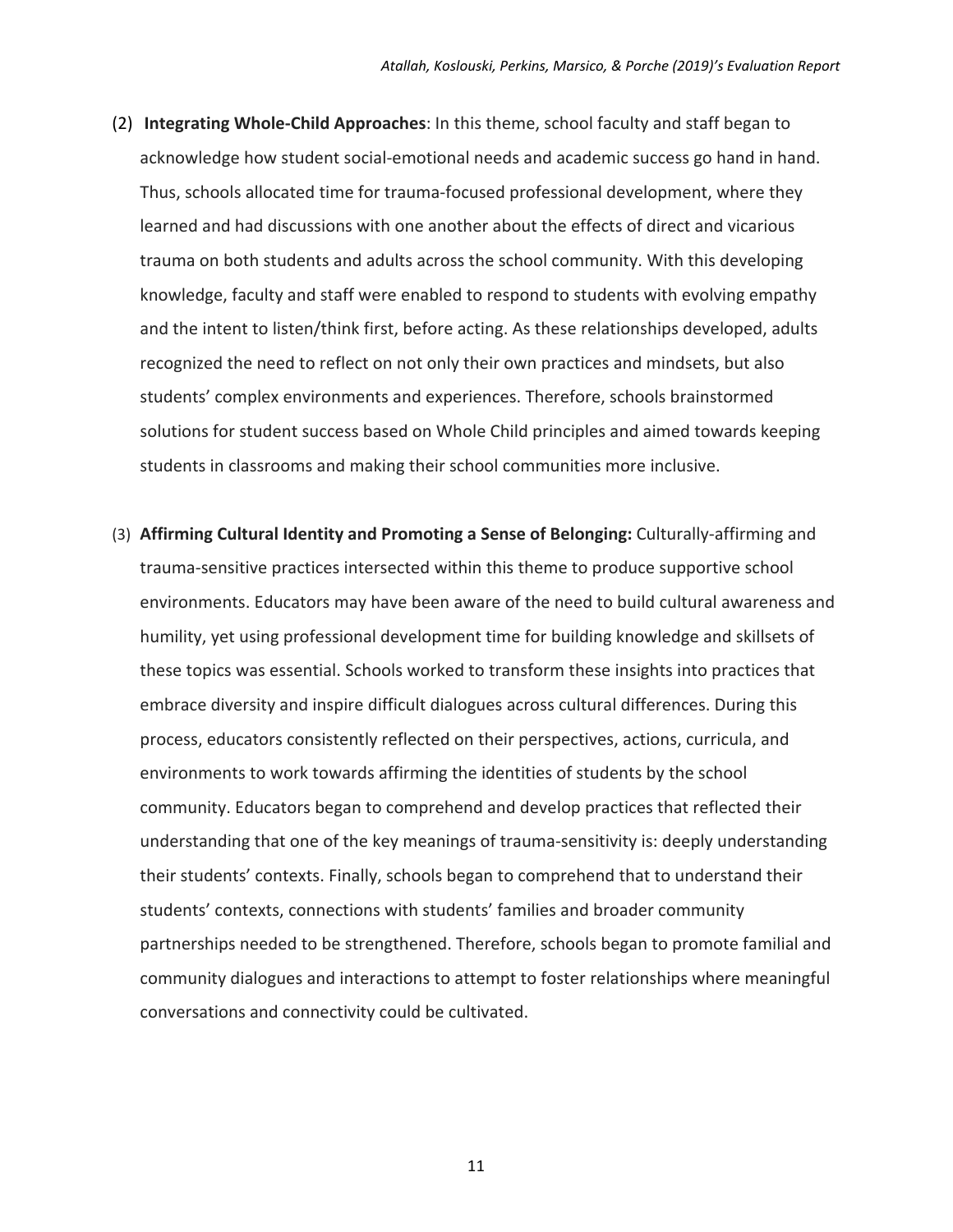- (2) **Integrating Whole‐Child Approaches**: In this theme, school faculty and staff began to acknowledge how student social‐emotional needs and academic success go hand in hand. Thus, schools allocated time for trauma‐focused professional development, where they learned and had discussions with one another about the effects of direct and vicarious trauma on both students and adults across the school community. With this developing knowledge, faculty and staff were enabled to respond to students with evolving empathy and the intent to listen/think first, before acting. As these relationships developed, adults recognized the need to reflect on not only their own practices and mindsets, but also students' complex environments and experiences. Therefore, schools brainstormed solutions for student success based on Whole Child principles and aimed towards keeping students in classrooms and making their school communities more inclusive.
- (3) **Affirming Cultural Identity and Promoting a Sense of Belonging:** Culturally‐affirming and trauma‐sensitive practices intersected within this theme to produce supportive school environments. Educators may have been aware of the need to build cultural awareness and humility, yet using professional development time for building knowledge and skillsets of these topics was essential. Schools worked to transform these insights into practices that embrace diversity and inspire difficult dialogues across cultural differences. During this process, educators consistently reflected on their perspectives, actions, curricula, and environments to work towards affirming the identities of students by the school community. Educators began to comprehend and develop practices that reflected their understanding that one of the key meanings of trauma‐sensitivity is: deeply understanding their students' contexts. Finally, schools began to comprehend that to understand their students' contexts, connections with students' families and broader community partnerships needed to be strengthened. Therefore, schools began to promote familial and community dialogues and interactions to attempt to foster relationships where meaningful conversations and connectivity could be cultivated.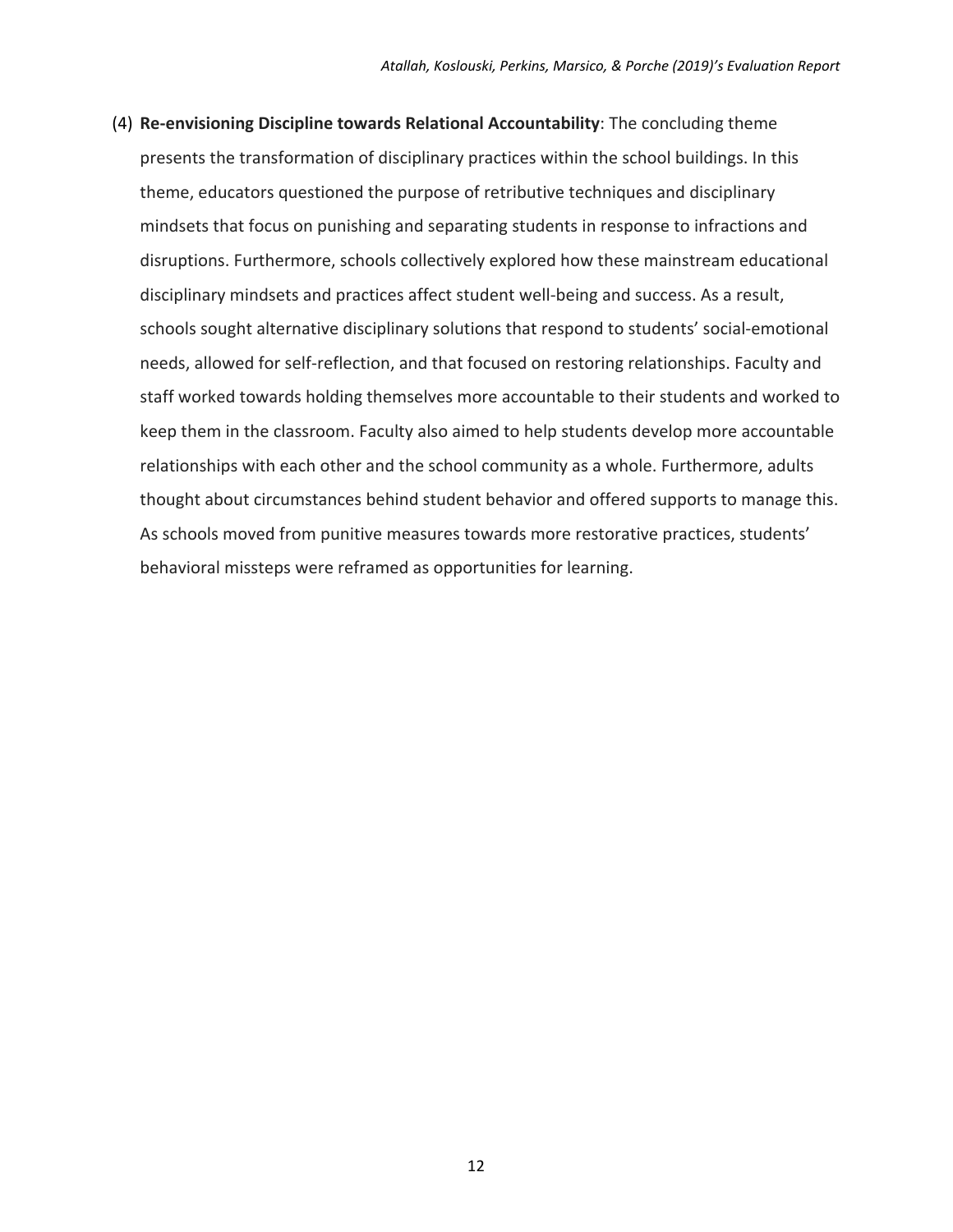(4) **Re‐envisioning Discipline towards Relational Accountability**: The concluding theme presents the transformation of disciplinary practices within the school buildings. In this theme, educators questioned the purpose of retributive techniques and disciplinary mindsets that focus on punishing and separating students in response to infractions and disruptions. Furthermore, schools collectively explored how these mainstream educational disciplinary mindsets and practices affect student well‐being and success. As a result, schools sought alternative disciplinary solutions that respond to students' social-emotional needs, allowed for self‐reflection, and that focused on restoring relationships. Faculty and staff worked towards holding themselves more accountable to their students and worked to keep them in the classroom. Faculty also aimed to help students develop more accountable relationships with each other and the school community as a whole. Furthermore, adults thought about circumstances behind student behavior and offered supports to manage this. As schools moved from punitive measures towards more restorative practices, students' behavioral missteps were reframed as opportunities for learning.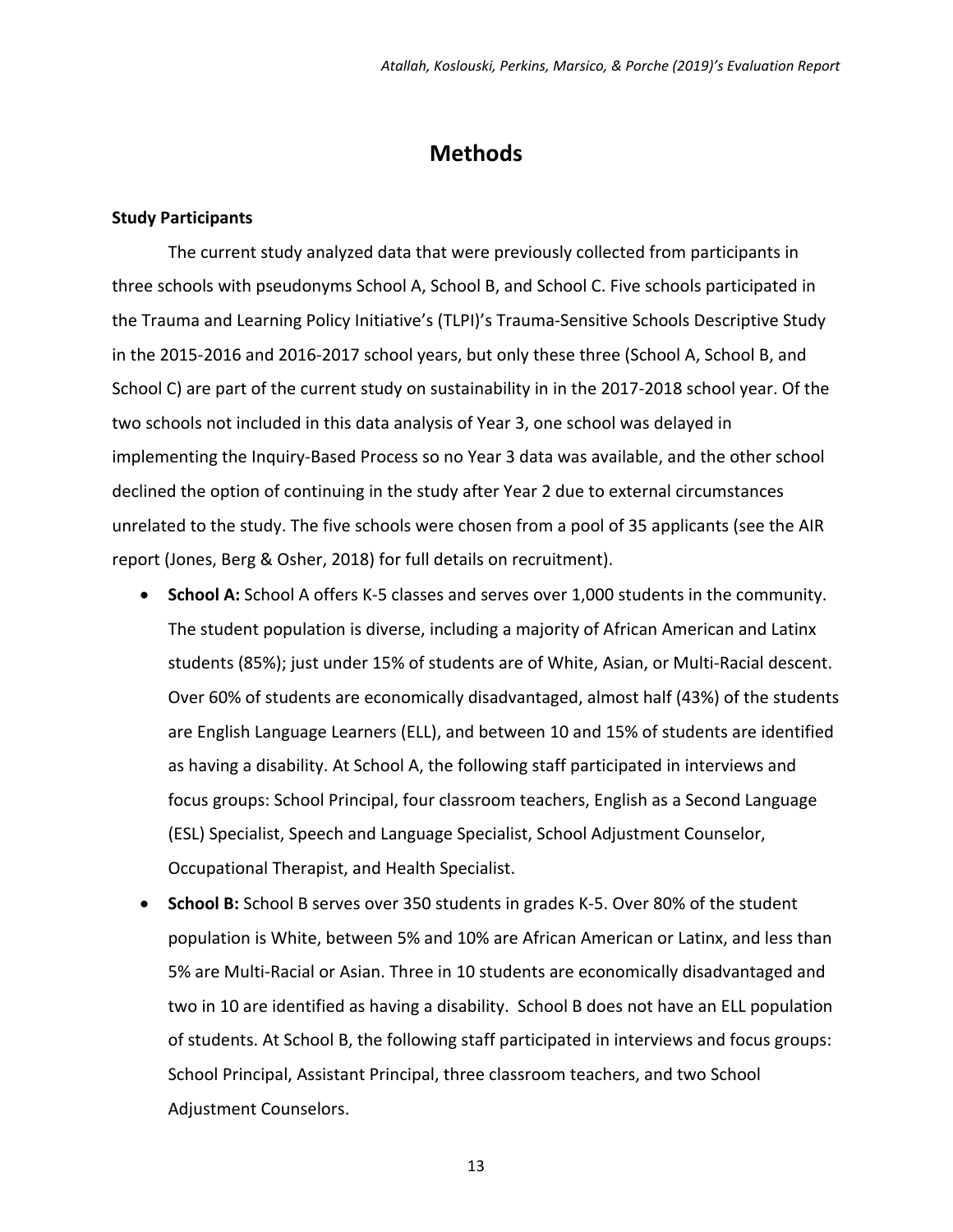### **Methods**

#### **Study Participants**

The current study analyzed data that were previously collected from participants in three schools with pseudonyms School A, School B, and School C. Five schools participated in the Trauma and Learning Policy Initiative's (TLPI)'s Trauma‐Sensitive Schools Descriptive Study in the 2015‐2016 and 2016‐2017 school years, but only these three (School A, School B, and School C) are part of the current study on sustainability in in the 2017-2018 school year. Of the two schools not included in this data analysis of Year 3, one school was delayed in implementing the Inquiry‐Based Process so no Year 3 data was available, and the other school declined the option of continuing in the study after Year 2 due to external circumstances unrelated to the study. The five schools were chosen from a pool of 35 applicants (see the AIR report (Jones, Berg & Osher, 2018) for full details on recruitment).

- **School A:** School A offers K‐5 classes and serves over 1,000 students in the community. The student population is diverse, including a majority of African American and Latinx students (85%); just under 15% of students are of White, Asian, or Multi‐Racial descent. Over 60% of students are economically disadvantaged, almost half (43%) of the students are English Language Learners (ELL), and between 10 and 15% of students are identified as having a disability. At School A, the following staff participated in interviews and focus groups: School Principal, four classroom teachers, English as a Second Language (ESL) Specialist, Speech and Language Specialist, School Adjustment Counselor, Occupational Therapist, and Health Specialist.
- **School B:** School B serves over 350 students in grades K‐5. Over 80% of the student population is White, between 5% and 10% are African American or Latinx, and less than 5% are Multi-Racial or Asian. Three in 10 students are economically disadvantaged and two in 10 are identified as having a disability. School B does not have an ELL population of students. At School B, the following staff participated in interviews and focus groups: School Principal, Assistant Principal, three classroom teachers, and two School Adjustment Counselors.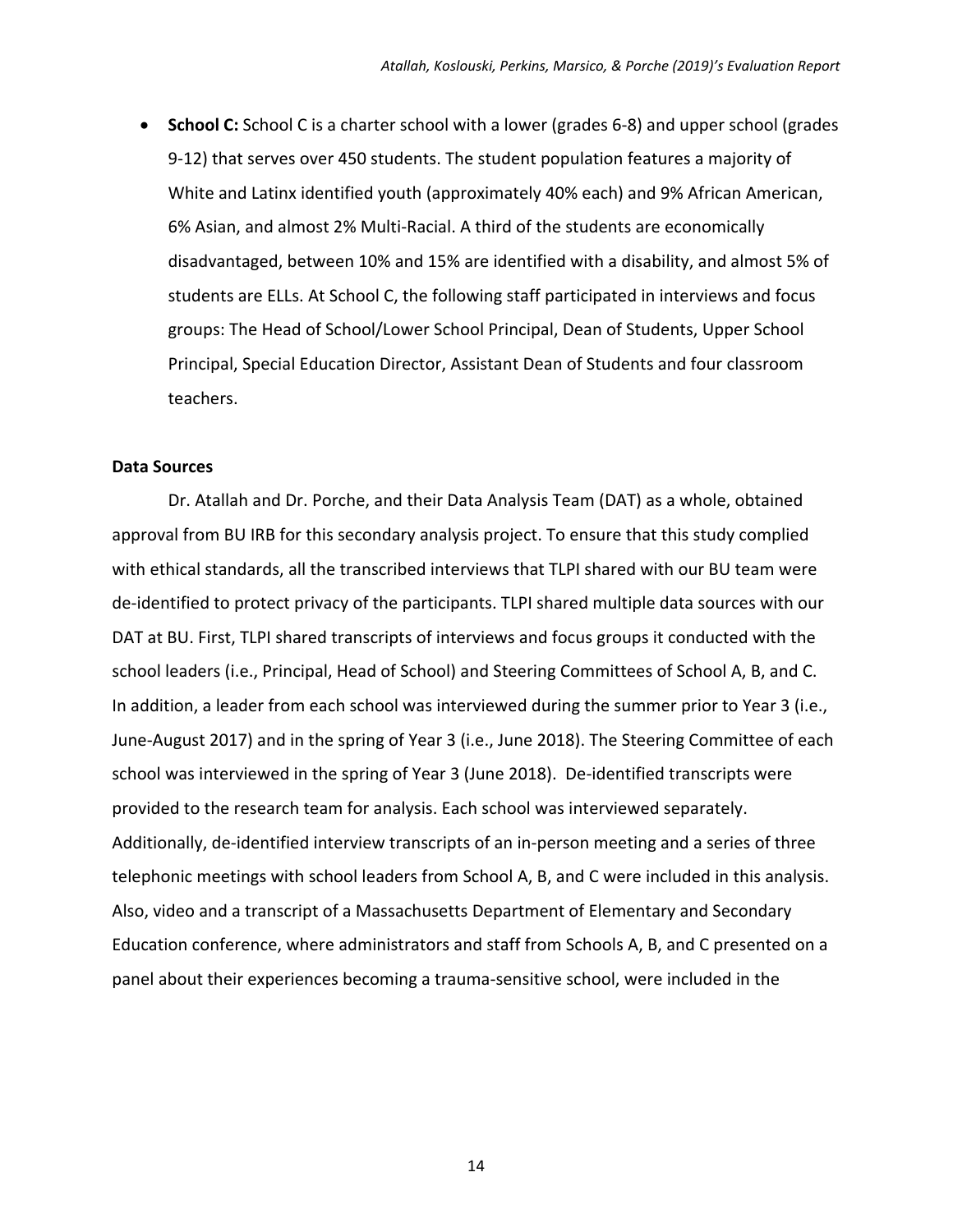**School C:** School C is a charter school with a lower (grades 6-8) and upper school (grades 9‐12) that serves over 450 students. The student population features a majority of White and Latinx identified youth (approximately 40% each) and 9% African American, 6% Asian, and almost 2% Multi‐Racial. A third of the students are economically disadvantaged, between 10% and 15% are identified with a disability, and almost 5% of students are ELLs. At School C, the following staff participated in interviews and focus groups: The Head of School/Lower School Principal, Dean of Students, Upper School Principal, Special Education Director, Assistant Dean of Students and four classroom teachers.

#### **Data Sources**

Dr. Atallah and Dr. Porche, and their Data Analysis Team (DAT) as a whole, obtained approval from BU IRB for this secondary analysis project. To ensure that this study complied with ethical standards, all the transcribed interviews that TLPI shared with our BU team were de-identified to protect privacy of the participants. TLPI shared multiple data sources with our DAT at BU. First, TLPI shared transcripts of interviews and focus groups it conducted with the school leaders (i.e., Principal, Head of School) and Steering Committees of School A, B, and C. In addition, a leader from each school was interviewed during the summer prior to Year 3 (i.e., June‐August 2017) and in the spring of Year 3 (i.e., June 2018). The Steering Committee of each school was interviewed in the spring of Year 3 (June 2018). De-identified transcripts were provided to the research team for analysis. Each school was interviewed separately. Additionally, de‐identified interview transcripts of an in‐person meeting and a series of three telephonic meetings with school leaders from School A, B, and C were included in this analysis. Also, video and a transcript of a Massachusetts Department of Elementary and Secondary Education conference, where administrators and staff from Schools A, B, and C presented on a panel about their experiences becoming a trauma‐sensitive school, were included in the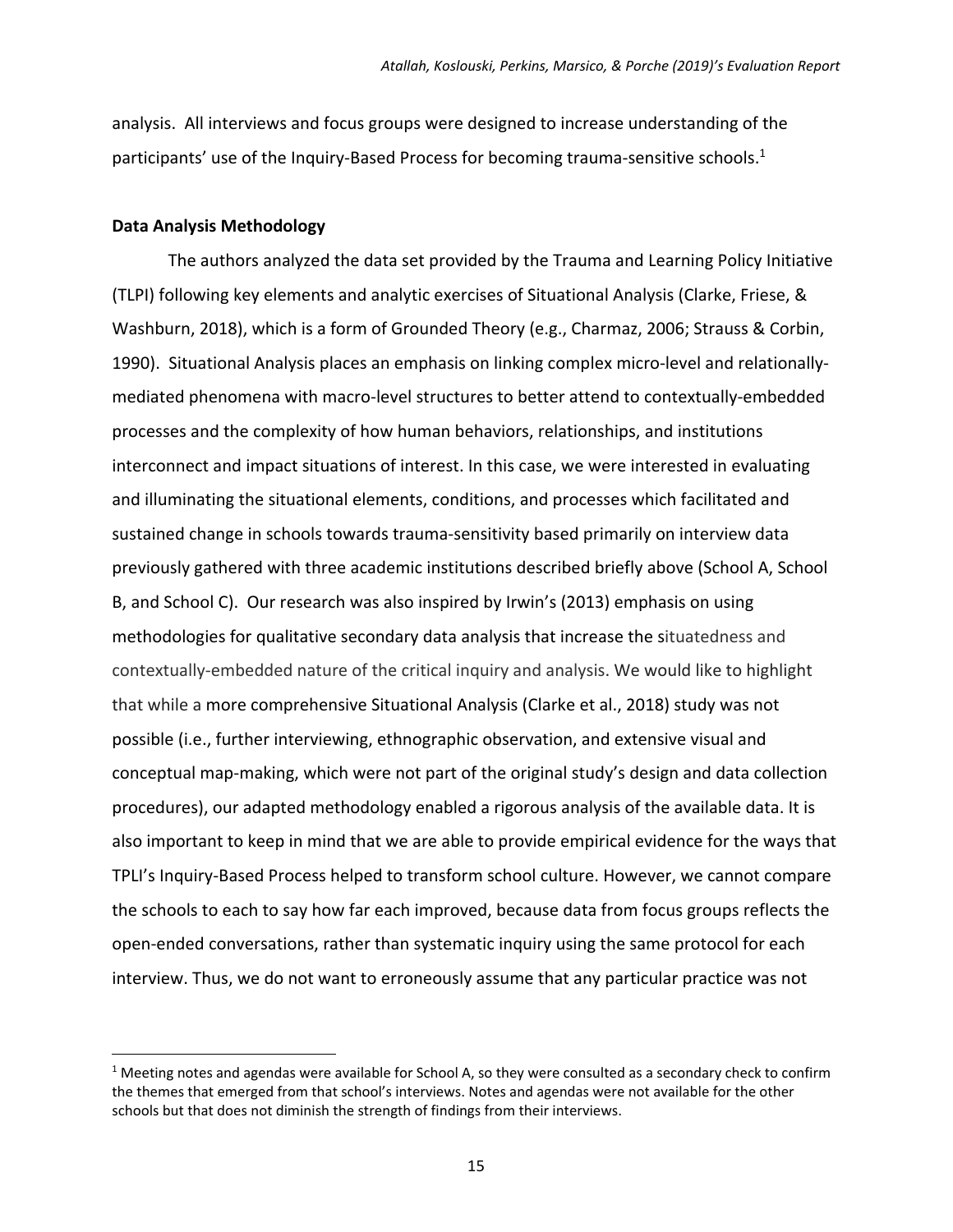analysis. All interviews and focus groups were designed to increase understanding of the participants' use of the Inquiry-Based Process for becoming trauma-sensitive schools.<sup>1</sup>

#### **Data Analysis Methodology**

 $\overline{a}$ 

The authors analyzed the data set provided by the Trauma and Learning Policy Initiative (TLPI) following key elements and analytic exercises of Situational Analysis (Clarke, Friese, & Washburn, 2018), which is a form of Grounded Theory (e.g., Charmaz, 2006; Strauss & Corbin, 1990). Situational Analysis places an emphasis on linking complex micro-level and relationallymediated phenomena with macro‐level structures to better attend to contextually‐embedded processes and the complexity of how human behaviors, relationships, and institutions interconnect and impact situations of interest. In this case, we were interested in evaluating and illuminating the situational elements, conditions, and processes which facilitated and sustained change in schools towards trauma‐sensitivity based primarily on interview data previously gathered with three academic institutions described briefly above (School A, School B, and School C). Our research was also inspired by Irwin's (2013) emphasis on using methodologies for qualitative secondary data analysis that increase the situatedness and contextually‐embedded nature of the critical inquiry and analysis. We would like to highlight that while a more comprehensive Situational Analysis (Clarke et al., 2018) study was not possible (i.e., further interviewing, ethnographic observation, and extensive visual and conceptual map‐making, which were not part of the original study's design and data collection procedures), our adapted methodology enabled a rigorous analysis of the available data. It is also important to keep in mind that we are able to provide empirical evidence for the ways that TPLI's Inquiry‐Based Process helped to transform school culture. However, we cannot compare the schools to each to say how far each improved, because data from focus groups reflects the open‐ended conversations, rather than systematic inquiry using the same protocol for each interview. Thus, we do not want to erroneously assume that any particular practice was not

 $1$  Meeting notes and agendas were available for School A, so they were consulted as a secondary check to confirm the themes that emerged from that school's interviews. Notes and agendas were not available for the other schools but that does not diminish the strength of findings from their interviews.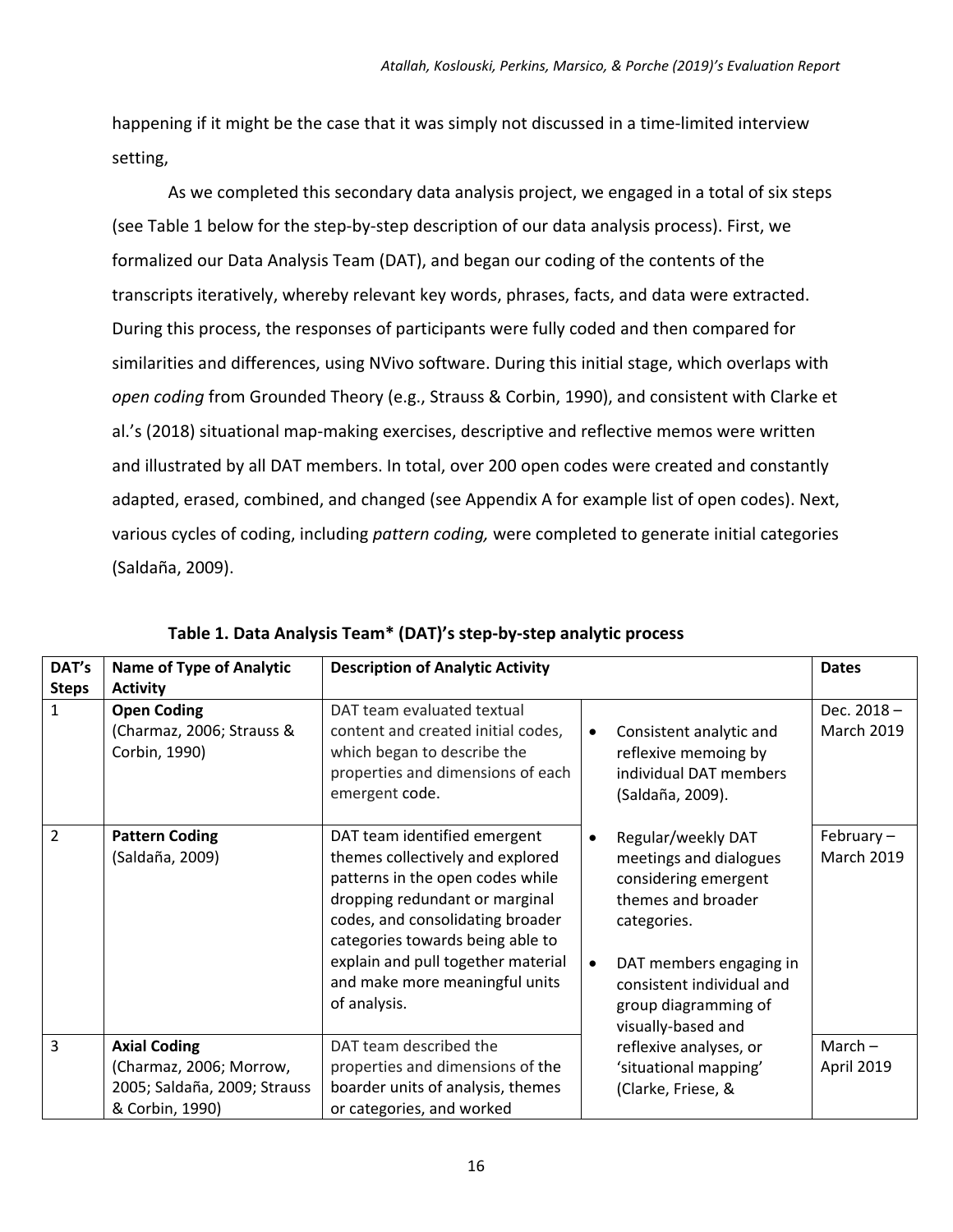happening if it might be the case that it was simply not discussed in a time‐limited interview setting,

As we completed this secondary data analysis project, we engaged in a total of six steps (see Table 1 below for the step‐by‐step description of our data analysis process). First, we formalized our Data Analysis Team (DAT), and began our coding of the contents of the transcripts iteratively, whereby relevant key words, phrases, facts, and data were extracted. During this process, the responses of participants were fully coded and then compared for similarities and differences, using NVivo software. During this initial stage, which overlaps with *open coding* from Grounded Theory (e.g., Strauss & Corbin, 1990), and consistent with Clarke et al.'s (2018) situational map‐making exercises, descriptive and reflective memos were written and illustrated by all DAT members. In total, over 200 open codes were created and constantly adapted, erased, combined, and changed (see Appendix A for example list of open codes). Next, various cycles of coding, including *pattern coding,* were completed to generate initial categories (Saldaña, 2009).

| DAT's          | <b>Name of Type of Analytic</b>                                                                   | <b>Description of Analytic Activity</b>                                                                                                                                                                                                                                                                |                                                                                                                                                                                                                 | <b>Dates</b>                      |
|----------------|---------------------------------------------------------------------------------------------------|--------------------------------------------------------------------------------------------------------------------------------------------------------------------------------------------------------------------------------------------------------------------------------------------------------|-----------------------------------------------------------------------------------------------------------------------------------------------------------------------------------------------------------------|-----------------------------------|
| <b>Steps</b>   | <b>Activity</b>                                                                                   |                                                                                                                                                                                                                                                                                                        |                                                                                                                                                                                                                 |                                   |
| $\mathbf{1}$   | <b>Open Coding</b><br>(Charmaz, 2006; Strauss &<br>Corbin, 1990)                                  | DAT team evaluated textual<br>content and created initial codes,<br>which began to describe the<br>properties and dimensions of each<br>emergent code.                                                                                                                                                 | Consistent analytic and<br>reflexive memoing by<br>individual DAT members<br>(Saldaña, 2009).                                                                                                                   | Dec. 2018-<br><b>March 2019</b>   |
| $\overline{2}$ | <b>Pattern Coding</b><br>(Saldaña, 2009)                                                          | DAT team identified emergent<br>themes collectively and explored<br>patterns in the open codes while<br>dropping redundant or marginal<br>codes, and consolidating broader<br>categories towards being able to<br>explain and pull together material<br>and make more meaningful units<br>of analysis. | Regular/weekly DAT<br>meetings and dialogues<br>considering emergent<br>themes and broader<br>categories.<br>DAT members engaging in<br>consistent individual and<br>group diagramming of<br>visually-based and | February $-$<br><b>March 2019</b> |
| 3              | <b>Axial Coding</b><br>(Charmaz, 2006; Morrow,<br>2005; Saldaña, 2009; Strauss<br>& Corbin, 1990) | DAT team described the<br>properties and dimensions of the<br>boarder units of analysis, themes<br>or categories, and worked                                                                                                                                                                           | reflexive analyses, or<br>'situational mapping'<br>(Clarke, Friese, &                                                                                                                                           | $March -$<br>April 2019           |

**Table 1. Data Analysis Team\* (DAT)'s step‐by‐step analytic process**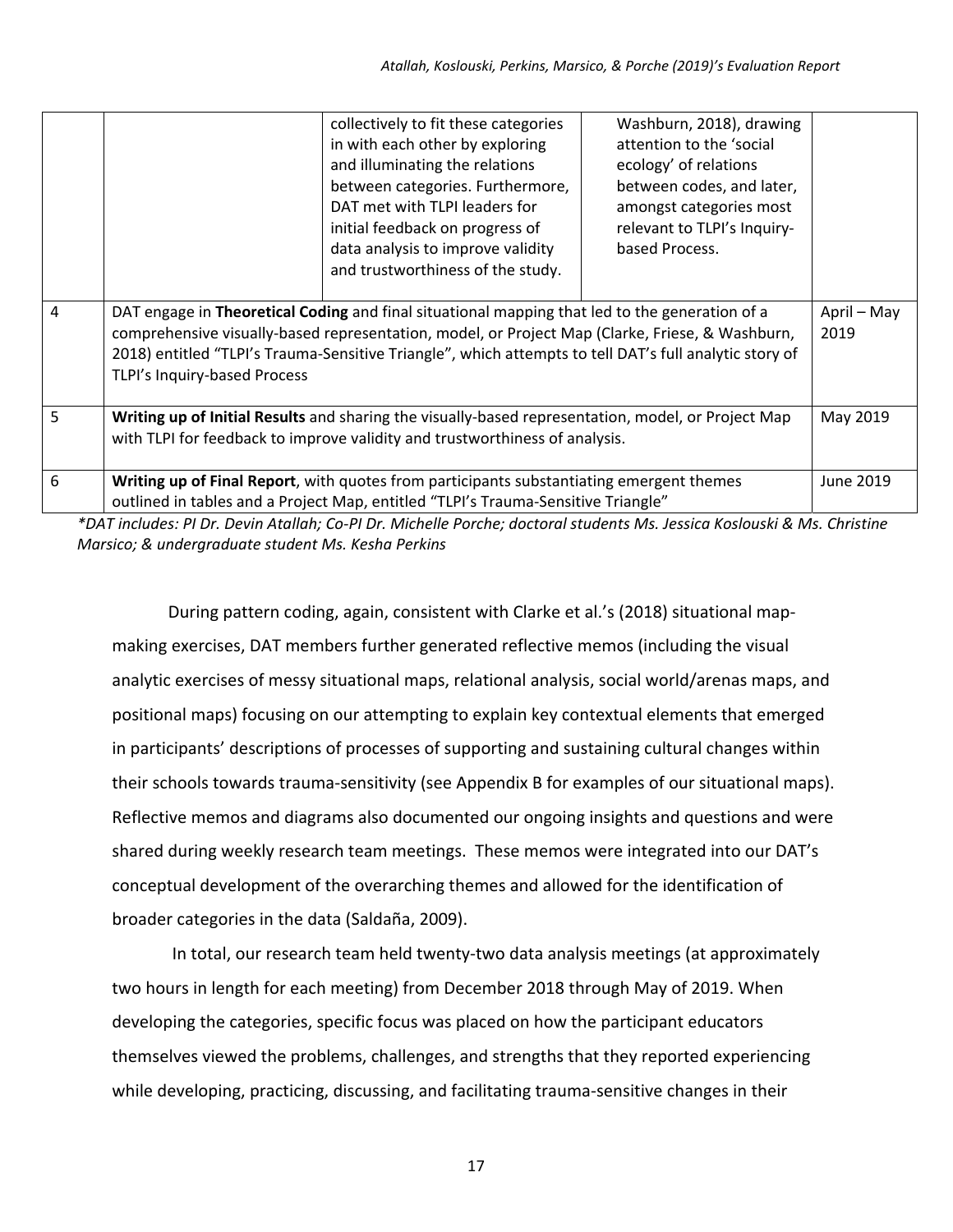|                 |                                                                                                                                                                                                                                                                                                                                             | collectively to fit these categories<br>in with each other by exploring<br>and illuminating the relations<br>between categories. Furthermore,<br>DAT met with TLPI leaders for<br>initial feedback on progress of<br>data analysis to improve validity<br>and trustworthiness of the study. | Washburn, 2018), drawing<br>attention to the 'social<br>ecology' of relations<br>between codes, and later,<br>amongst categories most<br>relevant to TLPI's Inquiry-<br>based Process. |                     |
|-----------------|---------------------------------------------------------------------------------------------------------------------------------------------------------------------------------------------------------------------------------------------------------------------------------------------------------------------------------------------|---------------------------------------------------------------------------------------------------------------------------------------------------------------------------------------------------------------------------------------------------------------------------------------------|----------------------------------------------------------------------------------------------------------------------------------------------------------------------------------------|---------------------|
| $\overline{4}$  | DAT engage in Theoretical Coding and final situational mapping that led to the generation of a<br>comprehensive visually-based representation, model, or Project Map (Clarke, Friese, & Washburn,<br>2018) entitled "TLPI's Trauma-Sensitive Triangle", which attempts to tell DAT's full analytic story of<br>TLPI's Inquiry-based Process |                                                                                                                                                                                                                                                                                             |                                                                                                                                                                                        | April - May<br>2019 |
| $5\overline{)}$ |                                                                                                                                                                                                                                                                                                                                             | Writing up of Initial Results and sharing the visually-based representation, model, or Project Map<br>with TLPI for feedback to improve validity and trustworthiness of analysis.                                                                                                           |                                                                                                                                                                                        | May 2019            |
| 6               | Writing up of Final Report, with quotes from participants substantiating emergent themes<br>June 2019<br>outlined in tables and a Project Map, entitled "TLPI's Trauma-Sensitive Triangle"                                                                                                                                                  |                                                                                                                                                                                                                                                                                             |                                                                                                                                                                                        |                     |

*\*DAT includes: PI Dr. Devin Atallah; Co‐PI Dr. Michelle Porche; doctoral students Ms. Jessica Koslouski & Ms. Christine Marsico; & undergraduate student Ms. Kesha Perkins* 

During pattern coding, again, consistent with Clarke et al.'s (2018) situational map‐ making exercises, DAT members further generated reflective memos (including the visual analytic exercises of messy situational maps, relational analysis, social world/arenas maps, and positional maps) focusing on our attempting to explain key contextual elements that emerged in participants' descriptions of processes of supporting and sustaining cultural changes within their schools towards trauma‐sensitivity (see Appendix B for examples of our situational maps). Reflective memos and diagrams also documented our ongoing insights and questions and were shared during weekly research team meetings. These memos were integrated into our DAT's conceptual development of the overarching themes and allowed for the identification of broader categories in the data (Saldaña, 2009).

 In total, our research team held twenty‐two data analysis meetings (at approximately two hours in length for each meeting) from December 2018 through May of 2019. When developing the categories, specific focus was placed on how the participant educators themselves viewed the problems, challenges, and strengths that they reported experiencing while developing, practicing, discussing, and facilitating trauma-sensitive changes in their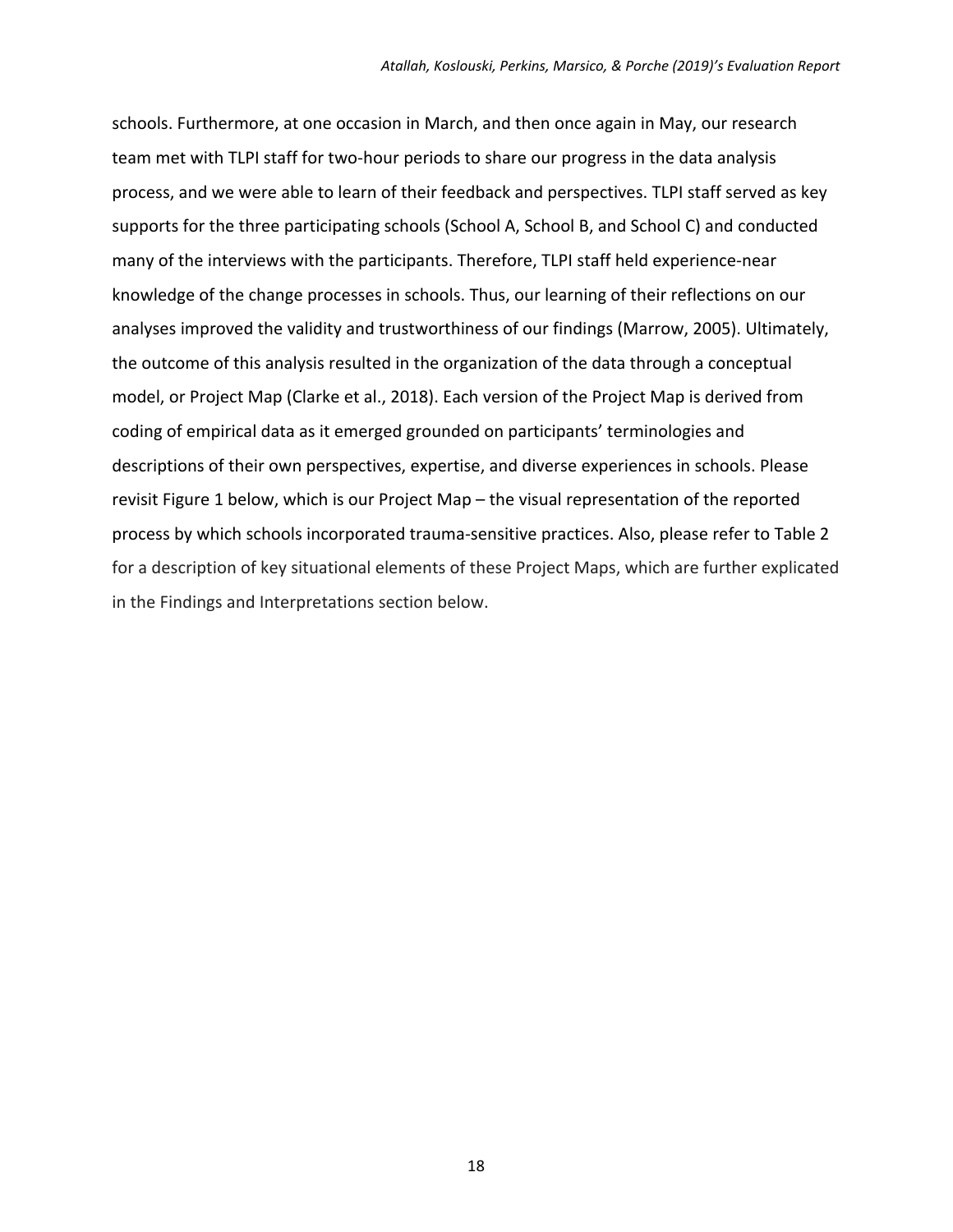schools. Furthermore, at one occasion in March, and then once again in May, our research team met with TLPI staff for two-hour periods to share our progress in the data analysis process, and we were able to learn of their feedback and perspectives. TLPI staff served as key supports for the three participating schools (School A, School B, and School C) and conducted many of the interviews with the participants. Therefore, TLPI staff held experience-near knowledge of the change processes in schools. Thus, our learning of their reflections on our analyses improved the validity and trustworthiness of our findings (Marrow, 2005). Ultimately, the outcome of this analysis resulted in the organization of the data through a conceptual model, or Project Map (Clarke et al., 2018). Each version of the Project Map is derived from coding of empirical data as it emerged grounded on participants' terminologies and descriptions of their own perspectives, expertise, and diverse experiences in schools. Please revisit Figure 1 below, which is our Project Map – the visual representation of the reported process by which schools incorporated trauma‐sensitive practices. Also, please refer to Table 2 for a description of key situational elements of these Project Maps, which are further explicated in the Findings and Interpretations section below.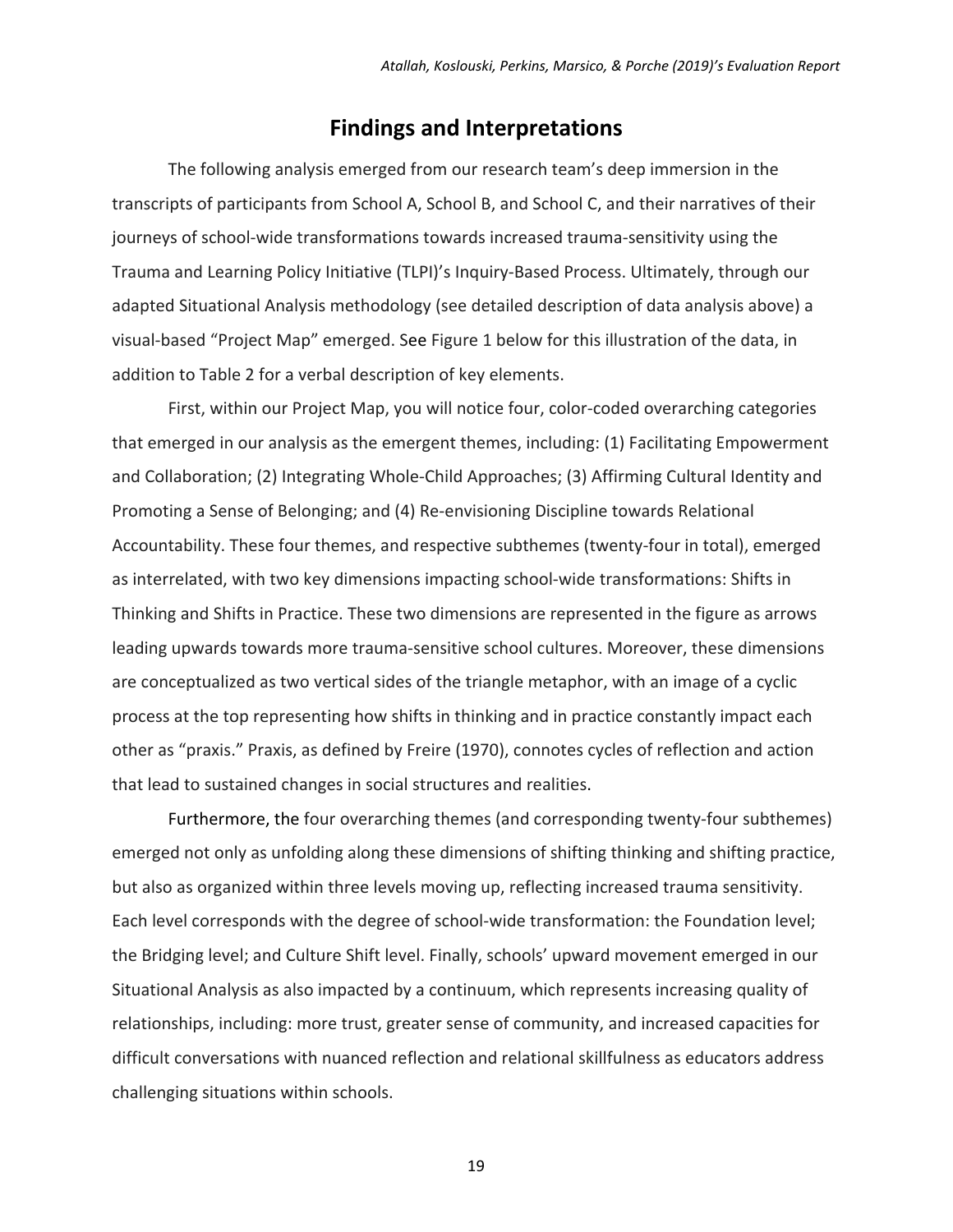### **Findings and Interpretations**

The following analysis emerged from our research team's deep immersion in the transcripts of participants from School A, School B, and School C, and their narratives of their journeys of school-wide transformations towards increased trauma-sensitivity using the Trauma and Learning Policy Initiative (TLPI)'s Inquiry‐Based Process. Ultimately, through our adapted Situational Analysis methodology (see detailed description of data analysis above) a visual‐based "Project Map" emerged. See Figure 1 below for this illustration of the data, in addition to Table 2 for a verbal description of key elements.

First, within our Project Map, you will notice four, color‐coded overarching categories that emerged in our analysis as the emergent themes, including: (1) Facilitating Empowerment and Collaboration; (2) Integrating Whole-Child Approaches; (3) Affirming Cultural Identity and Promoting a Sense of Belonging; and (4) Re‐envisioning Discipline towards Relational Accountability. These four themes, and respective subthemes (twenty‐four in total), emerged as interrelated, with two key dimensions impacting school‐wide transformations: Shifts in Thinking and Shifts in Practice. These two dimensions are represented in the figure as arrows leading upwards towards more trauma‐sensitive school cultures. Moreover, these dimensions are conceptualized as two vertical sides of the triangle metaphor, with an image of a cyclic process at the top representing how shifts in thinking and in practice constantly impact each other as "praxis." Praxis, as defined by Freire (1970), connotes cycles of reflection and action that lead to sustained changes in social structures and realities.

Furthermore, the four overarching themes (and corresponding twenty-four subthemes) emerged not only as unfolding along these dimensions of shifting thinking and shifting practice, but also as organized within three levels moving up, reflecting increased trauma sensitivity. Each level corresponds with the degree of school-wide transformation: the Foundation level; the Bridging level; and Culture Shift level. Finally, schools' upward movement emerged in our Situational Analysis as also impacted by a continuum, which represents increasing quality of relationships, including: more trust, greater sense of community, and increased capacities for difficult conversations with nuanced reflection and relational skillfulness as educators address challenging situations within schools.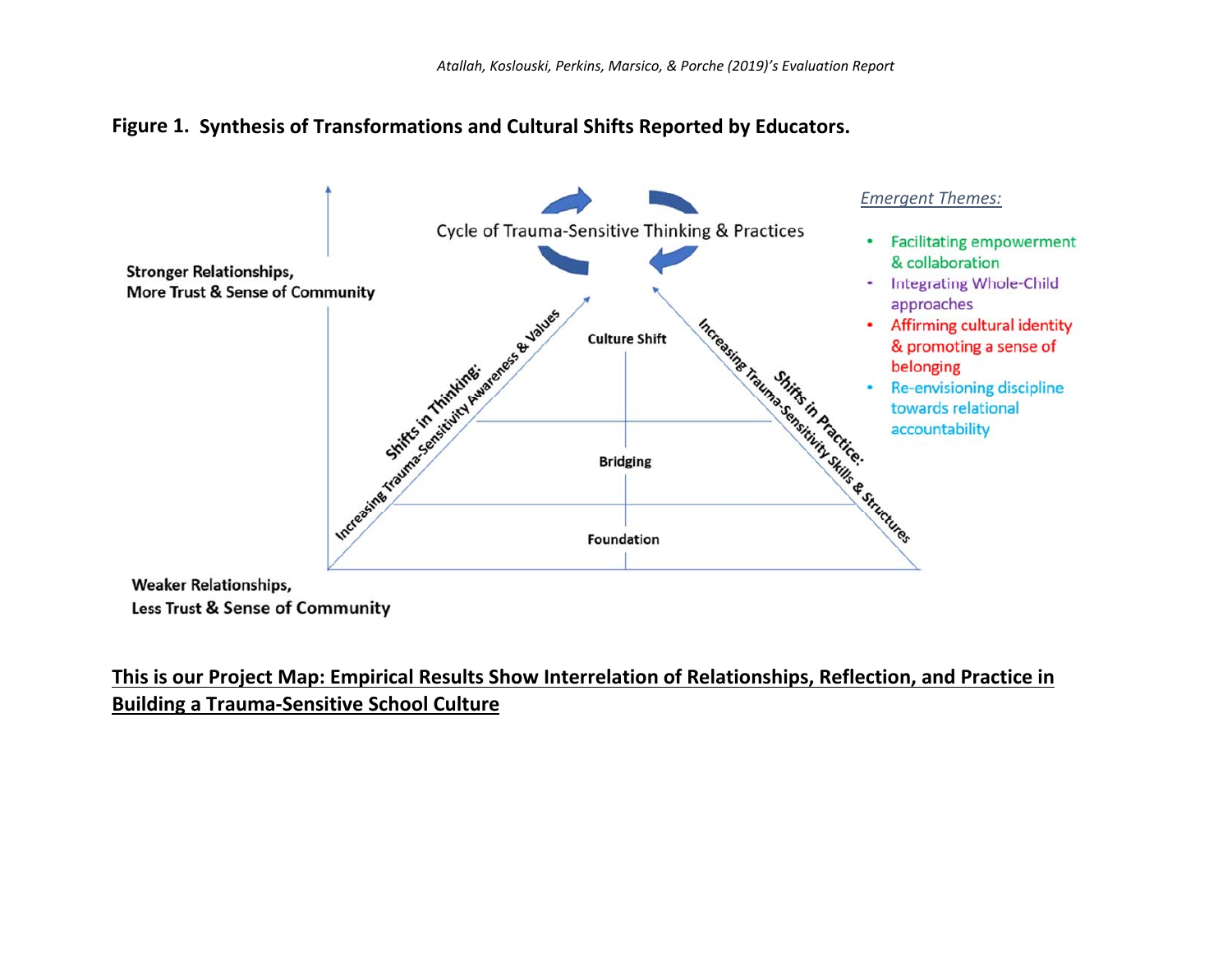



**Weaker Relationships,** Less Trust & Sense of Community

### **This is our Project Map: Empirical Results Show Interrelation of Relationships, Reflection, and Practice in Building a Trauma‐Sensitive School Culture**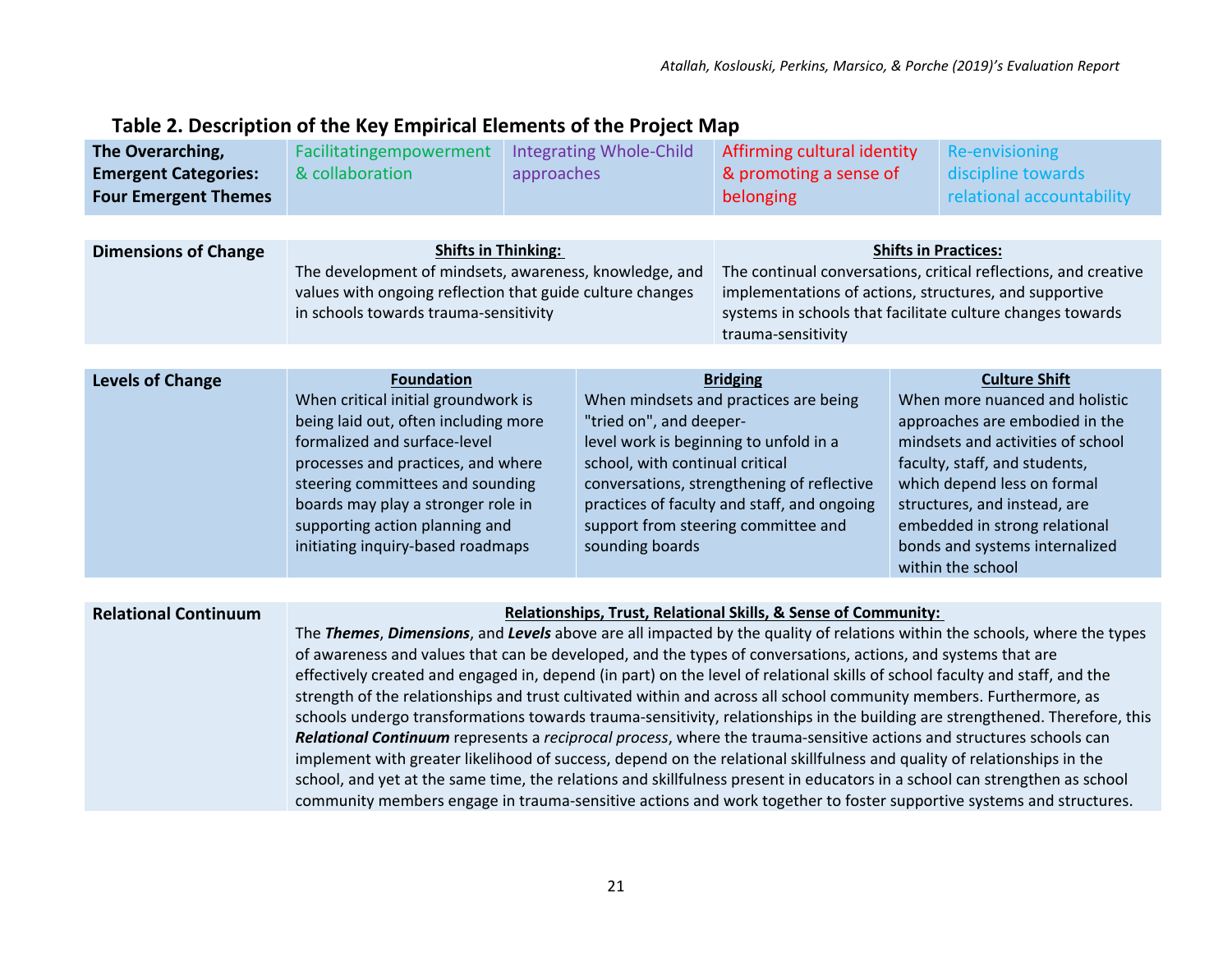### **Table 2. Description of the Key Empirical Elements of the Project Map**

| The Overarching,<br><b>Emergent Categories:</b><br><b>Four Emergent Themes</b> | Facilitatingempowerment<br>& collaboration                                                                                                                                                                                                                                                                                                                                                                                                                                                                                                                                                                                                                                                                                                                                                                                                                                                                                                                                                                                                                                                                                                                                                             | approaches | <b>Integrating Whole-Child</b>                                                                                          | Affirming cultural identity<br>& promoting a sense of<br>belonging                                                                                                                                                     |  | <b>Re-envisioning</b><br>discipline towards<br>relational accountability                                                                                                                                                                                                                                              |
|--------------------------------------------------------------------------------|--------------------------------------------------------------------------------------------------------------------------------------------------------------------------------------------------------------------------------------------------------------------------------------------------------------------------------------------------------------------------------------------------------------------------------------------------------------------------------------------------------------------------------------------------------------------------------------------------------------------------------------------------------------------------------------------------------------------------------------------------------------------------------------------------------------------------------------------------------------------------------------------------------------------------------------------------------------------------------------------------------------------------------------------------------------------------------------------------------------------------------------------------------------------------------------------------------|------------|-------------------------------------------------------------------------------------------------------------------------|------------------------------------------------------------------------------------------------------------------------------------------------------------------------------------------------------------------------|--|-----------------------------------------------------------------------------------------------------------------------------------------------------------------------------------------------------------------------------------------------------------------------------------------------------------------------|
|                                                                                |                                                                                                                                                                                                                                                                                                                                                                                                                                                                                                                                                                                                                                                                                                                                                                                                                                                                                                                                                                                                                                                                                                                                                                                                        |            |                                                                                                                         |                                                                                                                                                                                                                        |  |                                                                                                                                                                                                                                                                                                                       |
| <b>Dimensions of Change</b>                                                    | <b>Shifts in Thinking:</b><br>The development of mindsets, awareness, knowledge, and<br>values with ongoing reflection that guide culture changes<br>in schools towards trauma-sensitivity                                                                                                                                                                                                                                                                                                                                                                                                                                                                                                                                                                                                                                                                                                                                                                                                                                                                                                                                                                                                             |            | trauma-sensitivity                                                                                                      | <b>Shifts in Practices:</b><br>The continual conversations, critical reflections, and creative<br>implementations of actions, structures, and supportive<br>systems in schools that facilitate culture changes towards |  |                                                                                                                                                                                                                                                                                                                       |
|                                                                                |                                                                                                                                                                                                                                                                                                                                                                                                                                                                                                                                                                                                                                                                                                                                                                                                                                                                                                                                                                                                                                                                                                                                                                                                        |            |                                                                                                                         |                                                                                                                                                                                                                        |  |                                                                                                                                                                                                                                                                                                                       |
| <b>Levels of Change</b>                                                        | <b>Foundation</b><br>When critical initial groundwork is<br>being laid out, often including more<br>formalized and surface-level<br>processes and practices, and where<br>steering committees and sounding<br>boards may play a stronger role in<br>supporting action planning and<br>initiating inquiry-based roadmaps                                                                                                                                                                                                                                                                                                                                                                                                                                                                                                                                                                                                                                                                                                                                                                                                                                                                                |            | "tried on", and deeper-<br>level work is beginning to unfold in a<br>school, with continual critical<br>sounding boards | <b>Bridging</b><br>When mindsets and practices are being<br>conversations, strengthening of reflective<br>practices of faculty and staff, and ongoing<br>support from steering committee and                           |  | <b>Culture Shift</b><br>When more nuanced and holistic<br>approaches are embodied in the<br>mindsets and activities of school<br>faculty, staff, and students,<br>which depend less on formal<br>structures, and instead, are<br>embedded in strong relational<br>bonds and systems internalized<br>within the school |
|                                                                                |                                                                                                                                                                                                                                                                                                                                                                                                                                                                                                                                                                                                                                                                                                                                                                                                                                                                                                                                                                                                                                                                                                                                                                                                        |            |                                                                                                                         |                                                                                                                                                                                                                        |  |                                                                                                                                                                                                                                                                                                                       |
| <b>Relational Continuum</b>                                                    | Relationships, Trust, Relational Skills, & Sense of Community:<br>The Themes, Dimensions, and Levels above are all impacted by the quality of relations within the schools, where the types<br>of awareness and values that can be developed, and the types of conversations, actions, and systems that are<br>effectively created and engaged in, depend (in part) on the level of relational skills of school faculty and staff, and the<br>strength of the relationships and trust cultivated within and across all school community members. Furthermore, as<br>schools undergo transformations towards trauma-sensitivity, relationships in the building are strengthened. Therefore, this<br>Relational Continuum represents a reciprocal process, where the trauma-sensitive actions and structures schools can<br>implement with greater likelihood of success, depend on the relational skillfulness and quality of relationships in the<br>school, and yet at the same time, the relations and skillfulness present in educators in a school can strengthen as school<br>community members engage in trauma-sensitive actions and work together to foster supportive systems and structures. |            |                                                                                                                         |                                                                                                                                                                                                                        |  |                                                                                                                                                                                                                                                                                                                       |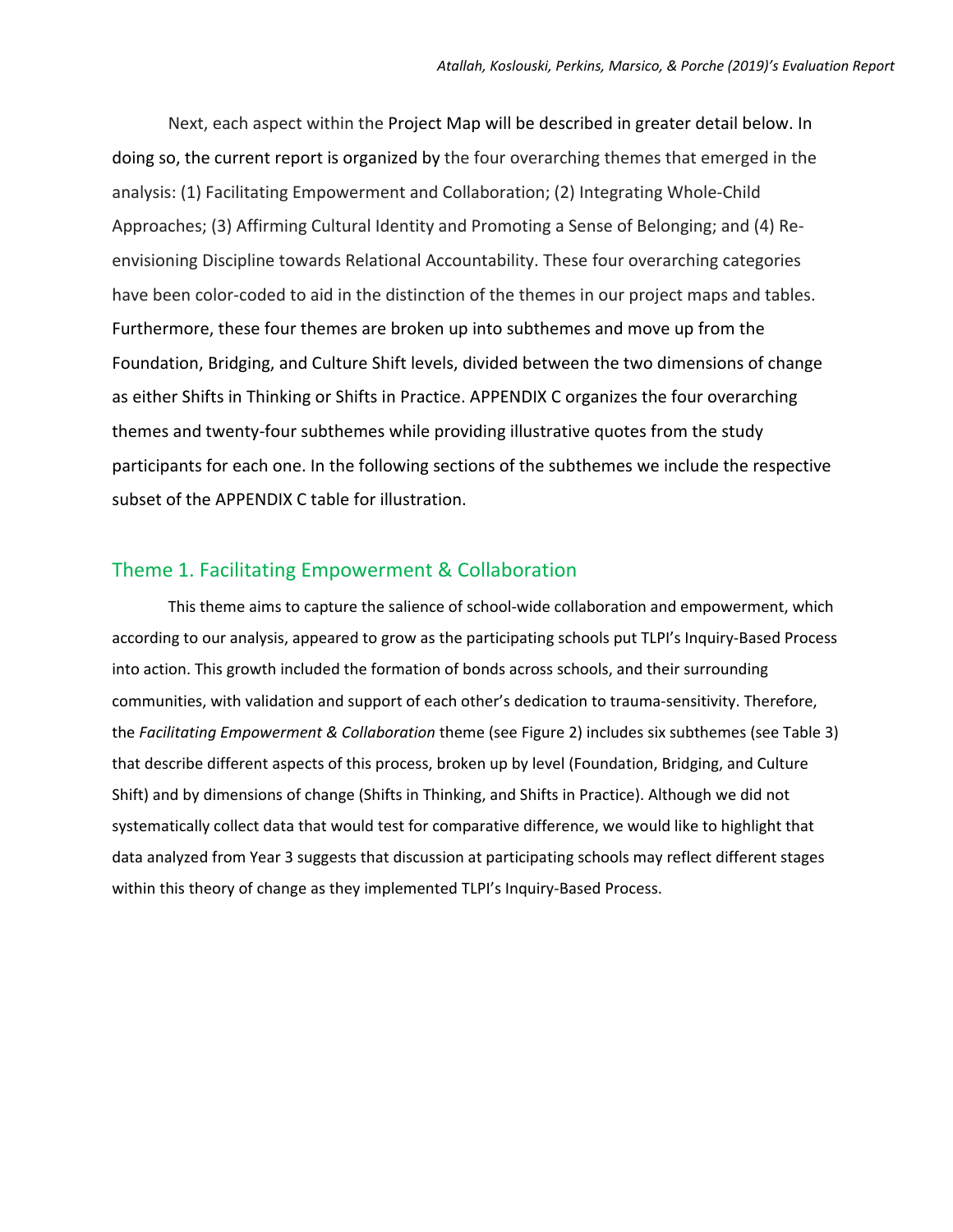Next, each aspect within the Project Map will be described in greater detail below. In doing so, the current report is organized by the four overarching themes that emerged in the analysis: (1) Facilitating Empowerment and Collaboration; (2) Integrating Whole‐Child Approaches; (3) Affirming Cultural Identity and Promoting a Sense of Belonging; and (4) Re‐ envisioning Discipline towards Relational Accountability. These four overarching categories have been color-coded to aid in the distinction of the themes in our project maps and tables. Furthermore, these four themes are broken up into subthemes and move up from the Foundation, Bridging, and Culture Shift levels, divided between the two dimensions of change as either Shifts in Thinking or Shifts in Practice. APPENDIX C organizes the four overarching themes and twenty‐four subthemes while providing illustrative quotes from the study participants for each one. In the following sections of the subthemes we include the respective subset of the APPENDIX C table for illustration.

#### Theme 1. Facilitating Empowerment & Collaboration

This theme aims to capture the salience of school‐wide collaboration and empowerment, which according to our analysis, appeared to grow as the participating schools put TLPI's Inquiry‐Based Process into action. This growth included the formation of bonds across schools, and their surrounding communities, with validation and support of each other's dedication to trauma-sensitivity. Therefore, the *Facilitating Empowerment & Collaboration* theme (see Figure 2) includes six subthemes (see Table 3) that describe different aspects of this process, broken up by level (Foundation, Bridging, and Culture Shift) and by dimensions of change (Shifts in Thinking, and Shifts in Practice). Although we did not systematically collect data that would test for comparative difference, we would like to highlight that data analyzed from Year 3 suggests that discussion at participating schools may reflect different stages within this theory of change as they implemented TLPI's Inquiry-Based Process.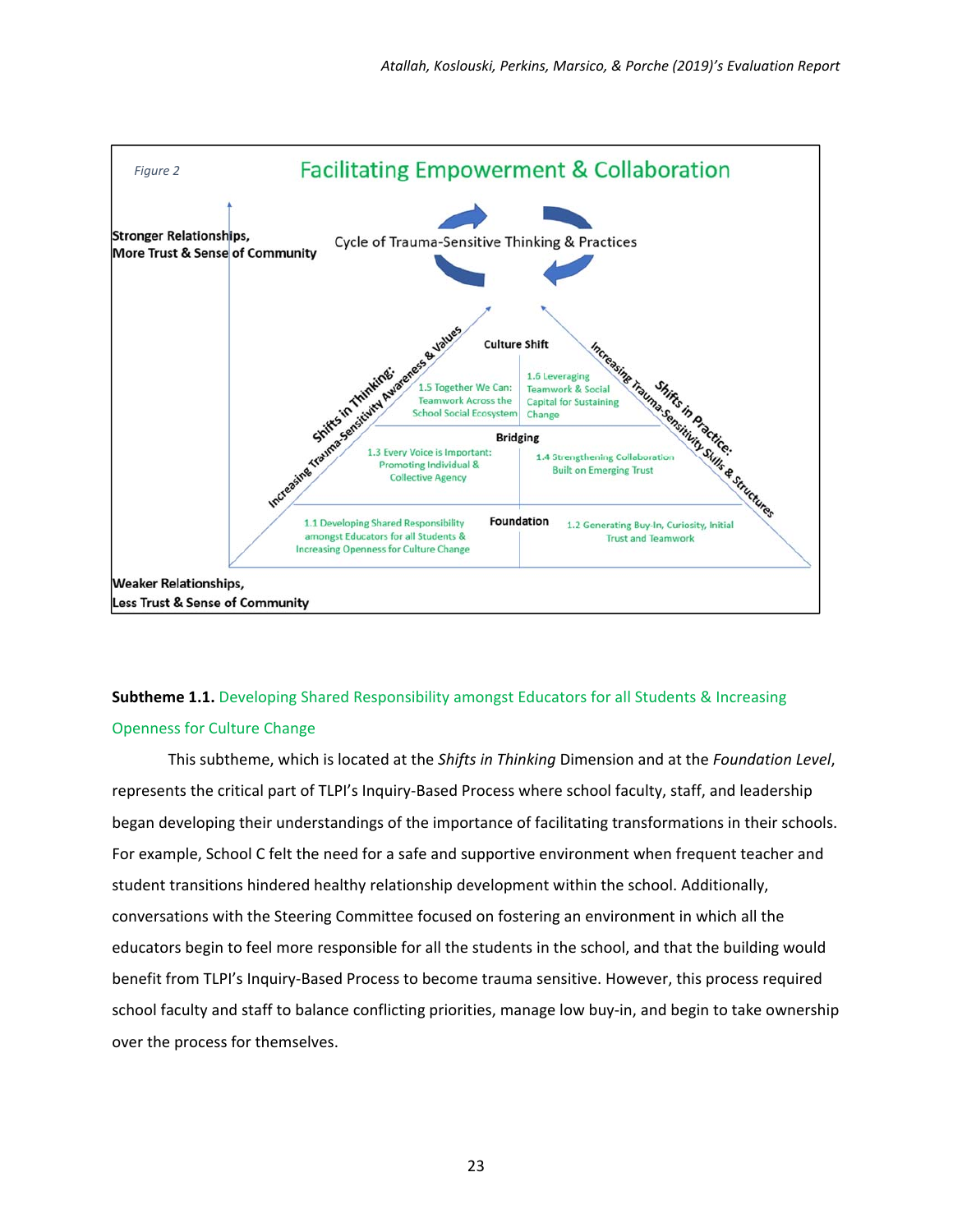

### **Subtheme 1.1.** Developing Shared Responsibility amongst Educators for all Students & Increasing Openness for Culture Change

This subtheme, which is located at the *Shifts in Thinking* Dimension and at the *Foundation Level*, represents the critical part of TLPI's Inquiry‐Based Process where school faculty, staff, and leadership began developing their understandings of the importance of facilitating transformations in their schools. For example, School C felt the need for a safe and supportive environment when frequent teacher and student transitions hindered healthy relationship development within the school. Additionally, conversations with the Steering Committee focused on fostering an environment in which all the educators begin to feel more responsible for all the students in the school, and that the building would benefit from TLPI's Inquiry‐Based Process to become trauma sensitive. However, this process required school faculty and staff to balance conflicting priorities, manage low buy-in, and begin to take ownership over the process for themselves.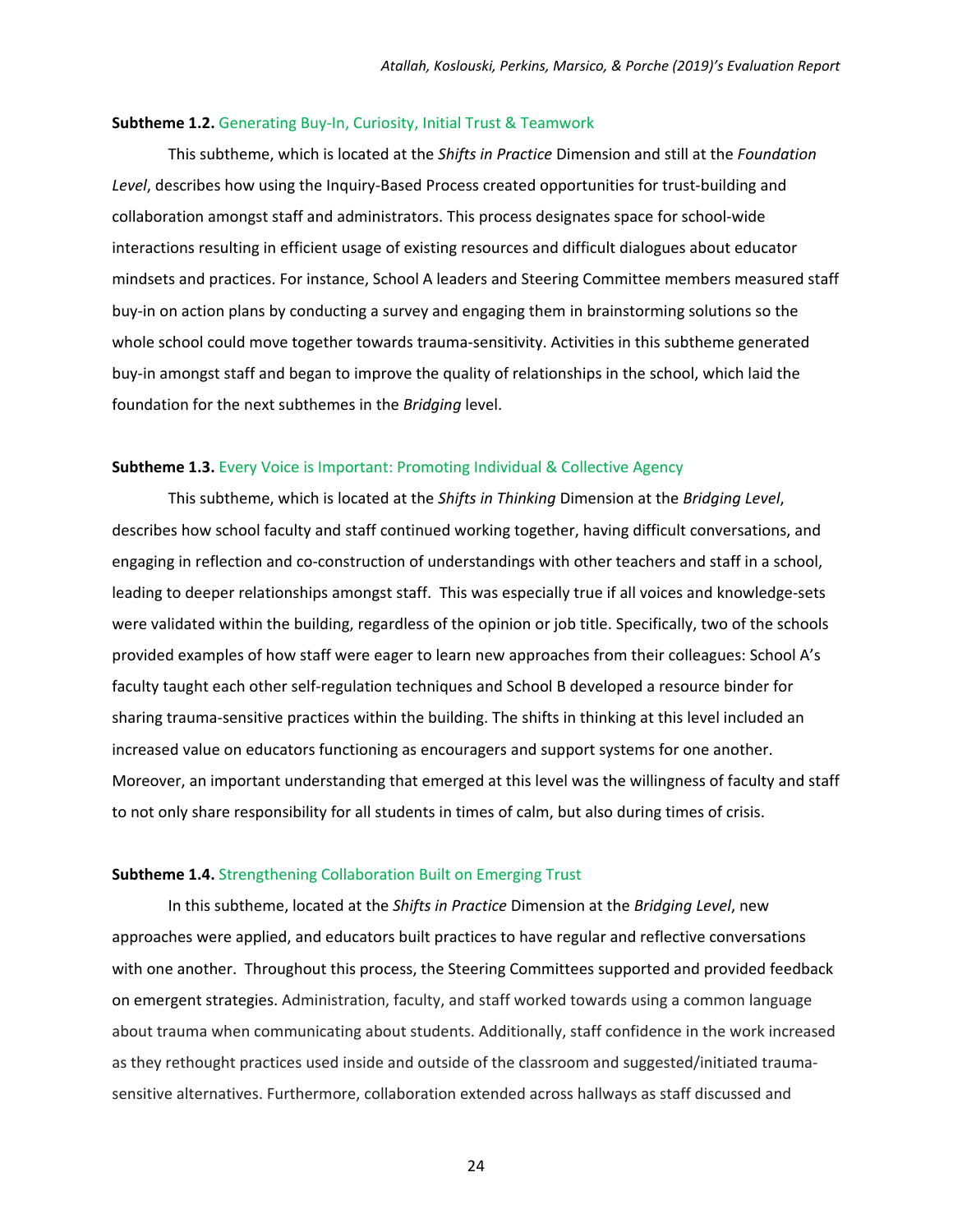#### **Subtheme 1.2.** Generating Buy‐In, Curiosity, Initial Trust & Teamwork

This subtheme, which is located at the *Shifts in Practice* Dimension and still at the *Foundation*  Level, describes how using the Inquiry-Based Process created opportunities for trust-building and collaboration amongst staff and administrators. This process designates space for school‐wide interactions resulting in efficient usage of existing resources and difficult dialogues about educator mindsets and practices. For instance, School A leaders and Steering Committee members measured staff buy‐in on action plans by conducting a survey and engaging them in brainstorming solutions so the whole school could move together towards trauma-sensitivity. Activities in this subtheme generated buy‐in amongst staff and began to improve the quality of relationships in the school, which laid the foundation for the next subthemes in the *Bridging* level.

#### **Subtheme 1.3.** Every Voice is Important: Promoting Individual & Collective Agency

This subtheme, which is located at the *Shifts in Thinking* Dimension at the *Bridging Level*, describes how school faculty and staff continued working together, having difficult conversations, and engaging in reflection and co-construction of understandings with other teachers and staff in a school, leading to deeper relationships amongst staff. This was especially true if all voices and knowledge‐sets were validated within the building, regardless of the opinion or job title. Specifically, two of the schools provided examples of how staff were eager to learn new approaches from their colleagues: School A's faculty taught each other self‐regulation techniques and School B developed a resource binder for sharing trauma‐sensitive practices within the building. The shifts in thinking at this level included an increased value on educators functioning as encouragers and support systems for one another. Moreover, an important understanding that emerged at this level was the willingness of faculty and staff to not only share responsibility for all students in times of calm, but also during times of crisis.

#### **Subtheme 1.4.** Strengthening Collaboration Built on Emerging Trust

In this subtheme, located at the *Shifts in Practice* Dimension at the *Bridging Level*, new approaches were applied, and educators built practices to have regular and reflective conversations with one another. Throughout this process, the Steering Committees supported and provided feedback on emergent strategies. Administration, faculty, and staff worked towards using a common language about trauma when communicating about students. Additionally, staff confidence in the work increased as they rethought practices used inside and outside of the classroom and suggested/initiated traumasensitive alternatives. Furthermore, collaboration extended across hallways as staff discussed and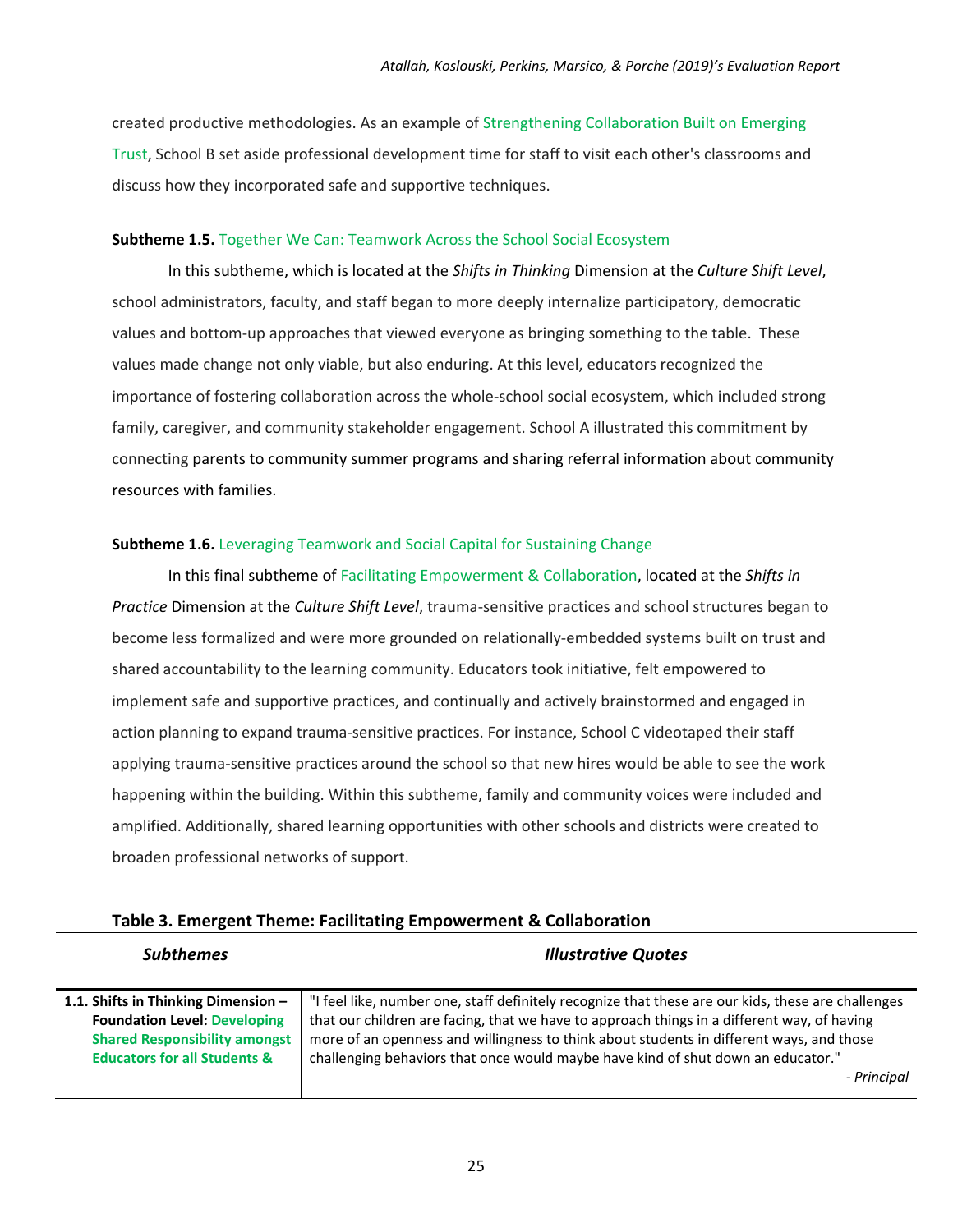created productive methodologies. As an example of Strengthening Collaboration Built on Emerging Trust, School B set aside professional development time for staff to visit each other's classrooms and discuss how they incorporated safe and supportive techniques.

#### **Subtheme 1.5.** Together We Can: Teamwork Across the School Social Ecosystem

In this subtheme, which is located at the *Shifts in Thinking* Dimension at the *Culture Shift Level*, school administrators, faculty, and staff began to more deeply internalize participatory, democratic values and bottom-up approaches that viewed everyone as bringing something to the table. These values made change not only viable, but also enduring. At this level, educators recognized the importance of fostering collaboration across the whole-school social ecosystem, which included strong family, caregiver, and community stakeholder engagement. School A illustrated this commitment by connecting parents to community summer programs and sharing referral information about community resources with families.

#### **Subtheme 1.6.** Leveraging Teamwork and Social Capital for Sustaining Change

In this final subtheme of Facilitating Empowerment & Collaboration, located at the *Shifts in Practice* Dimension at the *Culture Shift Level*, trauma‐sensitive practices and school structures began to become less formalized and were more grounded on relationally‐embedded systems built on trust and shared accountability to the learning community. Educators took initiative, felt empowered to implement safe and supportive practices, and continually and actively brainstormed and engaged in action planning to expand trauma‐sensitive practices. For instance, School C videotaped their staff applying trauma‐sensitive practices around the school so that new hires would be able to see the work happening within the building. Within this subtheme, family and community voices were included and amplified. Additionally, shared learning opportunities with other schools and districts were created to broaden professional networks of support.

| <b>Subthemes</b>                                                                                                                                              | <b>Illustrative Quotes</b>                                                                                                                                                                                                                                                                                                                                                                       |
|---------------------------------------------------------------------------------------------------------------------------------------------------------------|--------------------------------------------------------------------------------------------------------------------------------------------------------------------------------------------------------------------------------------------------------------------------------------------------------------------------------------------------------------------------------------------------|
| 1.1. Shifts in Thinking Dimension -<br><b>Foundation Level: Developing</b><br><b>Shared Responsibility amongst</b><br><b>Educators for all Students &amp;</b> | "I feel like, number one, staff definitely recognize that these are our kids, these are challenges<br>that our children are facing, that we have to approach things in a different way, of having<br>more of an openness and willingness to think about students in different ways, and those<br>challenging behaviors that once would maybe have kind of shut down an educator."<br>- Principal |

#### **Table 3. Emergent Theme: Facilitating Empowerment & Collaboration**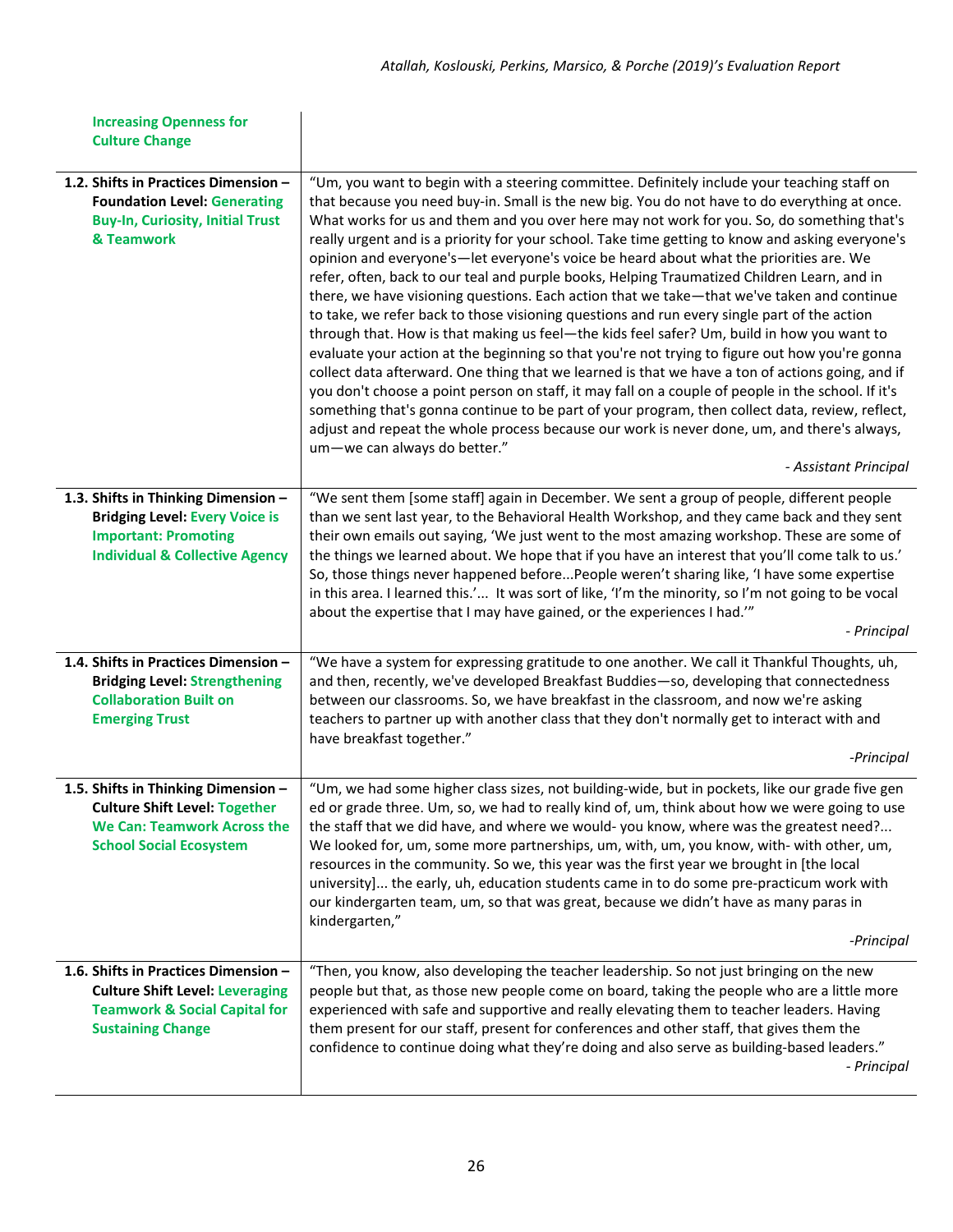| <b>Increasing Openness for</b><br><b>Culture Change</b>                                                                                                  |                                                                                                                                                                                                                                                                                                                                                                                                                                                                                                                                                                                                                                                                                                                                                                                                                                                                                                                                                                                                                                                                                                                                                                                                                                                                                                                                                                                                                                                           |
|----------------------------------------------------------------------------------------------------------------------------------------------------------|-----------------------------------------------------------------------------------------------------------------------------------------------------------------------------------------------------------------------------------------------------------------------------------------------------------------------------------------------------------------------------------------------------------------------------------------------------------------------------------------------------------------------------------------------------------------------------------------------------------------------------------------------------------------------------------------------------------------------------------------------------------------------------------------------------------------------------------------------------------------------------------------------------------------------------------------------------------------------------------------------------------------------------------------------------------------------------------------------------------------------------------------------------------------------------------------------------------------------------------------------------------------------------------------------------------------------------------------------------------------------------------------------------------------------------------------------------------|
| 1.2. Shifts in Practices Dimension -<br><b>Foundation Level: Generating</b><br><b>Buy-In, Curiosity, Initial Trust</b><br>& Teamwork                     | "Um, you want to begin with a steering committee. Definitely include your teaching staff on<br>that because you need buy-in. Small is the new big. You do not have to do everything at once.<br>What works for us and them and you over here may not work for you. So, do something that's<br>really urgent and is a priority for your school. Take time getting to know and asking everyone's<br>opinion and everyone's—let everyone's voice be heard about what the priorities are. We<br>refer, often, back to our teal and purple books, Helping Traumatized Children Learn, and in<br>there, we have visioning questions. Each action that we take-that we've taken and continue<br>to take, we refer back to those visioning questions and run every single part of the action<br>through that. How is that making us feel-the kids feel safer? Um, build in how you want to<br>evaluate your action at the beginning so that you're not trying to figure out how you're gonna<br>collect data afterward. One thing that we learned is that we have a ton of actions going, and if<br>you don't choose a point person on staff, it may fall on a couple of people in the school. If it's<br>something that's gonna continue to be part of your program, then collect data, review, reflect,<br>adjust and repeat the whole process because our work is never done, um, and there's always,<br>um-we can always do better."<br>- Assistant Principal |
| 1.3. Shifts in Thinking Dimension -<br><b>Bridging Level: Every Voice is</b><br><b>Important: Promoting</b><br><b>Individual &amp; Collective Agency</b> | "We sent them [some staff] again in December. We sent a group of people, different people<br>than we sent last year, to the Behavioral Health Workshop, and they came back and they sent<br>their own emails out saying, 'We just went to the most amazing workshop. These are some of<br>the things we learned about. We hope that if you have an interest that you'll come talk to us.'<br>So, those things never happened beforePeople weren't sharing like, 'I have some expertise<br>in this area. I learned this.' It was sort of like, 'I'm the minority, so I'm not going to be vocal<br>about the expertise that I may have gained, or the experiences I had.""<br>- Principal                                                                                                                                                                                                                                                                                                                                                                                                                                                                                                                                                                                                                                                                                                                                                                   |
| 1.4. Shifts in Practices Dimension -<br><b>Bridging Level: Strengthening</b><br><b>Collaboration Built on</b><br><b>Emerging Trust</b>                   | "We have a system for expressing gratitude to one another. We call it Thankful Thoughts, uh,<br>and then, recently, we've developed Breakfast Buddies-so, developing that connectedness<br>between our classrooms. So, we have breakfast in the classroom, and now we're asking<br>teachers to partner up with another class that they don't normally get to interact with and<br>have breakfast together."<br>-Principal                                                                                                                                                                                                                                                                                                                                                                                                                                                                                                                                                                                                                                                                                                                                                                                                                                                                                                                                                                                                                                 |
| 1.5. Shifts in Thinking Dimension -<br><b>Culture Shift Level: Together</b><br><b>We Can: Teamwork Across the</b><br><b>School Social Ecosystem</b>      | "Um, we had some higher class sizes, not building-wide, but in pockets, like our grade five gen<br>ed or grade three. Um, so, we had to really kind of, um, think about how we were going to use<br>the staff that we did have, and where we would-you know, where was the greatest need?<br>We looked for, um, some more partnerships, um, with, um, you know, with- with other, um,<br>resources in the community. So we, this year was the first year we brought in [the local<br>university] the early, uh, education students came in to do some pre-practicum work with<br>our kindergarten team, um, so that was great, because we didn't have as many paras in<br>kindergarten,"<br>-Principal                                                                                                                                                                                                                                                                                                                                                                                                                                                                                                                                                                                                                                                                                                                                                    |
| 1.6. Shifts in Practices Dimension -<br><b>Culture Shift Level: Leveraging</b><br><b>Teamwork &amp; Social Capital for</b><br><b>Sustaining Change</b>   | "Then, you know, also developing the teacher leadership. So not just bringing on the new<br>people but that, as those new people come on board, taking the people who are a little more<br>experienced with safe and supportive and really elevating them to teacher leaders. Having<br>them present for our staff, present for conferences and other staff, that gives them the<br>confidence to continue doing what they're doing and also serve as building-based leaders."<br>- Principal                                                                                                                                                                                                                                                                                                                                                                                                                                                                                                                                                                                                                                                                                                                                                                                                                                                                                                                                                             |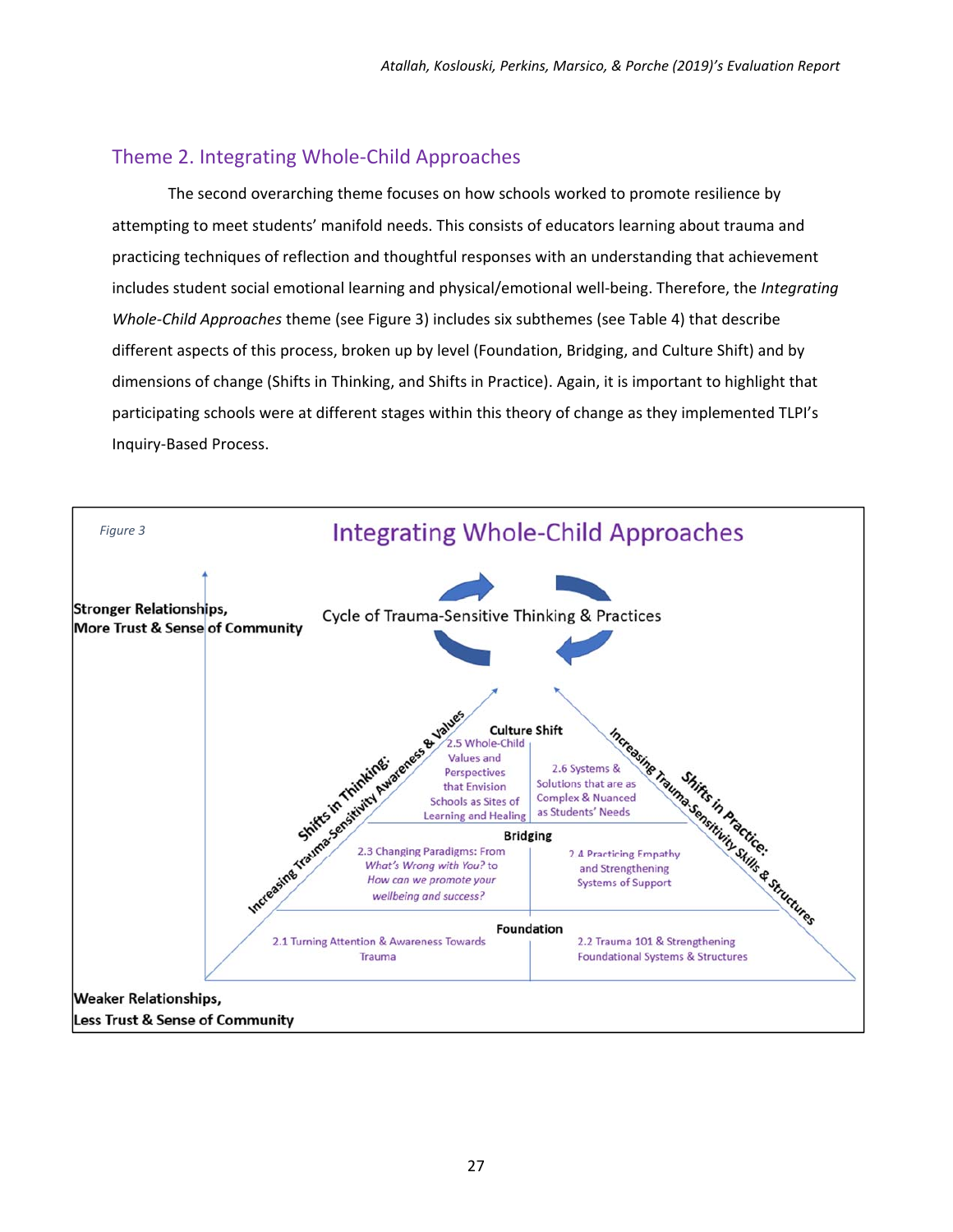### Theme 2. Integrating Whole‐Child Approaches

The second overarching theme focuses on how schools worked to promote resilience by attempting to meet students' manifold needs. This consists of educators learning about trauma and practicing techniques of reflection and thoughtful responses with an understanding that achievement includes student social emotional learning and physical/emotional well‐being. Therefore, the *Integrating Whole‐Child Approaches* theme (see Figure 3) includes six subthemes (see Table 4) that describe different aspects of this process, broken up by level (Foundation, Bridging, and Culture Shift) and by dimensions of change (Shifts in Thinking, and Shifts in Practice). Again, it is important to highlight that participating schools were at different stages within this theory of change as they implemented TLPI's Inquiry‐Based Process.

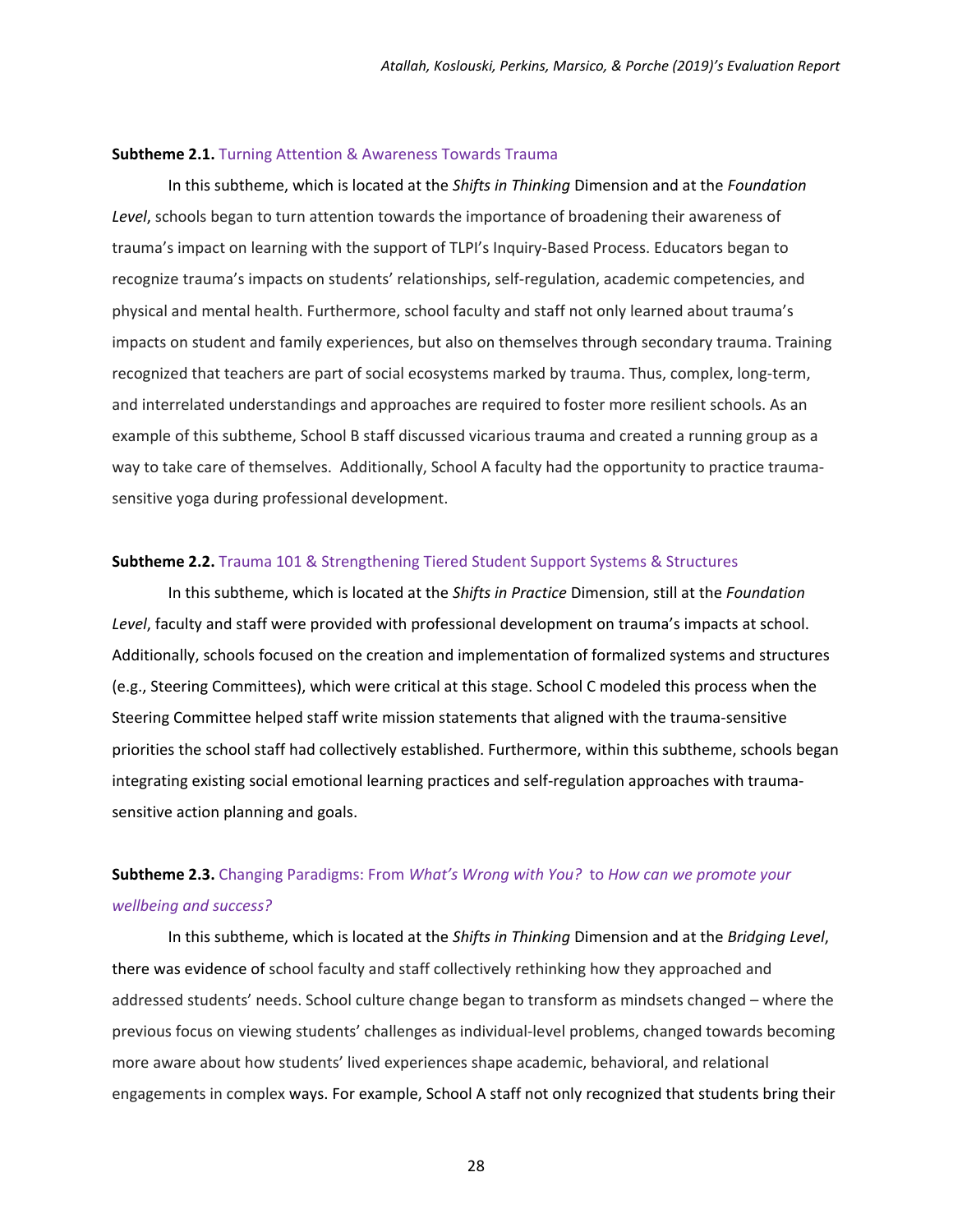#### **Subtheme 2.1.** Turning Attention & Awareness Towards Trauma

In this subtheme, which is located at the *Shifts in Thinking* Dimension and at the *Foundation Level*, schools began to turn attention towards the importance of broadening their awareness of trauma's impact on learning with the support of TLPI's Inquiry‐Based Process. Educators began to recognize trauma's impacts on students' relationships, self‐regulation, academic competencies, and physical and mental health. Furthermore, school faculty and staff not only learned about trauma's impacts on student and family experiences, but also on themselves through secondary trauma. Training recognized that teachers are part of social ecosystems marked by trauma. Thus, complex, long-term, and interrelated understandings and approaches are required to foster more resilient schools. As an example of this subtheme, School B staff discussed vicarious trauma and created a running group as a way to take care of themselves. Additionally, School A faculty had the opportunity to practice traumasensitive yoga during professional development.

#### **Subtheme 2.2.** Trauma 101 & Strengthening Tiered Student Support Systems & Structures

In this subtheme, which is located at the *Shifts in Practice* Dimension, still at the *Foundation Level*, faculty and staff were provided with professional development on trauma's impacts at school. Additionally, schools focused on the creation and implementation of formalized systems and structures (e.g., Steering Committees), which were critical at this stage. School C modeled this process when the Steering Committee helped staff write mission statements that aligned with the trauma‐sensitive priorities the school staff had collectively established. Furthermore, within this subtheme, schools began integrating existing social emotional learning practices and self-regulation approaches with traumasensitive action planning and goals.

### **Subtheme 2.3.** Changing Paradigms: From *What's Wrong with You?* to *How can we promote your wellbeing and success?*

In this subtheme, which is located at the *Shifts in Thinking* Dimension and at the *Bridging Level*, there was evidence of school faculty and staff collectively rethinking how they approached and addressed students' needs. School culture change began to transform as mindsets changed – where the previous focus on viewing students' challenges as individual‐level problems, changed towards becoming more aware about how students' lived experiences shape academic, behavioral, and relational engagements in complex ways. For example, School A staff not only recognized that students bring their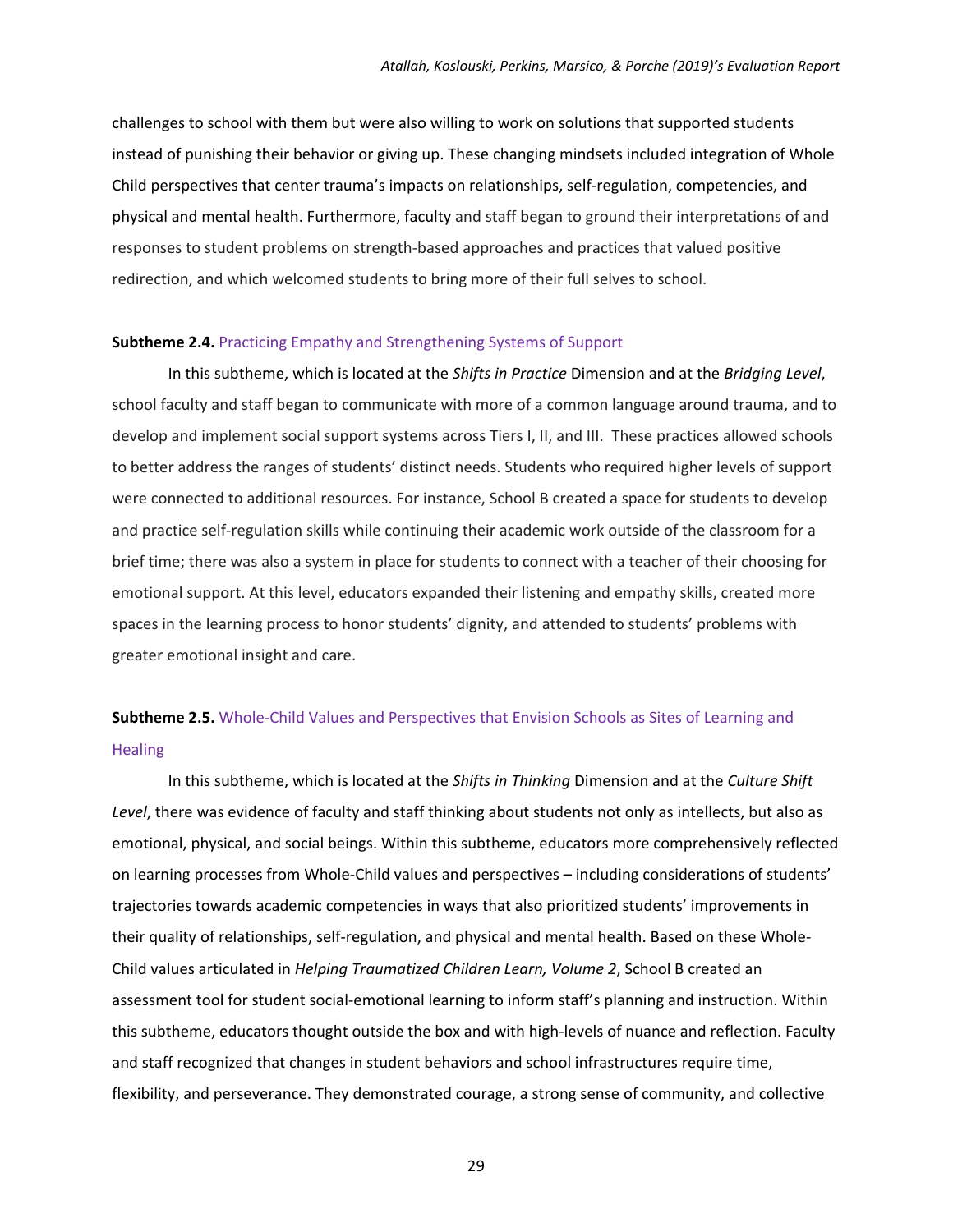challenges to school with them but were also willing to work on solutions that supported students instead of punishing their behavior or giving up. These changing mindsets included integration of Whole Child perspectives that center trauma's impacts on relationships, self‐regulation, competencies, and physical and mental health. Furthermore, faculty and staff began to ground their interpretations of and responses to student problems on strength‐based approaches and practices that valued positive redirection, and which welcomed students to bring more of their full selves to school.

#### **Subtheme 2.4.** Practicing Empathy and Strengthening Systems of Support

In this subtheme, which is located at the *Shifts in Practice* Dimension and at the *Bridging Level*, school faculty and staff began to communicate with more of a common language around trauma, and to develop and implement social support systems across Tiers I, II, and III. These practices allowed schools to better address the ranges of students' distinct needs. Students who required higher levels of support were connected to additional resources. For instance, School B created a space for students to develop and practice self-regulation skills while continuing their academic work outside of the classroom for a brief time; there was also a system in place for students to connect with a teacher of their choosing for emotional support. At this level, educators expanded their listening and empathy skills, created more spaces in the learning process to honor students' dignity, and attended to students' problems with greater emotional insight and care.

### **Subtheme 2.5.** Whole‐Child Values and Perspectives that Envision Schools as Sites of Learning and **Healing**

In this subtheme, which is located at the *Shifts in Thinking* Dimension and at the *Culture Shift Level*, there was evidence of faculty and staff thinking about students not only as intellects, but also as emotional, physical, and social beings. Within this subtheme, educators more comprehensively reflected on learning processes from Whole‐Child values and perspectives – including considerations of students' trajectories towards academic competencies in ways that also prioritized students' improvements in their quality of relationships, self-regulation, and physical and mental health. Based on these Whole-Child values articulated in *Helping Traumatized Children Learn, Volume 2*, School B created an assessment tool for student social‐emotional learning to inform staff's planning and instruction. Within this subtheme, educators thought outside the box and with high‐levels of nuance and reflection. Faculty and staff recognized that changes in student behaviors and school infrastructures require time, flexibility, and perseverance. They demonstrated courage, a strong sense of community, and collective

<u>29 and 29 and 2018</u>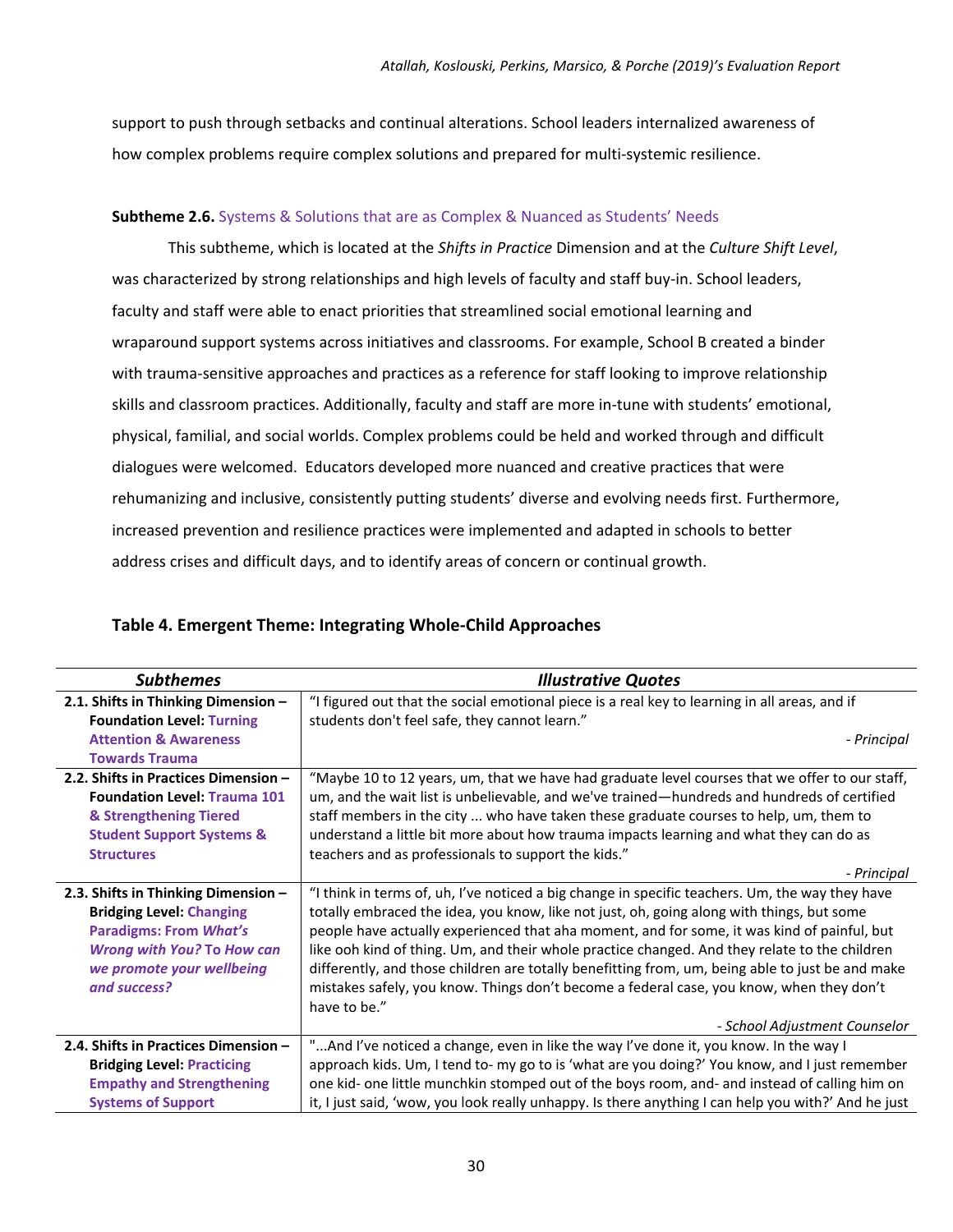support to push through setbacks and continual alterations. School leaders internalized awareness of how complex problems require complex solutions and prepared for multi-systemic resilience.

#### **Subtheme 2.6.** Systems & Solutions that are as Complex & Nuanced as Students' Needs

This subtheme, which is located at the *Shifts in Practice* Dimension and at the *Culture Shift Level*, was characterized by strong relationships and high levels of faculty and staff buy-in. School leaders, faculty and staff were able to enact priorities that streamlined social emotional learning and wraparound support systems across initiatives and classrooms. For example, School B created a binder with trauma-sensitive approaches and practices as a reference for staff looking to improve relationship skills and classroom practices. Additionally, faculty and staff are more in-tune with students' emotional, physical, familial, and social worlds. Complex problems could be held and worked through and difficult dialogues were welcomed. Educators developed more nuanced and creative practices that were rehumanizing and inclusive, consistently putting students' diverse and evolving needs first. Furthermore, increased prevention and resilience practices were implemented and adapted in schools to better address crises and difficult days, and to identify areas of concern or continual growth.

#### **Table 4. Emergent Theme: Integrating Whole‐Child Approaches**

| <b>Subthemes</b>                     | <b>Illustrative Quotes</b>                                                                          |
|--------------------------------------|-----------------------------------------------------------------------------------------------------|
| 2.1. Shifts in Thinking Dimension -  | "I figured out that the social emotional piece is a real key to learning in all areas, and if       |
| <b>Foundation Level: Turning</b>     | students don't feel safe, they cannot learn."                                                       |
| <b>Attention &amp; Awareness</b>     | - Principal                                                                                         |
| <b>Towards Trauma</b>                |                                                                                                     |
| 2.2. Shifts in Practices Dimension - | "Maybe 10 to 12 years, um, that we have had graduate level courses that we offer to our staff,      |
| <b>Foundation Level: Trauma 101</b>  | um, and the wait list is unbelievable, and we've trained—hundreds and hundreds of certified         |
| & Strengthening Tiered               | staff members in the city  who have taken these graduate courses to help, um, them to               |
| <b>Student Support Systems &amp;</b> | understand a little bit more about how trauma impacts learning and what they can do as              |
| <b>Structures</b>                    | teachers and as professionals to support the kids."                                                 |
|                                      | - Principal                                                                                         |
| 2.3. Shifts in Thinking Dimension -  | "I think in terms of, uh, I've noticed a big change in specific teachers. Um, the way they have     |
| <b>Bridging Level: Changing</b>      | totally embraced the idea, you know, like not just, oh, going along with things, but some           |
| <b>Paradigms: From What's</b>        | people have actually experienced that aha moment, and for some, it was kind of painful, but         |
| <b>Wrong with You? To How can</b>    | like ooh kind of thing. Um, and their whole practice changed. And they relate to the children       |
| we promote your wellbeing            | differently, and those children are totally benefitting from, um, being able to just be and make    |
| and success?                         | mistakes safely, you know. Things don't become a federal case, you know, when they don't            |
|                                      | have to be."                                                                                        |
|                                      | - School Adjustment Counselor                                                                       |
| 2.4. Shifts in Practices Dimension - | "And I've noticed a change, even in like the way I've done it, you know. In the way I               |
| <b>Bridging Level: Practicing</b>    | approach kids. Um, I tend to- my go to is 'what are you doing?' You know, and I just remember       |
| <b>Empathy and Strengthening</b>     | one kid- one little munchkin stomped out of the boys room, and- and instead of calling him on       |
| <b>Systems of Support</b>            | it, I just said, 'wow, you look really unhappy. Is there anything I can help you with?' And he just |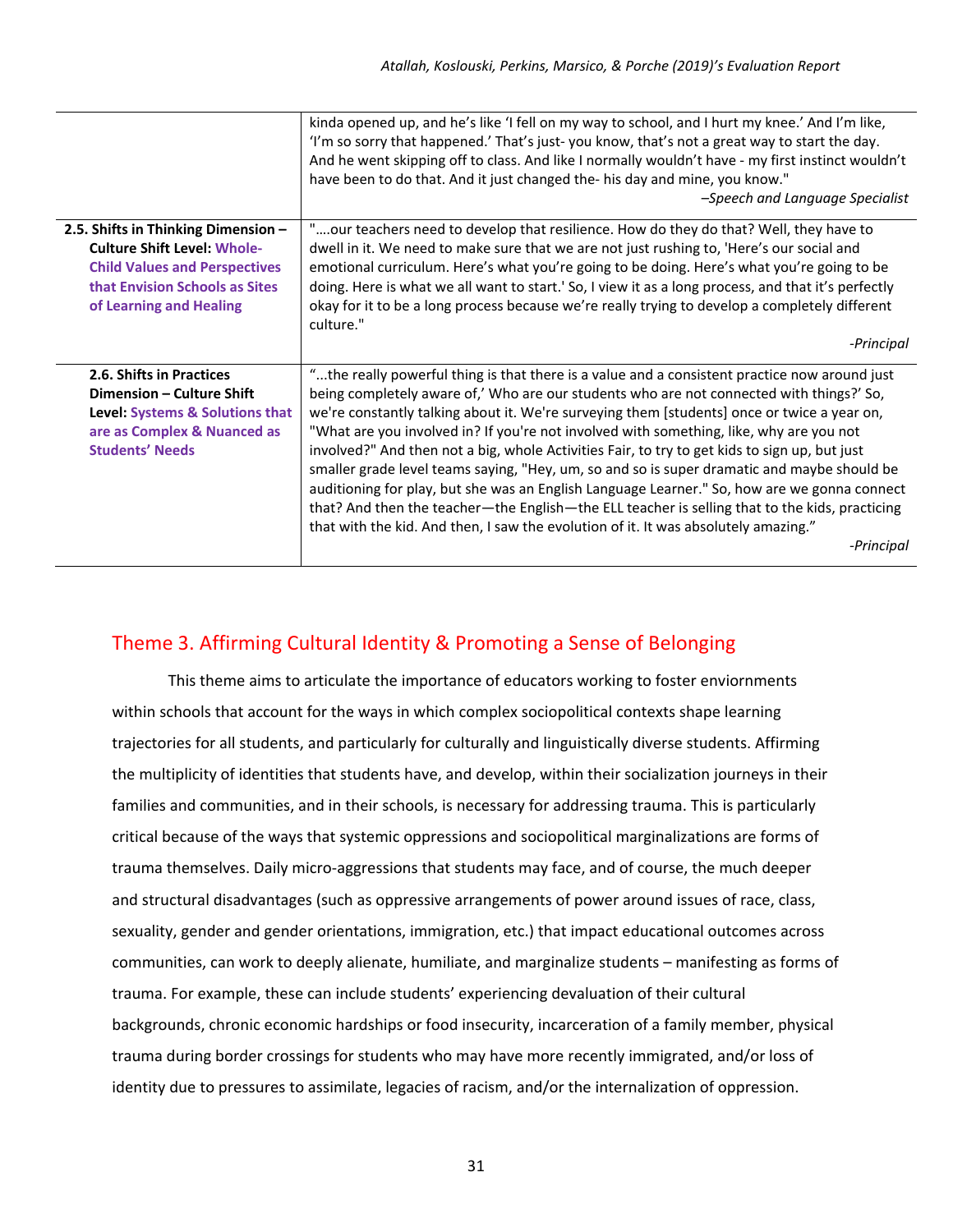|                                                                                                                                                              | kinda opened up, and he's like 'I fell on my way to school, and I hurt my knee.' And I'm like,<br>'I'm so sorry that happened.' That's just-you know, that's not a great way to start the day.<br>And he went skipping off to class. And like I normally wouldn't have - my first instinct wouldn't<br>have been to do that. And it just changed the- his day and mine, you know."<br>-Speech and Language Specialist                                                                                                                                                                                                                                                                                                                                                                                                                                                                      |
|--------------------------------------------------------------------------------------------------------------------------------------------------------------|--------------------------------------------------------------------------------------------------------------------------------------------------------------------------------------------------------------------------------------------------------------------------------------------------------------------------------------------------------------------------------------------------------------------------------------------------------------------------------------------------------------------------------------------------------------------------------------------------------------------------------------------------------------------------------------------------------------------------------------------------------------------------------------------------------------------------------------------------------------------------------------------|
| 2.5. Shifts in Thinking Dimension -                                                                                                                          | "our teachers need to develop that resilience. How do they do that? Well, they have to                                                                                                                                                                                                                                                                                                                                                                                                                                                                                                                                                                                                                                                                                                                                                                                                     |
| <b>Culture Shift Level: Whole-</b>                                                                                                                           | dwell in it. We need to make sure that we are not just rushing to, 'Here's our social and                                                                                                                                                                                                                                                                                                                                                                                                                                                                                                                                                                                                                                                                                                                                                                                                  |
| <b>Child Values and Perspectives</b><br>that Envision Schools as Sites                                                                                       | emotional curriculum. Here's what you're going to be doing. Here's what you're going to be<br>doing. Here is what we all want to start.' So, I view it as a long process, and that it's perfectly                                                                                                                                                                                                                                                                                                                                                                                                                                                                                                                                                                                                                                                                                          |
| of Learning and Healing                                                                                                                                      | okay for it to be a long process because we're really trying to develop a completely different<br>culture."                                                                                                                                                                                                                                                                                                                                                                                                                                                                                                                                                                                                                                                                                                                                                                                |
|                                                                                                                                                              | -Principal                                                                                                                                                                                                                                                                                                                                                                                                                                                                                                                                                                                                                                                                                                                                                                                                                                                                                 |
| 2.6. Shifts in Practices<br>Dimension - Culture Shift<br><b>Level: Systems &amp; Solutions that</b><br>are as Complex & Nuanced as<br><b>Students' Needs</b> | "the really powerful thing is that there is a value and a consistent practice now around just<br>being completely aware of,' Who are our students who are not connected with things?' So,<br>we're constantly talking about it. We're surveying them [students] once or twice a year on,<br>"What are you involved in? If you're not involved with something, like, why are you not<br>involved?" And then not a big, whole Activities Fair, to try to get kids to sign up, but just<br>smaller grade level teams saying, "Hey, um, so and so is super dramatic and maybe should be<br>auditioning for play, but she was an English Language Learner." So, how are we gonna connect<br>that? And then the teacher-the English-the ELL teacher is selling that to the kids, practicing<br>that with the kid. And then, I saw the evolution of it. It was absolutely amazing."<br>-Principal |
|                                                                                                                                                              |                                                                                                                                                                                                                                                                                                                                                                                                                                                                                                                                                                                                                                                                                                                                                                                                                                                                                            |

### Theme 3. Affirming Cultural Identity & Promoting a Sense of Belonging

This theme aims to articulate the importance of educators working to foster enviornments within schools that account for the ways in which complex sociopolitical contexts shape learning trajectories for all students, and particularly for culturally and linguistically diverse students. Affirming the multiplicity of identities that students have, and develop, within their socialization journeys in their families and communities, and in their schools, is necessary for addressing trauma. This is particularly critical because of the ways that systemic oppressions and sociopolitical marginalizations are forms of trauma themselves. Daily micro‐aggressions that students may face, and of course, the much deeper and structural disadvantages (such as oppressive arrangements of power around issues of race, class, sexuality, gender and gender orientations, immigration, etc.) that impact educational outcomes across communities, can work to deeply alienate, humiliate, and marginalize students – manifesting as forms of trauma. For example, these can include students' experiencing devaluation of their cultural backgrounds, chronic economic hardships or food insecurity, incarceration of a family member, physical trauma during border crossings for students who may have more recently immigrated, and/or loss of identity due to pressures to assimilate, legacies of racism, and/or the internalization of oppression.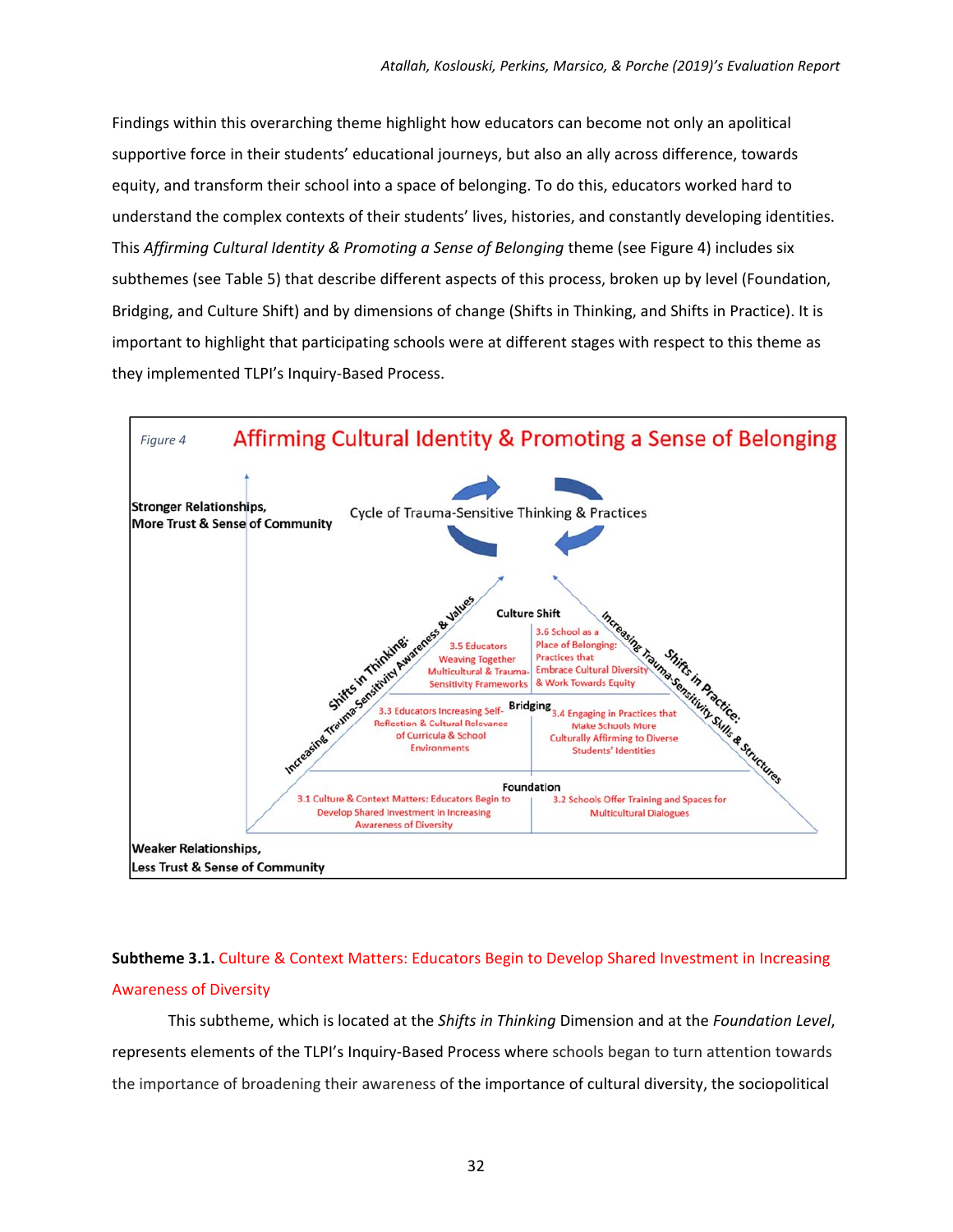Findings within this overarching theme highlight how educators can become not only an apolitical supportive force in their students' educational journeys, but also an ally across difference, towards equity, and transform their school into a space of belonging. To do this, educators worked hard to understand the complex contexts of their students' lives, histories, and constantly developing identities. This *Affirming Cultural Identity & Promoting a Sense of Belonging* theme (see Figure 4) includes six subthemes (see Table 5) that describe different aspects of this process, broken up by level (Foundation, Bridging, and Culture Shift) and by dimensions of change (Shifts in Thinking, and Shifts in Practice). It is important to highlight that participating schools were at different stages with respect to this theme as they implemented TLPI's Inquiry‐Based Process.



### **Subtheme 3.1.** Culture & Context Matters: Educators Begin to Develop Shared Investment in Increasing Awareness of Diversity

This subtheme, which is located at the *Shifts in Thinking* Dimension and at the *Foundation Level*, represents elements of the TLPI's Inquiry‐Based Process where schools began to turn attention towards the importance of broadening their awareness of the importance of cultural diversity, the sociopolitical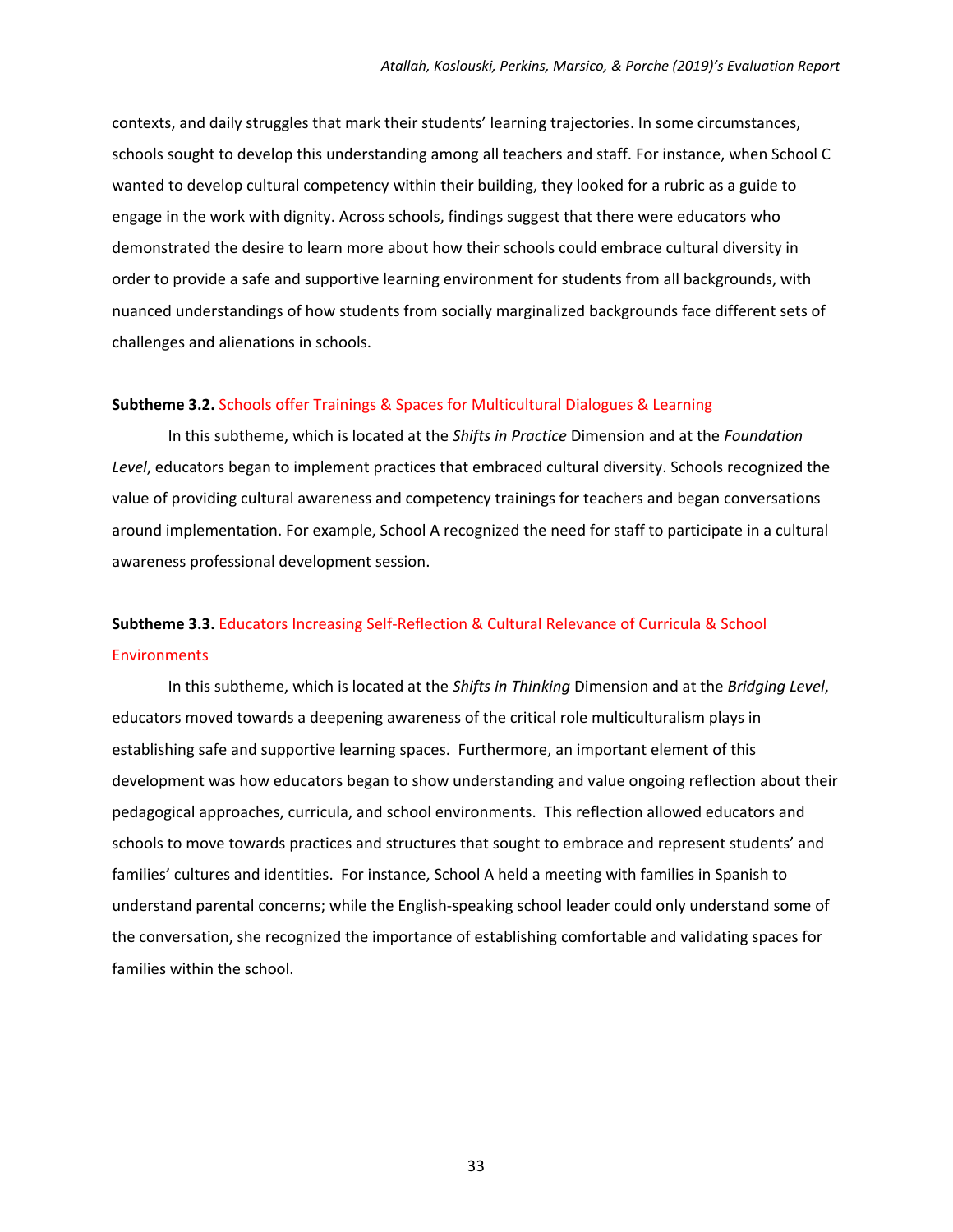contexts, and daily struggles that mark their students' learning trajectories. In some circumstances, schools sought to develop this understanding among all teachers and staff. For instance, when School C wanted to develop cultural competency within their building, they looked for a rubric as a guide to engage in the work with dignity. Across schools, findings suggest that there were educators who demonstrated the desire to learn more about how their schools could embrace cultural diversity in order to provide a safe and supportive learning environment for students from all backgrounds, with nuanced understandings of how students from socially marginalized backgrounds face different sets of challenges and alienations in schools.

#### **Subtheme 3.2.** Schools offer Trainings & Spaces for Multicultural Dialogues & Learning

In this subtheme, which is located at the *Shifts in Practice* Dimension and at the *Foundation Level*, educators began to implement practices that embraced cultural diversity. Schools recognized the value of providing cultural awareness and competency trainings for teachers and began conversations around implementation. For example, School A recognized the need for staff to participate in a cultural awareness professional development session.

### **Subtheme 3.3.** Educators Increasing Self‐Reflection & Cultural Relevance of Curricula & School **Environments**

In this subtheme, which is located at the *Shifts in Thinking* Dimension and at the *Bridging Level*, educators moved towards a deepening awareness of the critical role multiculturalism plays in establishing safe and supportive learning spaces. Furthermore, an important element of this development was how educators began to show understanding and value ongoing reflection about their pedagogical approaches, curricula, and school environments. This reflection allowed educators and schools to move towards practices and structures that sought to embrace and represent students' and families' cultures and identities. For instance, School A held a meeting with families in Spanish to understand parental concerns; while the English‐speaking school leader could only understand some of the conversation, she recognized the importance of establishing comfortable and validating spaces for families within the school.

33 and 2012 and 2013 and 2013 and 2014 and 2014 and 2014 and 2014 and 2014 and 2014 and 2014 and 2014 and 2014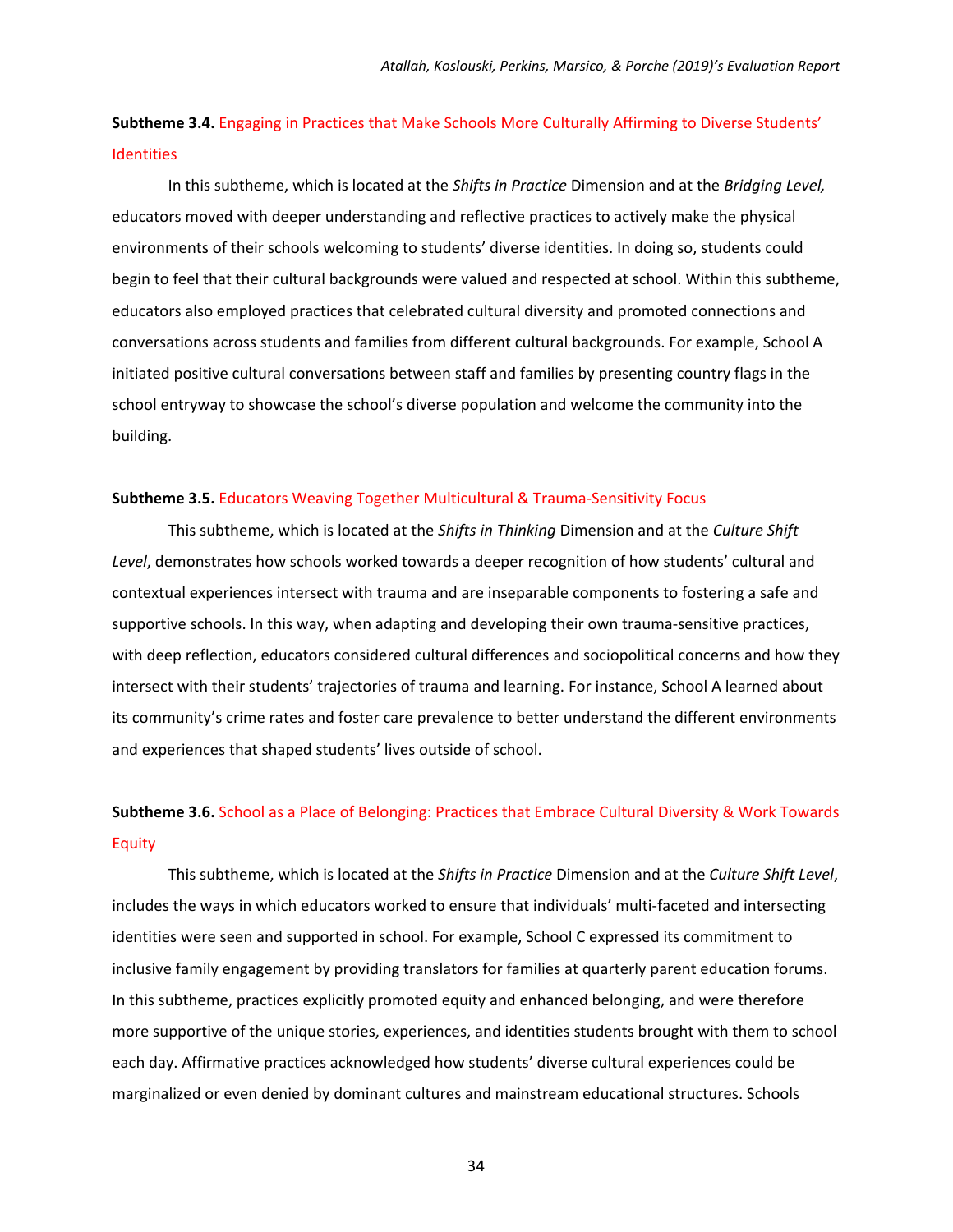### **Subtheme 3.4.** Engaging in Practices that Make Schools More Culturally Affirming to Diverse Students' **Identities**

In this subtheme, which is located at the *Shifts in Practice* Dimension and at the *Bridging Level,*  educators moved with deeper understanding and reflective practices to actively make the physical environments of their schools welcoming to students' diverse identities. In doing so, students could begin to feel that their cultural backgrounds were valued and respected at school. Within this subtheme, educators also employed practices that celebrated cultural diversity and promoted connections and conversations across students and families from different cultural backgrounds. For example, School A initiated positive cultural conversations between staff and families by presenting country flags in the school entryway to showcase the school's diverse population and welcome the community into the building.

#### **Subtheme 3.5.** Educators Weaving Together Multicultural & Trauma‐Sensitivity Focus

This subtheme, which is located at the *Shifts in Thinking* Dimension and at the *Culture Shift Level*, demonstrates how schools worked towards a deeper recognition of how students' cultural and contextual experiences intersect with trauma and are inseparable components to fostering a safe and supportive schools. In this way, when adapting and developing their own trauma-sensitive practices, with deep reflection, educators considered cultural differences and sociopolitical concerns and how they intersect with their students' trajectories of trauma and learning. For instance, School A learned about its community's crime rates and foster care prevalence to better understand the different environments and experiences that shaped students' lives outside of school.

### **Subtheme 3.6.** School as a Place of Belonging: Practices that Embrace Cultural Diversity & Work Towards Equity

This subtheme, which is located at the *Shifts in Practice* Dimension and at the *Culture Shift Level*, includes the ways in which educators worked to ensure that individuals' multi-faceted and intersecting identities were seen and supported in school. For example, School C expressed its commitment to inclusive family engagement by providing translators for families at quarterly parent education forums. In this subtheme, practices explicitly promoted equity and enhanced belonging, and were therefore more supportive of the unique stories, experiences, and identities students brought with them to school each day. Affirmative practices acknowledged how students' diverse cultural experiences could be marginalized or even denied by dominant cultures and mainstream educational structures. Schools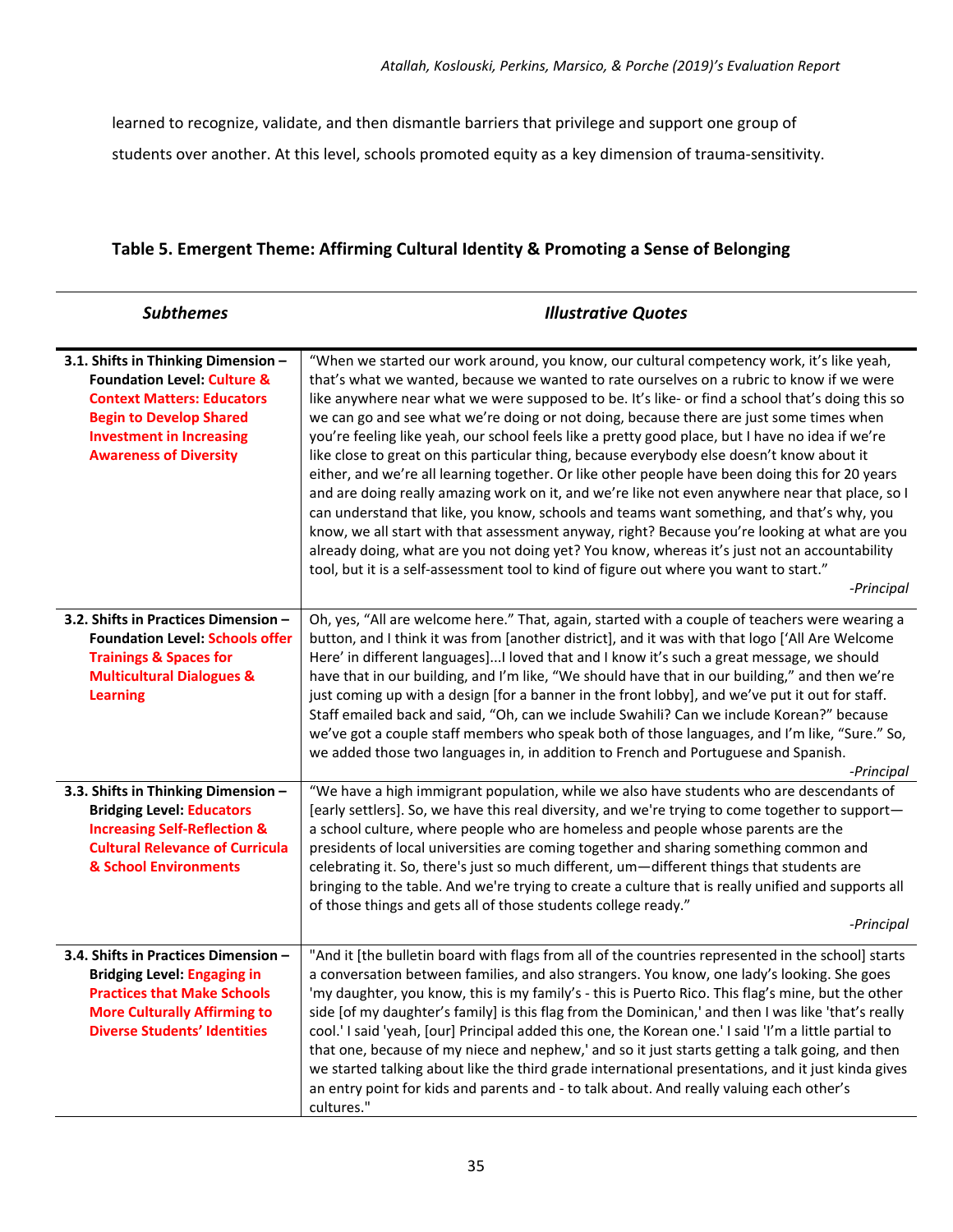learned to recognize, validate, and then dismantle barriers that privilege and support one group of students over another. At this level, schools promoted equity as a key dimension of trauma‐sensitivity.

### **Table 5. Emergent Theme: Affirming Cultural Identity & Promoting a Sense of Belonging**

| <b>Subthemes</b>                                                                                                                                                                                                         | <b>Illustrative Quotes</b>                                                                                                                                                                                                                                                                                                                                                                                                                                                                                                                                                                                                                                                                                                                                                                                                                                                                                                                                                                                                                                                                                                                                                                          |
|--------------------------------------------------------------------------------------------------------------------------------------------------------------------------------------------------------------------------|-----------------------------------------------------------------------------------------------------------------------------------------------------------------------------------------------------------------------------------------------------------------------------------------------------------------------------------------------------------------------------------------------------------------------------------------------------------------------------------------------------------------------------------------------------------------------------------------------------------------------------------------------------------------------------------------------------------------------------------------------------------------------------------------------------------------------------------------------------------------------------------------------------------------------------------------------------------------------------------------------------------------------------------------------------------------------------------------------------------------------------------------------------------------------------------------------------|
| 3.1. Shifts in Thinking Dimension -<br><b>Foundation Level: Culture &amp;</b><br><b>Context Matters: Educators</b><br><b>Begin to Develop Shared</b><br><b>Investment in Increasing</b><br><b>Awareness of Diversity</b> | "When we started our work around, you know, our cultural competency work, it's like yeah,<br>that's what we wanted, because we wanted to rate ourselves on a rubric to know if we were<br>like anywhere near what we were supposed to be. It's like- or find a school that's doing this so<br>we can go and see what we're doing or not doing, because there are just some times when<br>you're feeling like yeah, our school feels like a pretty good place, but I have no idea if we're<br>like close to great on this particular thing, because everybody else doesn't know about it<br>either, and we're all learning together. Or like other people have been doing this for 20 years<br>and are doing really amazing work on it, and we're like not even anywhere near that place, so I<br>can understand that like, you know, schools and teams want something, and that's why, you<br>know, we all start with that assessment anyway, right? Because you're looking at what are you<br>already doing, what are you not doing yet? You know, whereas it's just not an accountability<br>tool, but it is a self-assessment tool to kind of figure out where you want to start."<br>-Principal |
| 3.2. Shifts in Practices Dimension -<br><b>Foundation Level: Schools offer</b><br><b>Trainings &amp; Spaces for</b><br><b>Multicultural Dialogues &amp;</b><br><b>Learning</b>                                           | Oh, yes, "All are welcome here." That, again, started with a couple of teachers were wearing a<br>button, and I think it was from [another district], and it was with that logo ['All Are Welcome<br>Here' in different languages]I loved that and I know it's such a great message, we should<br>have that in our building, and I'm like, "We should have that in our building," and then we're<br>just coming up with a design [for a banner in the front lobby], and we've put it out for staff.<br>Staff emailed back and said, "Oh, can we include Swahili? Can we include Korean?" because<br>we've got a couple staff members who speak both of those languages, and I'm like, "Sure." So,<br>we added those two languages in, in addition to French and Portuguese and Spanish.<br>-Principal                                                                                                                                                                                                                                                                                                                                                                                               |
| 3.3. Shifts in Thinking Dimension -<br><b>Bridging Level: Educators</b><br><b>Increasing Self-Reflection &amp;</b><br><b>Cultural Relevance of Curricula</b><br>& School Environments                                    | "We have a high immigrant population, while we also have students who are descendants of<br>[early settlers]. So, we have this real diversity, and we're trying to come together to support-<br>a school culture, where people who are homeless and people whose parents are the<br>presidents of local universities are coming together and sharing something common and<br>celebrating it. So, there's just so much different, um-different things that students are<br>bringing to the table. And we're trying to create a culture that is really unified and supports all<br>of those things and gets all of those students college ready."<br>-Principal                                                                                                                                                                                                                                                                                                                                                                                                                                                                                                                                       |
| 3.4. Shifts in Practices Dimension -<br><b>Bridging Level: Engaging in</b><br><b>Practices that Make Schools</b><br><b>More Culturally Affirming to</b><br><b>Diverse Students' Identities</b>                           | "And it [the bulletin board with flags from all of the countries represented in the school] starts<br>a conversation between families, and also strangers. You know, one lady's looking. She goes<br>'my daughter, you know, this is my family's - this is Puerto Rico. This flag's mine, but the other<br>side [of my daughter's family] is this flag from the Dominican,' and then I was like 'that's really<br>cool.' I said 'yeah, [our] Principal added this one, the Korean one.' I said 'I'm a little partial to<br>that one, because of my niece and nephew,' and so it just starts getting a talk going, and then<br>we started talking about like the third grade international presentations, and it just kinda gives<br>an entry point for kids and parents and - to talk about. And really valuing each other's<br>cultures."                                                                                                                                                                                                                                                                                                                                                          |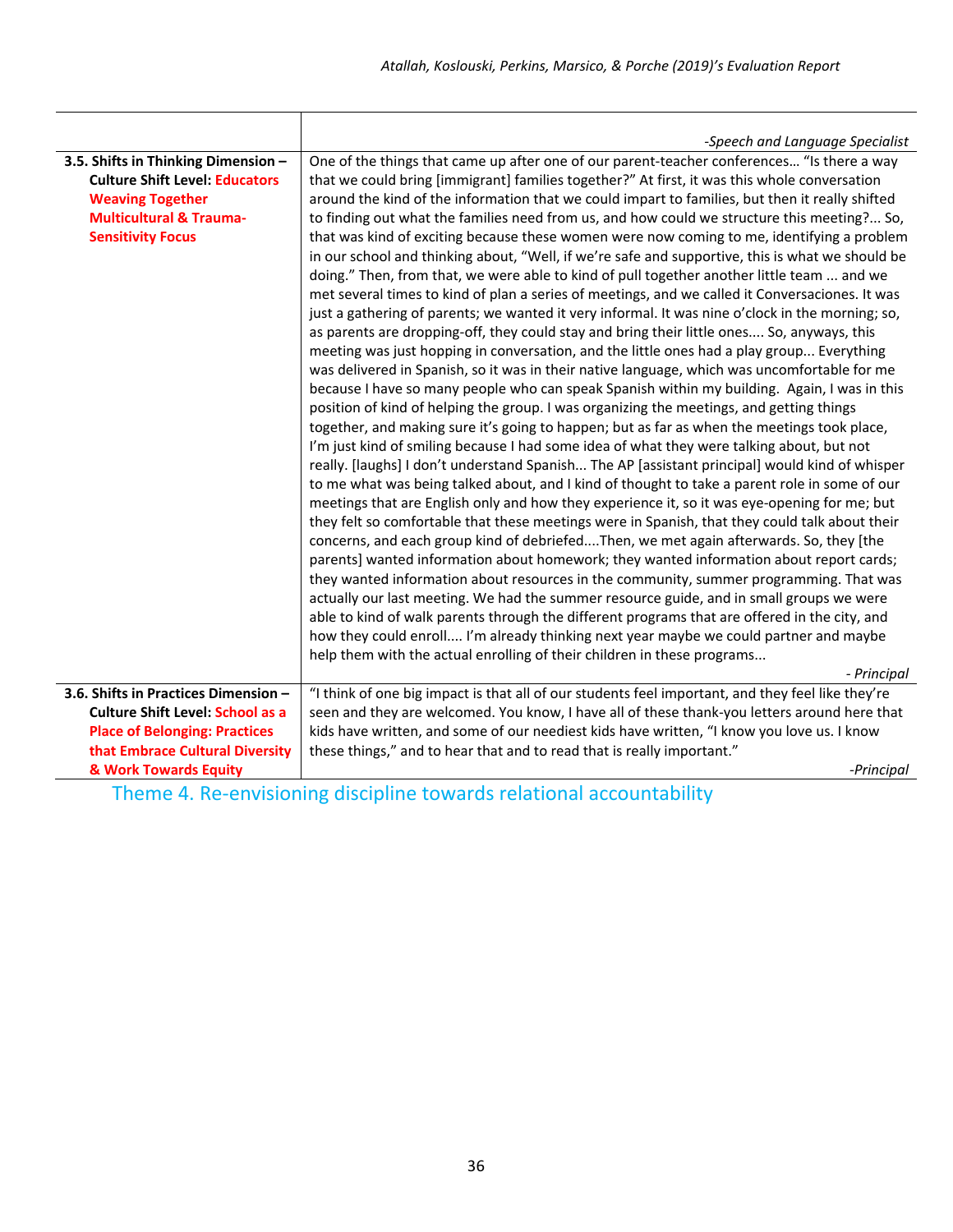|                                         | -Speech and Language Specialist                                                                                                                                                                                                                                                                                                                                                                                                                                                                                                                                                                                                                                                                                                                                                                                                                                                                                                                                                                                                                                                                                                                                                                                                                                                          |
|-----------------------------------------|------------------------------------------------------------------------------------------------------------------------------------------------------------------------------------------------------------------------------------------------------------------------------------------------------------------------------------------------------------------------------------------------------------------------------------------------------------------------------------------------------------------------------------------------------------------------------------------------------------------------------------------------------------------------------------------------------------------------------------------------------------------------------------------------------------------------------------------------------------------------------------------------------------------------------------------------------------------------------------------------------------------------------------------------------------------------------------------------------------------------------------------------------------------------------------------------------------------------------------------------------------------------------------------|
| 3.5. Shifts in Thinking Dimension -     | One of the things that came up after one of our parent-teacher conferences "Is there a way                                                                                                                                                                                                                                                                                                                                                                                                                                                                                                                                                                                                                                                                                                                                                                                                                                                                                                                                                                                                                                                                                                                                                                                               |
| <b>Culture Shift Level: Educators</b>   | that we could bring [immigrant] families together?" At first, it was this whole conversation                                                                                                                                                                                                                                                                                                                                                                                                                                                                                                                                                                                                                                                                                                                                                                                                                                                                                                                                                                                                                                                                                                                                                                                             |
| <b>Weaving Together</b>                 | around the kind of the information that we could impart to families, but then it really shifted                                                                                                                                                                                                                                                                                                                                                                                                                                                                                                                                                                                                                                                                                                                                                                                                                                                                                                                                                                                                                                                                                                                                                                                          |
| <b>Multicultural &amp; Trauma-</b>      | to finding out what the families need from us, and how could we structure this meeting? So,                                                                                                                                                                                                                                                                                                                                                                                                                                                                                                                                                                                                                                                                                                                                                                                                                                                                                                                                                                                                                                                                                                                                                                                              |
| <b>Sensitivity Focus</b>                | that was kind of exciting because these women were now coming to me, identifying a problem<br>in our school and thinking about, "Well, if we're safe and supportive, this is what we should be<br>doing." Then, from that, we were able to kind of pull together another little team  and we<br>met several times to kind of plan a series of meetings, and we called it Conversaciones. It was<br>just a gathering of parents; we wanted it very informal. It was nine o'clock in the morning; so,<br>as parents are dropping-off, they could stay and bring their little ones So, anyways, this<br>meeting was just hopping in conversation, and the little ones had a play group Everything<br>was delivered in Spanish, so it was in their native language, which was uncomfortable for me<br>because I have so many people who can speak Spanish within my building. Again, I was in this<br>position of kind of helping the group. I was organizing the meetings, and getting things<br>together, and making sure it's going to happen; but as far as when the meetings took place,<br>I'm just kind of smiling because I had some idea of what they were talking about, but not<br>really. [laughs] I don't understand Spanish The AP [assistant principal] would kind of whisper |
|                                         | to me what was being talked about, and I kind of thought to take a parent role in some of our<br>meetings that are English only and how they experience it, so it was eye-opening for me; but<br>they felt so comfortable that these meetings were in Spanish, that they could talk about their<br>concerns, and each group kind of debriefedThen, we met again afterwards. So, they [the<br>parents] wanted information about homework; they wanted information about report cards;<br>they wanted information about resources in the community, summer programming. That was<br>actually our last meeting. We had the summer resource guide, and in small groups we were<br>able to kind of walk parents through the different programs that are offered in the city, and<br>how they could enroll I'm already thinking next year maybe we could partner and maybe<br>help them with the actual enrolling of their children in these programs<br>- Principal                                                                                                                                                                                                                                                                                                                           |
| 3.6. Shifts in Practices Dimension -    | "I think of one big impact is that all of our students feel important, and they feel like they're                                                                                                                                                                                                                                                                                                                                                                                                                                                                                                                                                                                                                                                                                                                                                                                                                                                                                                                                                                                                                                                                                                                                                                                        |
| <b>Culture Shift Level: School as a</b> | seen and they are welcomed. You know, I have all of these thank-you letters around here that                                                                                                                                                                                                                                                                                                                                                                                                                                                                                                                                                                                                                                                                                                                                                                                                                                                                                                                                                                                                                                                                                                                                                                                             |
| <b>Place of Belonging: Practices</b>    | kids have written, and some of our neediest kids have written, "I know you love us. I know                                                                                                                                                                                                                                                                                                                                                                                                                                                                                                                                                                                                                                                                                                                                                                                                                                                                                                                                                                                                                                                                                                                                                                                               |
| that Embrace Cultural Diversity         | these things," and to hear that and to read that is really important."                                                                                                                                                                                                                                                                                                                                                                                                                                                                                                                                                                                                                                                                                                                                                                                                                                                                                                                                                                                                                                                                                                                                                                                                                   |
| & Work Towards Equity                   | -Principal                                                                                                                                                                                                                                                                                                                                                                                                                                                                                                                                                                                                                                                                                                                                                                                                                                                                                                                                                                                                                                                                                                                                                                                                                                                                               |
|                                         | the contract of the contract of the<br>$\sim$ 1.4 $\sim$ 1.4 $\sim$ 1.4 $\sim$<br>$\mathbf{r} = \mathbf{r} \cdot \mathbf{r}$                                                                                                                                                                                                                                                                                                                                                                                                                                                                                                                                                                                                                                                                                                                                                                                                                                                                                                                                                                                                                                                                                                                                                             |

Theme 4. Re-envisioning discipline towards relational accountability

┱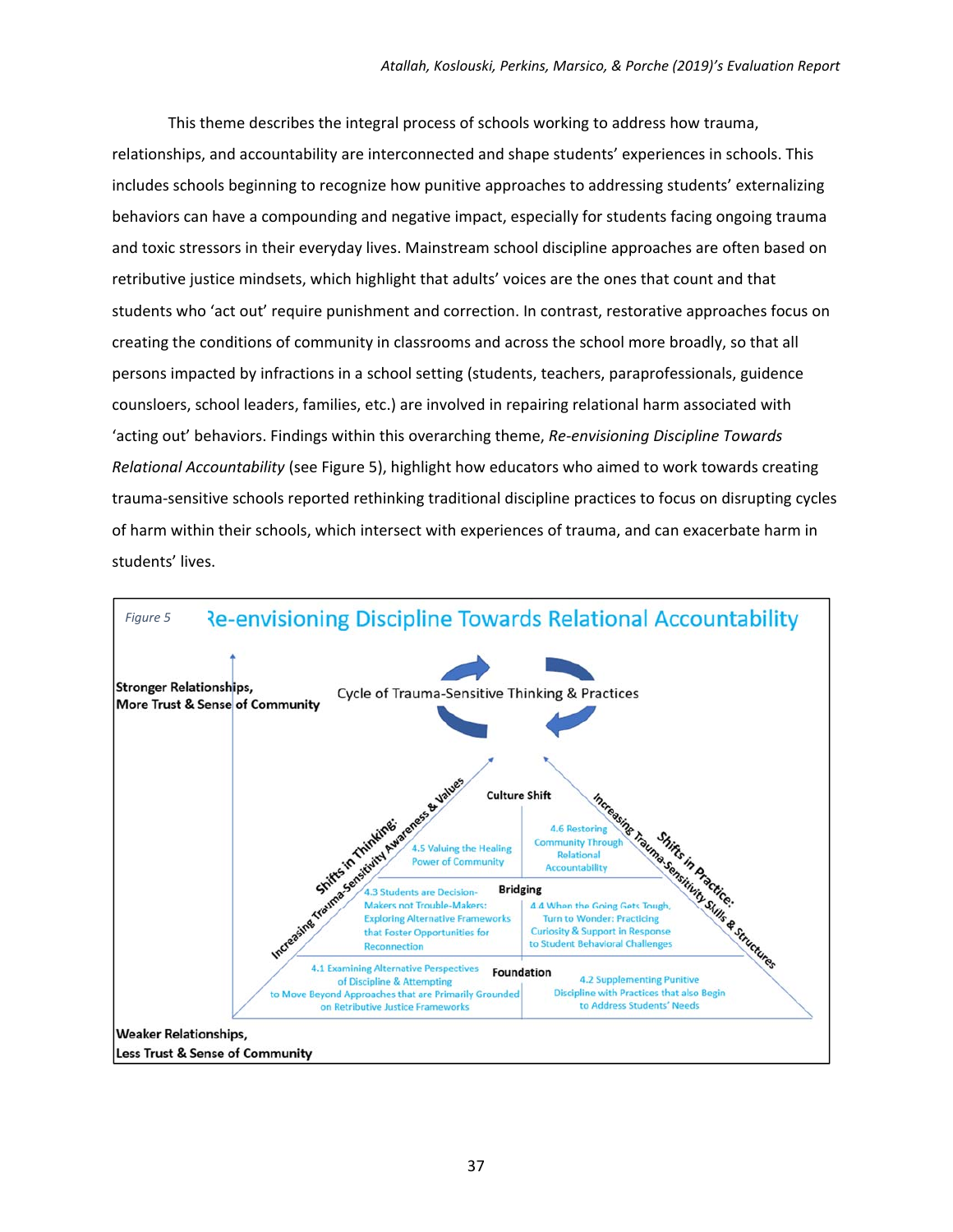This theme describes the integral process of schools working to address how trauma, relationships, and accountability are interconnected and shape students' experiences in schools. This includes schools beginning to recognize how punitive approaches to addressing students' externalizing behaviors can have a compounding and negative impact, especially for students facing ongoing trauma and toxic stressors in their everyday lives. Mainstream school discipline approaches are often based on retributive justice mindsets, which highlight that adults' voices are the ones that count and that students who 'act out' require punishment and correction. In contrast, restorative approaches focus on creating the conditions of community in classrooms and across the school more broadly, so that all persons impacted by infractions in a school setting (students, teachers, paraprofessionals, guidence counsloers, school leaders, families, etc.) are involved in repairing relational harm associated with 'acting out' behaviors. Findings within this overarching theme, *Re‐envisioning Discipline Towards Relational Accountability* (see Figure 5), highlight how educators who aimed to work towards creating trauma‐sensitive schools reported rethinking traditional discipline practices to focus on disrupting cycles of harm within their schools, which intersect with experiences of trauma, and can exacerbate harm in students' lives.

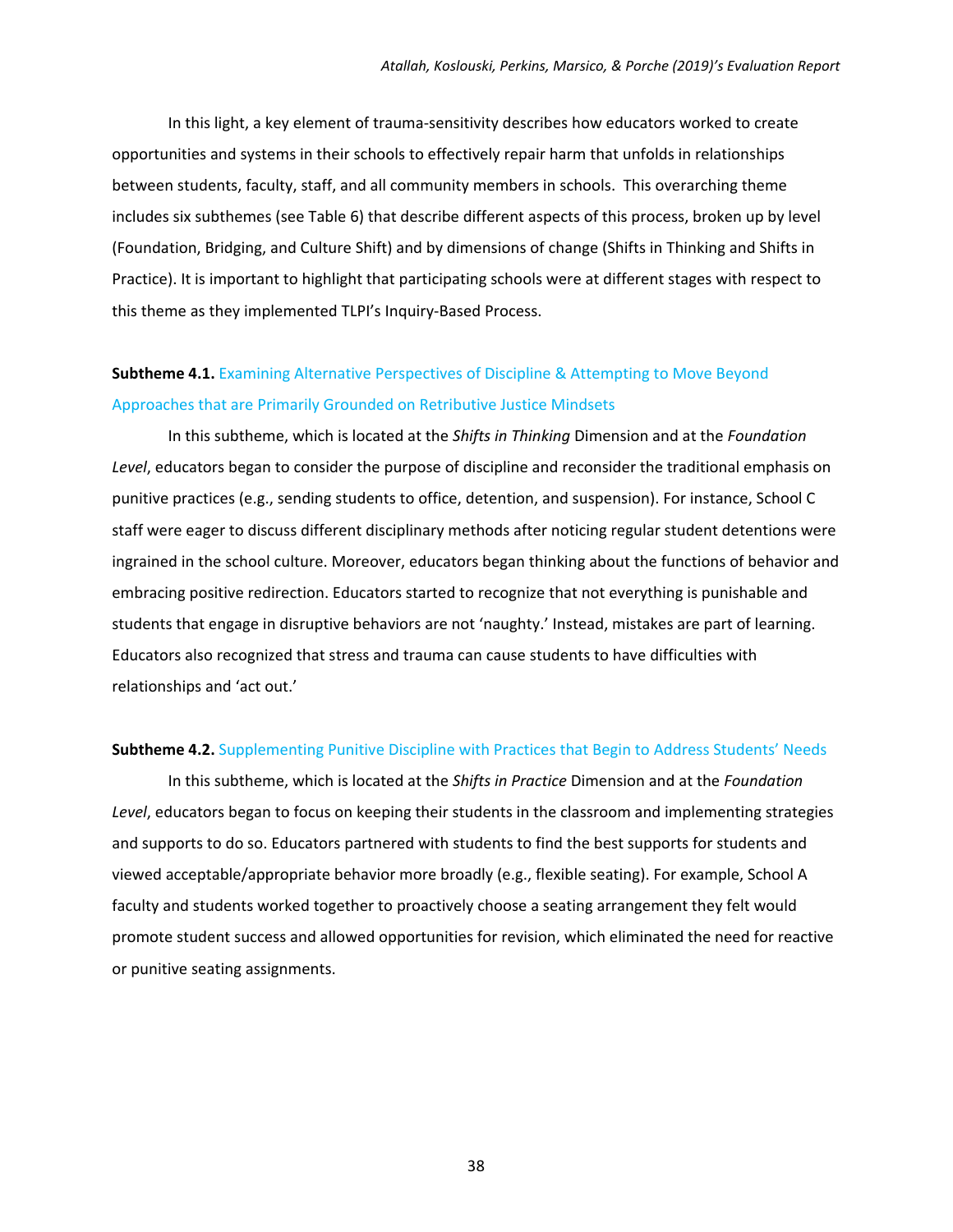In this light, a key element of trauma‐sensitivity describes how educators worked to create opportunities and systems in their schools to effectively repair harm that unfolds in relationships between students, faculty, staff, and all community members in schools. This overarching theme includes six subthemes (see Table 6) that describe different aspects of this process, broken up by level (Foundation, Bridging, and Culture Shift) and by dimensions of change (Shifts in Thinking and Shifts in Practice). It is important to highlight that participating schools were at different stages with respect to this theme as they implemented TLPI's Inquiry‐Based Process.

### **Subtheme 4.1.** Examining Alternative Perspectives of Discipline & Attempting to Move Beyond Approaches that are Primarily Grounded on Retributive Justice Mindsets

In this subtheme, which is located at the *Shifts in Thinking* Dimension and at the *Foundation Level*, educators began to consider the purpose of discipline and reconsider the traditional emphasis on punitive practices (e.g., sending students to office, detention, and suspension). For instance, School C staff were eager to discuss different disciplinary methods after noticing regular student detentions were ingrained in the school culture. Moreover, educators began thinking about the functions of behavior and embracing positive redirection. Educators started to recognize that not everything is punishable and students that engage in disruptive behaviors are not 'naughty.' Instead, mistakes are part of learning. Educators also recognized that stress and trauma can cause students to have difficulties with relationships and 'act out.'

#### **Subtheme 4.2.** Supplementing Punitive Discipline with Practices that Begin to Address Students' Needs

In this subtheme, which is located at the *Shifts in Practice* Dimension and at the *Foundation Level*, educators began to focus on keeping their students in the classroom and implementing strategies and supports to do so. Educators partnered with students to find the best supports for students and viewed acceptable/appropriate behavior more broadly (e.g., flexible seating). For example, School A faculty and students worked together to proactively choose a seating arrangement they felt would promote student success and allowed opportunities for revision, which eliminated the need for reactive or punitive seating assignments.

38 and 2012 and 2013 and 2014 and 2014 and 2014 and 2014 and 2014 and 2014 and 2014 and 2014 and 2014 and 2014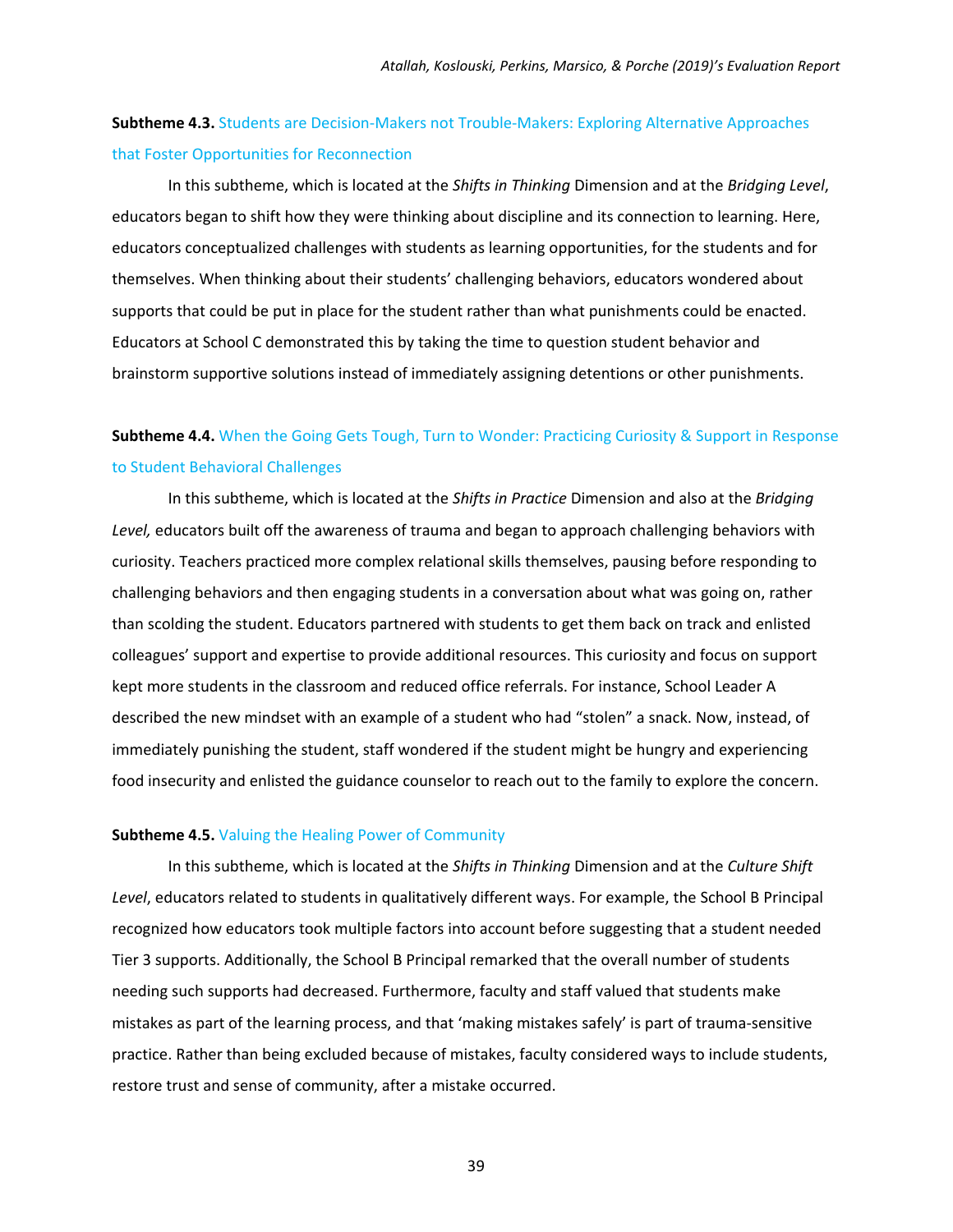### **Subtheme 4.3.** Students are Decision‐Makers not Trouble‐Makers: Exploring Alternative Approaches that Foster Opportunities for Reconnection

In this subtheme, which is located at the *Shifts in Thinking* Dimension and at the *Bridging Level*, educators began to shift how they were thinking about discipline and its connection to learning. Here, educators conceptualized challenges with students as learning opportunities, for the students and for themselves. When thinking about their students' challenging behaviors, educators wondered about supports that could be put in place for the student rather than what punishments could be enacted. Educators at School C demonstrated this by taking the time to question student behavior and brainstorm supportive solutions instead of immediately assigning detentions or other punishments.

### **Subtheme 4.4.** When the Going Gets Tough, Turn to Wonder: Practicing Curiosity & Support in Response to Student Behavioral Challenges

In this subtheme, which is located at the *Shifts in Practice* Dimension and also at the *Bridging Level,* educators built off the awareness of trauma and began to approach challenging behaviors with curiosity. Teachers practiced more complex relational skills themselves, pausing before responding to challenging behaviors and then engaging students in a conversation about what was going on, rather than scolding the student. Educators partnered with students to get them back on track and enlisted colleagues' support and expertise to provide additional resources. This curiosity and focus on support kept more students in the classroom and reduced office referrals. For instance, School Leader A described the new mindset with an example of a student who had "stolen" a snack. Now, instead, of immediately punishing the student, staff wondered if the student might be hungry and experiencing food insecurity and enlisted the guidance counselor to reach out to the family to explore the concern.

#### **Subtheme 4.5.** Valuing the Healing Power of Community

In this subtheme, which is located at the *Shifts in Thinking* Dimension and at the *Culture Shift Level*, educators related to students in qualitatively different ways. For example, the School B Principal recognized how educators took multiple factors into account before suggesting that a student needed Tier 3 supports. Additionally, the School B Principal remarked that the overall number of students needing such supports had decreased. Furthermore, faculty and staff valued that students make mistakes as part of the learning process, and that 'making mistakes safely' is part of trauma‐sensitive practice. Rather than being excluded because of mistakes, faculty considered ways to include students, restore trust and sense of community, after a mistake occurred.

39 and 2012 and 2013 and 2014 and 2014 and 2014 and 2014 and 2014 and 2014 and 2014 and 2014 and 201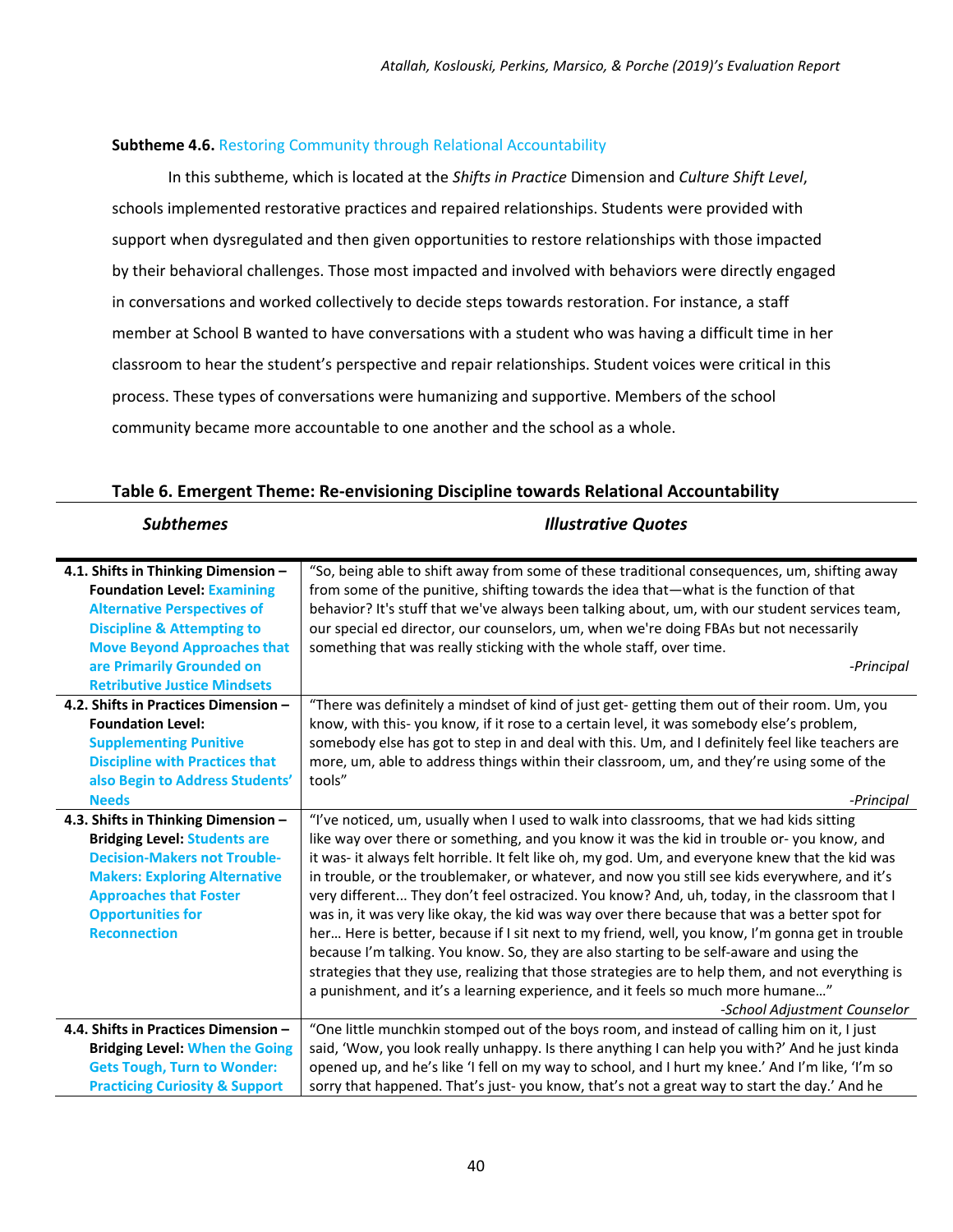#### **Subtheme 4.6.** Restoring Community through Relational Accountability

In this subtheme, which is located at the *Shifts in Practice* Dimension and *Culture Shift Level*, schools implemented restorative practices and repaired relationships. Students were provided with support when dysregulated and then given opportunities to restore relationships with those impacted by their behavioral challenges. Those most impacted and involved with behaviors were directly engaged in conversations and worked collectively to decide steps towards restoration. For instance, a staff member at School B wanted to have conversations with a student who was having a difficult time in her classroom to hear the student's perspective and repair relationships. Student voices were critical in this process. These types of conversations were humanizing and supportive. Members of the school community became more accountable to one another and the school as a whole.

#### **Table 6. Emergent Theme: Re‐envisioning Discipline towards Relational Accountability**

*Subthemes Illustrative Quotes* 

| 4.1. Shifts in Thinking Dimension -       | "So, being able to shift away from some of these traditional consequences, um, shifting away      |
|-------------------------------------------|---------------------------------------------------------------------------------------------------|
| <b>Foundation Level: Examining</b>        | from some of the punitive, shifting towards the idea that—what is the function of that            |
| <b>Alternative Perspectives of</b>        | behavior? It's stuff that we've always been talking about, um, with our student services team,    |
| <b>Discipline &amp; Attempting to</b>     | our special ed director, our counselors, um, when we're doing FBAs but not necessarily            |
| <b>Move Beyond Approaches that</b>        | something that was really sticking with the whole staff, over time.                               |
| are Primarily Grounded on                 | -Principal                                                                                        |
| <b>Retributive Justice Mindsets</b>       |                                                                                                   |
| 4.2. Shifts in Practices Dimension -      | "There was definitely a mindset of kind of just get-getting them out of their room. Um, you       |
| <b>Foundation Level:</b>                  | know, with this-you know, if it rose to a certain level, it was somebody else's problem,          |
| <b>Supplementing Punitive</b>             | somebody else has got to step in and deal with this. Um, and I definitely feel like teachers are  |
| <b>Discipline with Practices that</b>     | more, um, able to address things within their classroom, um, and they're using some of the        |
| also Begin to Address Students'           | tools"                                                                                            |
| <b>Needs</b>                              | -Principal                                                                                        |
| 4.3. Shifts in Thinking Dimension -       | "I've noticed, um, usually when I used to walk into classrooms, that we had kids sitting          |
| <b>Bridging Level: Students are</b>       | like way over there or something, and you know it was the kid in trouble or-you know, and         |
| <b>Decision-Makers not Trouble-</b>       | it was- it always felt horrible. It felt like oh, my god. Um, and everyone knew that the kid was  |
| <b>Makers: Exploring Alternative</b>      | in trouble, or the troublemaker, or whatever, and now you still see kids everywhere, and it's     |
| <b>Approaches that Foster</b>             | very different They don't feel ostracized. You know? And, uh, today, in the classroom that I      |
| <b>Opportunities for</b>                  | was in, it was very like okay, the kid was way over there because that was a better spot for      |
| <b>Reconnection</b>                       | her Here is better, because if I sit next to my friend, well, you know, I'm gonna get in trouble  |
|                                           | because I'm talking. You know. So, they are also starting to be self-aware and using the          |
|                                           | strategies that they use, realizing that those strategies are to help them, and not everything is |
|                                           | a punishment, and it's a learning experience, and it feels so much more humane"                   |
|                                           | -School Adjustment Counselor                                                                      |
| 4.4. Shifts in Practices Dimension -      | "One little munchkin stomped out of the boys room, and instead of calling him on it, I just       |
| <b>Bridging Level: When the Going</b>     | said, 'Wow, you look really unhappy. Is there anything I can help you with?' And he just kinda    |
| <b>Gets Tough, Turn to Wonder:</b>        | opened up, and he's like 'I fell on my way to school, and I hurt my knee.' And I'm like, 'I'm so  |
| <b>Practicing Curiosity &amp; Support</b> | sorry that happened. That's just-you know, that's not a great way to start the day.' And he       |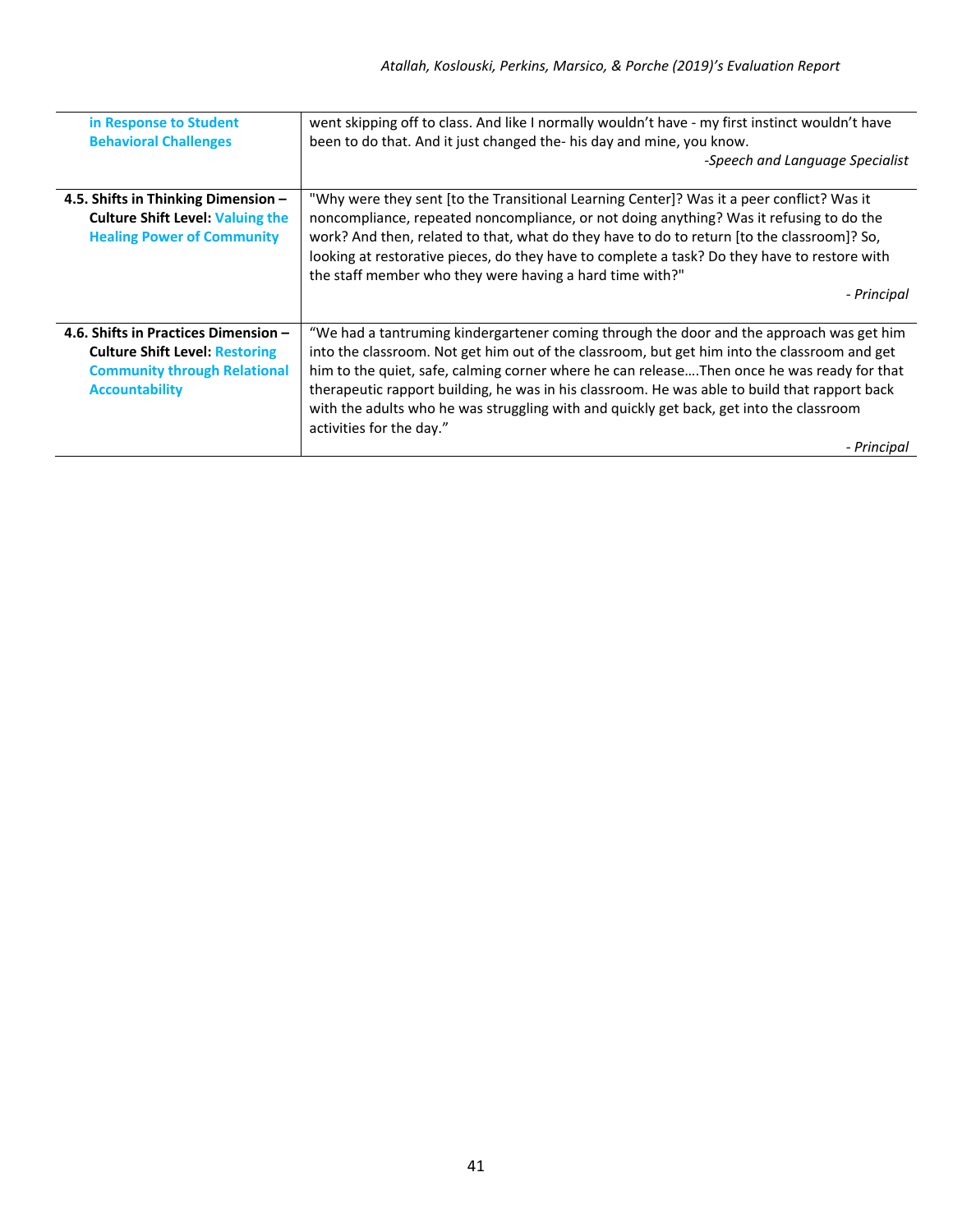| in Response to Student<br><b>Behavioral Challenges</b>                                                                                        | went skipping off to class. And like I normally wouldn't have - my first instinct wouldn't have<br>been to do that. And it just changed the- his day and mine, you know.<br>-Speech and Language Specialist                                                                                                                                                                                                                                                                                                                   |
|-----------------------------------------------------------------------------------------------------------------------------------------------|-------------------------------------------------------------------------------------------------------------------------------------------------------------------------------------------------------------------------------------------------------------------------------------------------------------------------------------------------------------------------------------------------------------------------------------------------------------------------------------------------------------------------------|
|                                                                                                                                               |                                                                                                                                                                                                                                                                                                                                                                                                                                                                                                                               |
| 4.5. Shifts in Thinking Dimension -<br><b>Culture Shift Level: Valuing the</b><br><b>Healing Power of Community</b>                           | "Why were they sent [to the Transitional Learning Center]? Was it a peer conflict? Was it<br>noncompliance, repeated noncompliance, or not doing anything? Was it refusing to do the<br>work? And then, related to that, what do they have to do to return [to the classroom]? So,<br>looking at restorative pieces, do they have to complete a task? Do they have to restore with<br>the staff member who they were having a hard time with?"<br>- Principal                                                                 |
| 4.6. Shifts in Practices Dimension -<br><b>Culture Shift Level: Restoring</b><br><b>Community through Relational</b><br><b>Accountability</b> | "We had a tantruming kindergartener coming through the door and the approach was get him<br>into the classroom. Not get him out of the classroom, but get him into the classroom and get<br>him to the quiet, safe, calming corner where he can releaseThen once he was ready for that<br>therapeutic rapport building, he was in his classroom. He was able to build that rapport back<br>with the adults who he was struggling with and quickly get back, get into the classroom<br>activities for the day."<br>- Principal |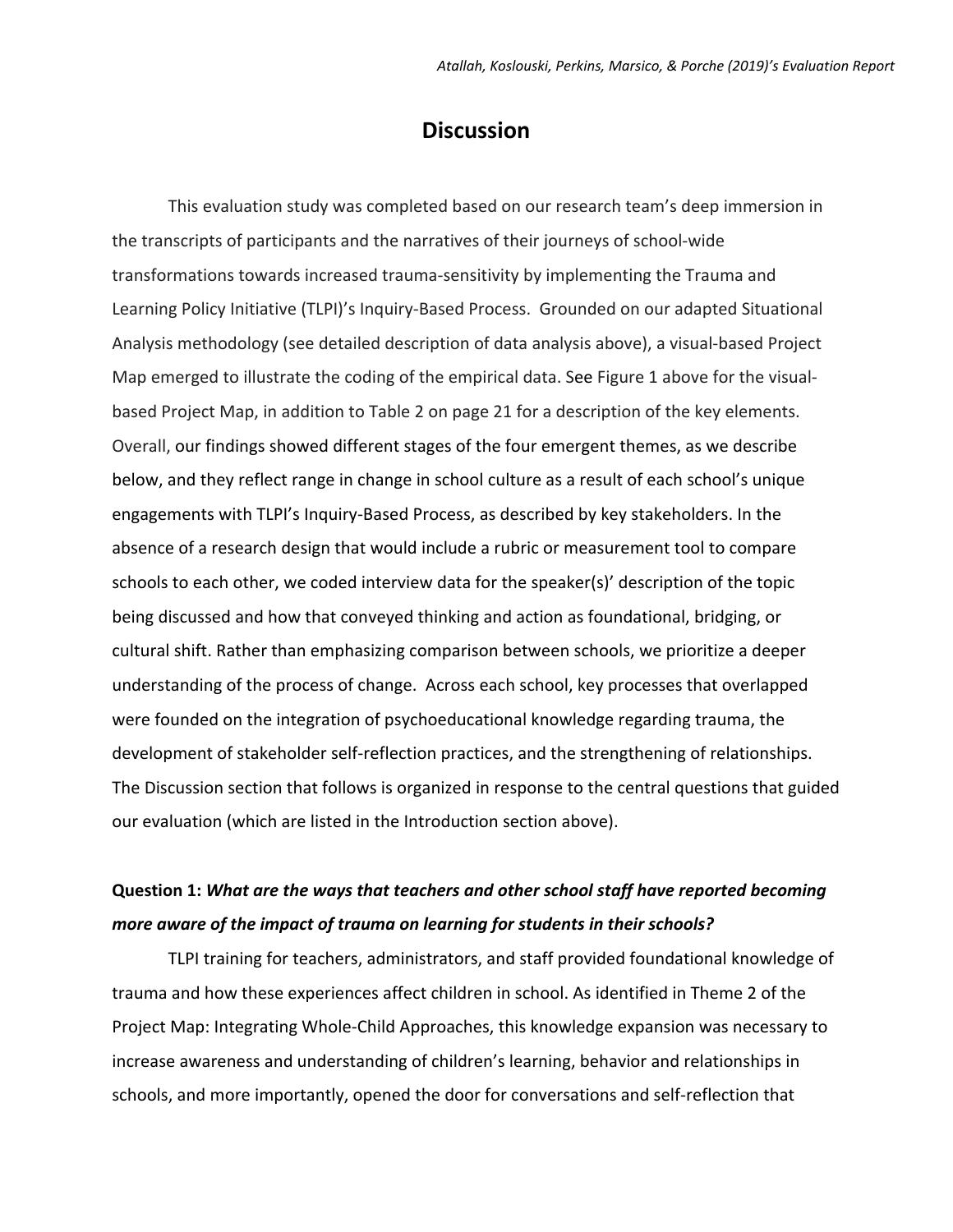### **Discussion**

This evaluation study was completed based on our research team's deep immersion in the transcripts of participants and the narratives of their journeys of school‐wide transformations towards increased trauma‐sensitivity by implementing the Trauma and Learning Policy Initiative (TLPI)'s Inquiry‐Based Process. Grounded on our adapted Situational Analysis methodology (see detailed description of data analysis above), a visual‐based Project Map emerged to illustrate the coding of the empirical data. See Figure 1 above for the visualbased Project Map, in addition to Table 2 on page 21 for a description of the key elements. Overall, our findings showed different stages of the four emergent themes, as we describe below, and they reflect range in change in school culture as a result of each school's unique engagements with TLPI's Inquiry‐Based Process, as described by key stakeholders. In the absence of a research design that would include a rubric or measurement tool to compare schools to each other, we coded interview data for the speaker(s)' description of the topic being discussed and how that conveyed thinking and action as foundational, bridging, or cultural shift. Rather than emphasizing comparison between schools, we prioritize a deeper understanding of the process of change. Across each school, key processes that overlapped were founded on the integration of psychoeducational knowledge regarding trauma, the development of stakeholder self‐reflection practices, and the strengthening of relationships. The Discussion section that follows is organized in response to the central questions that guided our evaluation (which are listed in the Introduction section above).

### **Question 1:** *What are the ways that teachers and other school staff have reported becoming more aware of the impact of trauma on learning for students in their schools?*

TLPI training for teachers, administrators, and staff provided foundational knowledge of trauma and how these experiences affect children in school. As identified in Theme 2 of the Project Map: Integrating Whole‐Child Approaches, this knowledge expansion was necessary to increase awareness and understanding of children's learning, behavior and relationships in schools, and more importantly, opened the door for conversations and self‐reflection that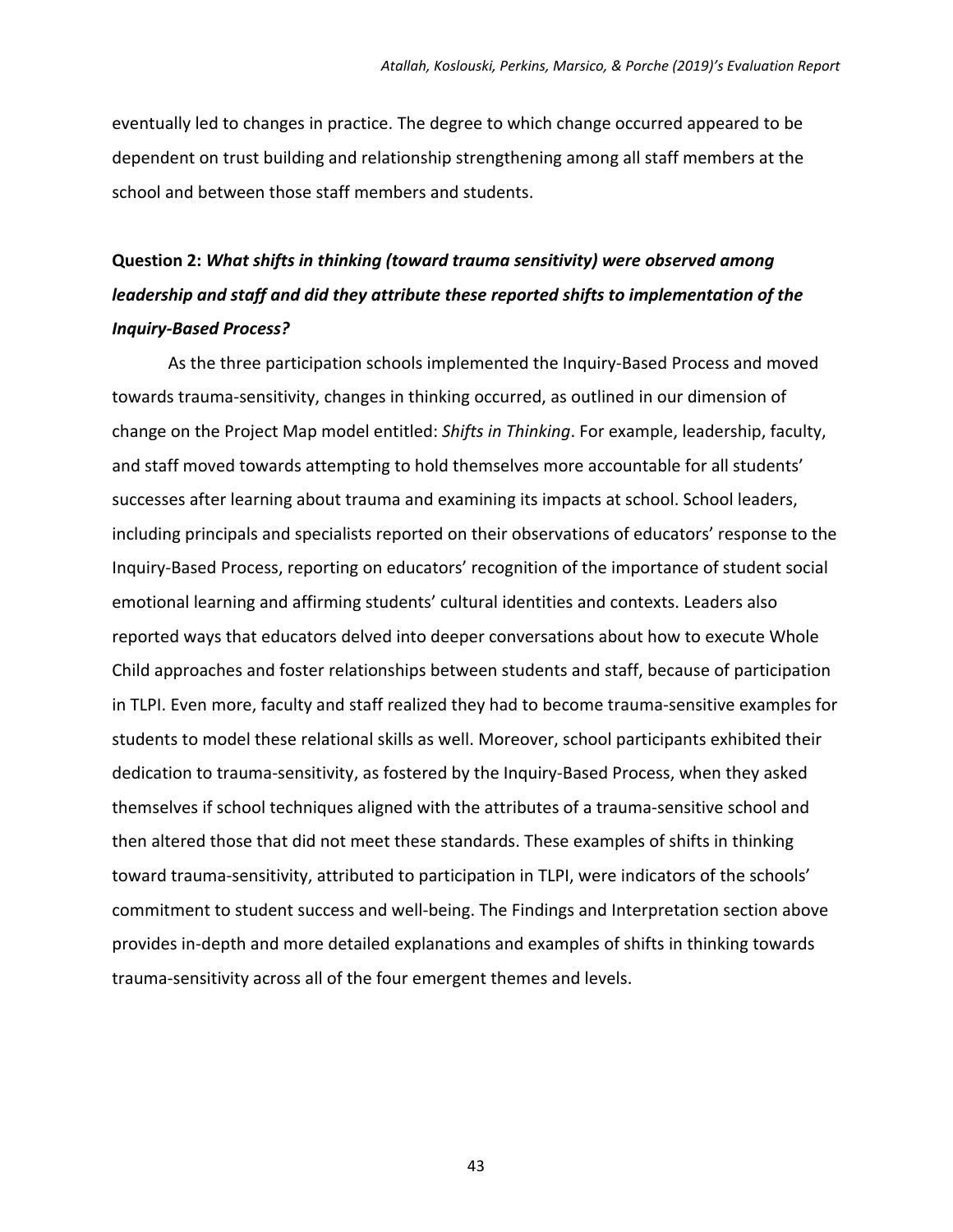eventually led to changes in practice. The degree to which change occurred appeared to be dependent on trust building and relationship strengthening among all staff members at the school and between those staff members and students.

### **Question 2:** *What shifts in thinking (toward trauma sensitivity) were observed among leadership and staff and did they attribute these reported shifts to implementation of the Inquiry‐Based Process?*

As the three participation schools implemented the Inquiry‐Based Process and moved towards trauma‐sensitivity, changes in thinking occurred, as outlined in our dimension of change on the Project Map model entitled: *Shifts in Thinking*. For example, leadership, faculty, and staff moved towards attempting to hold themselves more accountable for all students' successes after learning about trauma and examining its impacts at school. School leaders, including principals and specialists reported on their observations of educators' response to the Inquiry‐Based Process, reporting on educators' recognition of the importance of student social emotional learning and affirming students' cultural identities and contexts. Leaders also reported ways that educators delved into deeper conversations about how to execute Whole Child approaches and foster relationships between students and staff, because of participation in TLPI. Even more, faculty and staff realized they had to become trauma‐sensitive examples for students to model these relational skills as well. Moreover, school participants exhibited their dedication to trauma-sensitivity, as fostered by the Inquiry-Based Process, when they asked themselves if school techniques aligned with the attributes of a trauma‐sensitive school and then altered those that did not meet these standards. These examples of shifts in thinking toward trauma‐sensitivity, attributed to participation in TLPI, were indicators of the schools' commitment to student success and well‐being. The Findings and Interpretation section above provides in‐depth and more detailed explanations and examples of shifts in thinking towards trauma‐sensitivity across all of the four emergent themes and levels.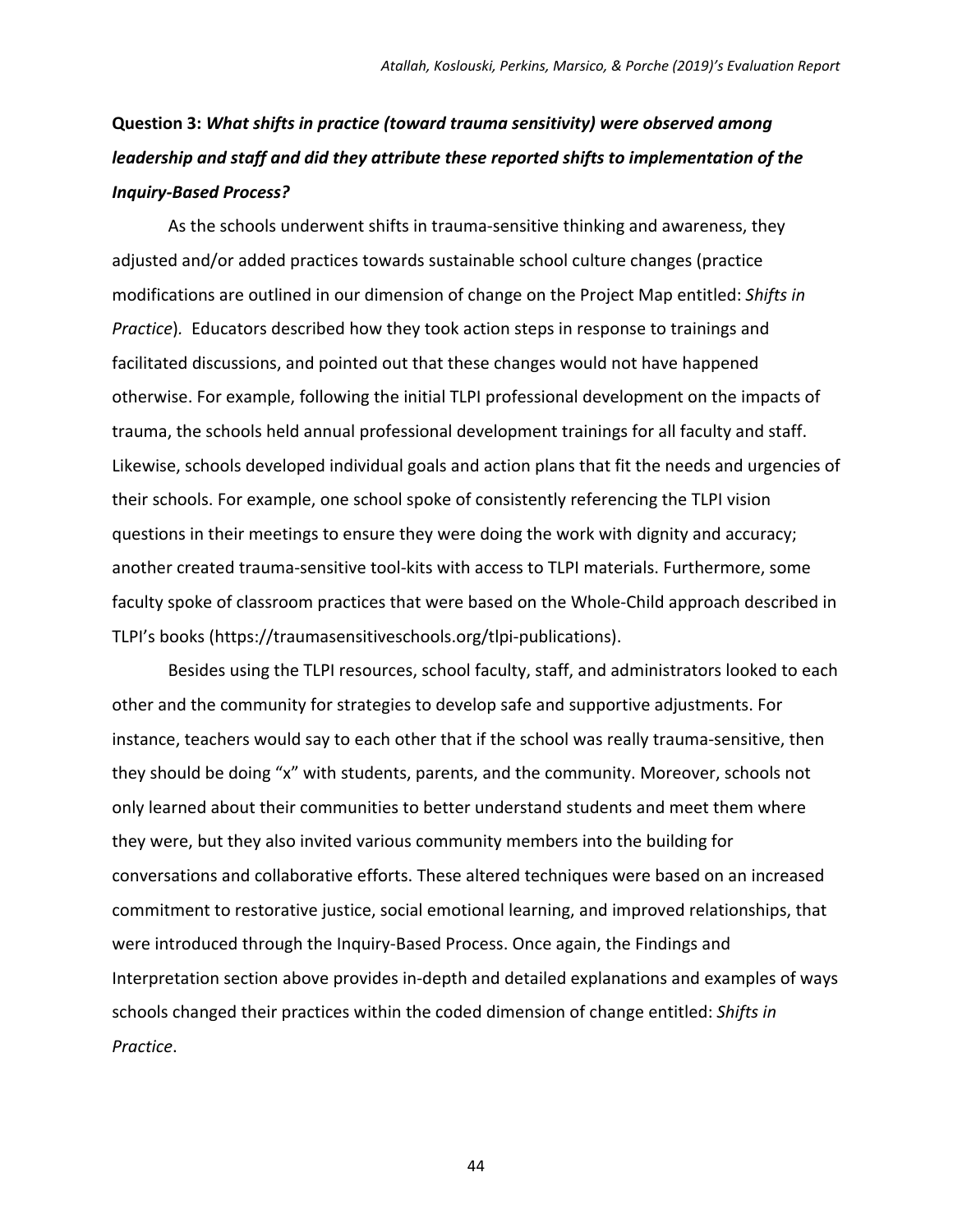### **Question 3:** *What shifts in practice (toward trauma sensitivity) were observed among leadership and staff and did they attribute these reported shifts to implementation of the Inquiry‐Based Process?*

As the schools underwent shifts in trauma‐sensitive thinking and awareness, they adjusted and/or added practices towards sustainable school culture changes (practice modifications are outlined in our dimension of change on the Project Map entitled: *Shifts in Practice*)*.* Educators described how they took action steps in response to trainings and facilitated discussions, and pointed out that these changes would not have happened otherwise. For example, following the initial TLPI professional development on the impacts of trauma, the schools held annual professional development trainings for all faculty and staff. Likewise, schools developed individual goals and action plans that fit the needs and urgencies of their schools. For example, one school spoke of consistently referencing the TLPI vision questions in their meetings to ensure they were doing the work with dignity and accuracy; another created trauma-sensitive tool-kits with access to TLPI materials. Furthermore, some faculty spoke of classroom practices that were based on the Whole‐Child approach described in TLPI's books (https://traumasensitiveschools.org/tlpi‐publications).

Besides using the TLPI resources, school faculty, staff, and administrators looked to each other and the community for strategies to develop safe and supportive adjustments. For instance, teachers would say to each other that if the school was really trauma‐sensitive, then they should be doing "x" with students, parents, and the community. Moreover, schools not only learned about their communities to better understand students and meet them where they were, but they also invited various community members into the building for conversations and collaborative efforts. These altered techniques were based on an increased commitment to restorative justice, social emotional learning, and improved relationships, that were introduced through the Inquiry‐Based Process. Once again, the Findings and Interpretation section above provides in‐depth and detailed explanations and examples of ways schools changed their practices within the coded dimension of change entitled: *Shifts in Practice*.

44 and 2012 and 2014 and 2014 and 2014 and 2014 and 2014 and 2014 and 2014 and 2014 and 2014 and 2014 and 201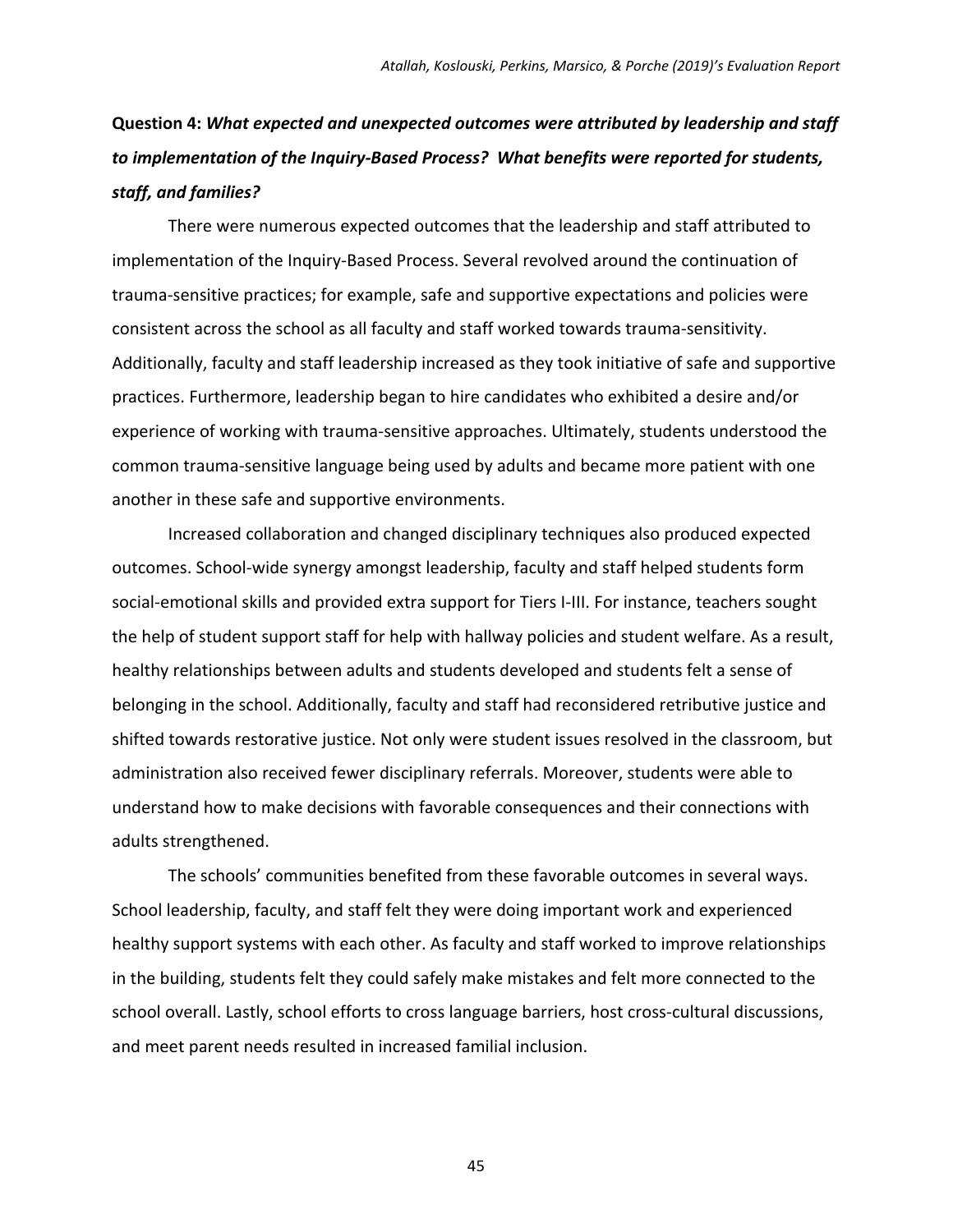**Question 4:** *What expected and unexpected outcomes were attributed by leadership and staff to implementation of the Inquiry‐Based Process? What benefits were reported for students, staff, and families?*

There were numerous expected outcomes that the leadership and staff attributed to implementation of the Inquiry‐Based Process. Several revolved around the continuation of trauma‐sensitive practices; for example, safe and supportive expectations and policies were consistent across the school as all faculty and staff worked towards trauma‐sensitivity. Additionally, faculty and staff leadership increased as they took initiative of safe and supportive practices. Furthermore, leadership began to hire candidates who exhibited a desire and/or experience of working with trauma‐sensitive approaches. Ultimately, students understood the common trauma‐sensitive language being used by adults and became more patient with one another in these safe and supportive environments.

Increased collaboration and changed disciplinary techniques also produced expected outcomes. School‐wide synergy amongst leadership, faculty and staff helped students form social‐emotional skills and provided extra support for Tiers I‐III. For instance, teachers sought the help of student support staff for help with hallway policies and student welfare. As a result, healthy relationships between adults and students developed and students felt a sense of belonging in the school. Additionally, faculty and staff had reconsidered retributive justice and shifted towards restorative justice. Not only were student issues resolved in the classroom, but administration also received fewer disciplinary referrals. Moreover, students were able to understand how to make decisions with favorable consequences and their connections with adults strengthened.

The schools' communities benefited from these favorable outcomes in several ways. School leadership, faculty, and staff felt they were doing important work and experienced healthy support systems with each other. As faculty and staff worked to improve relationships in the building, students felt they could safely make mistakes and felt more connected to the school overall. Lastly, school efforts to cross language barriers, host cross-cultural discussions, and meet parent needs resulted in increased familial inclusion.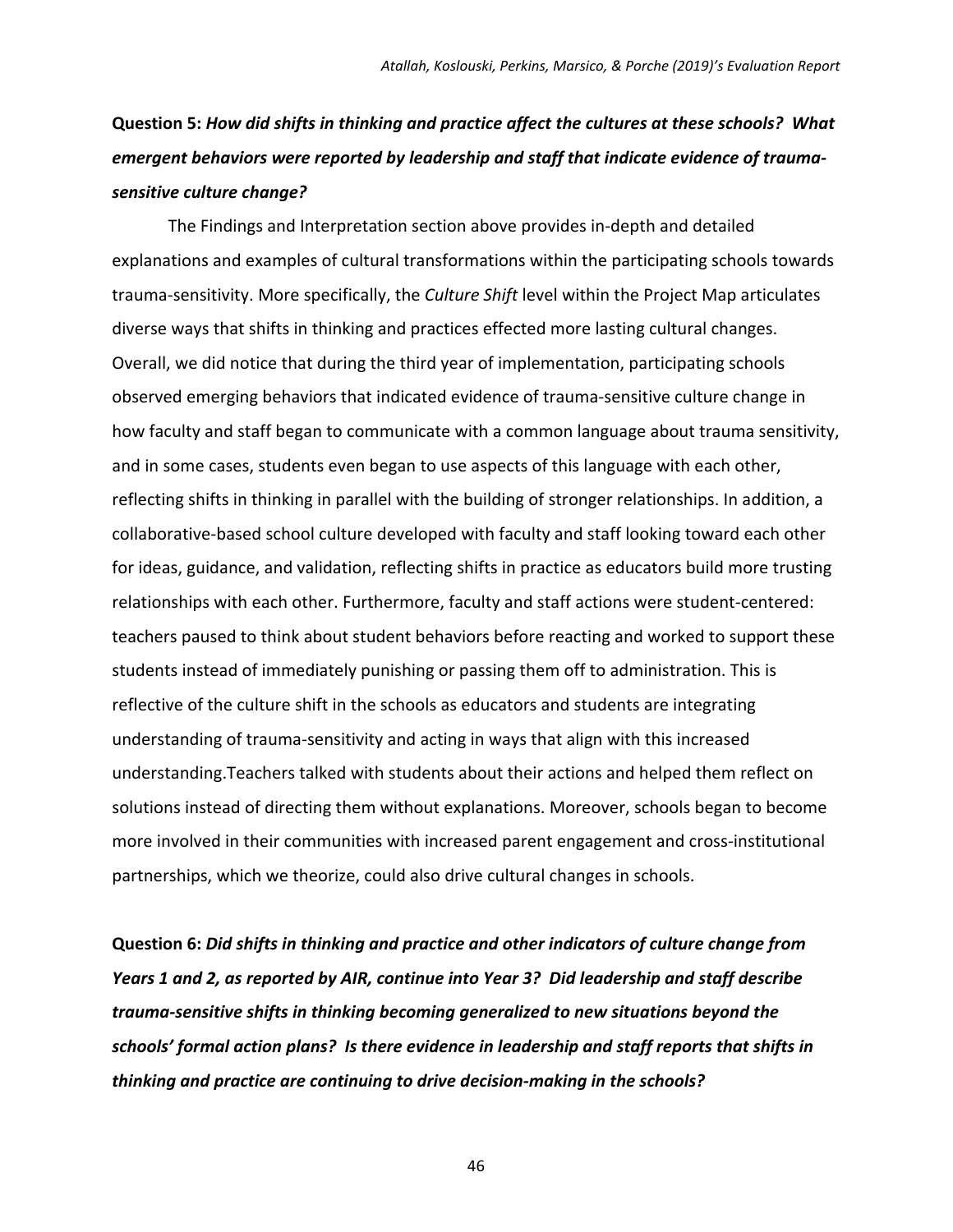### **Question 5:** *How did shifts in thinking and practice affect the cultures at these schools? What emergent behaviors were reported by leadership and staff that indicate evidence of trauma‐ sensitive culture change?*

The Findings and Interpretation section above provides in‐depth and detailed explanations and examples of cultural transformations within the participating schools towards trauma‐sensitivity. More specifically, the *Culture Shift* level within the Project Map articulates diverse ways that shifts in thinking and practices effected more lasting cultural changes. Overall, we did notice that during the third year of implementation, participating schools observed emerging behaviors that indicated evidence of trauma‐sensitive culture change in how faculty and staff began to communicate with a common language about trauma sensitivity, and in some cases, students even began to use aspects of this language with each other, reflecting shifts in thinking in parallel with the building of stronger relationships. In addition, a collaborative‐based school culture developed with faculty and staff looking toward each other for ideas, guidance, and validation, reflecting shifts in practice as educators build more trusting relationships with each other. Furthermore, faculty and staff actions were student‐centered: teachers paused to think about student behaviors before reacting and worked to support these students instead of immediately punishing or passing them off to administration. This is reflective of the culture shift in the schools as educators and students are integrating understanding of trauma‐sensitivity and acting in ways that align with this increased understanding.Teachers talked with students about their actions and helped them reflect on solutions instead of directing them without explanations. Moreover, schools began to become more involved in their communities with increased parent engagement and cross‐institutional partnerships, which we theorize, could also drive cultural changes in schools.

**Question 6:** *Did shifts in thinking and practice and other indicators of culture change from Years 1 and 2, as reported by AIR, continue into Year 3? Did leadership and staff describe trauma‐sensitive shifts in thinking becoming generalized to new situations beyond the schools' formal action plans? Is there evidence in leadership and staff reports that shifts in thinking and practice are continuing to drive decision‐making in the schools?*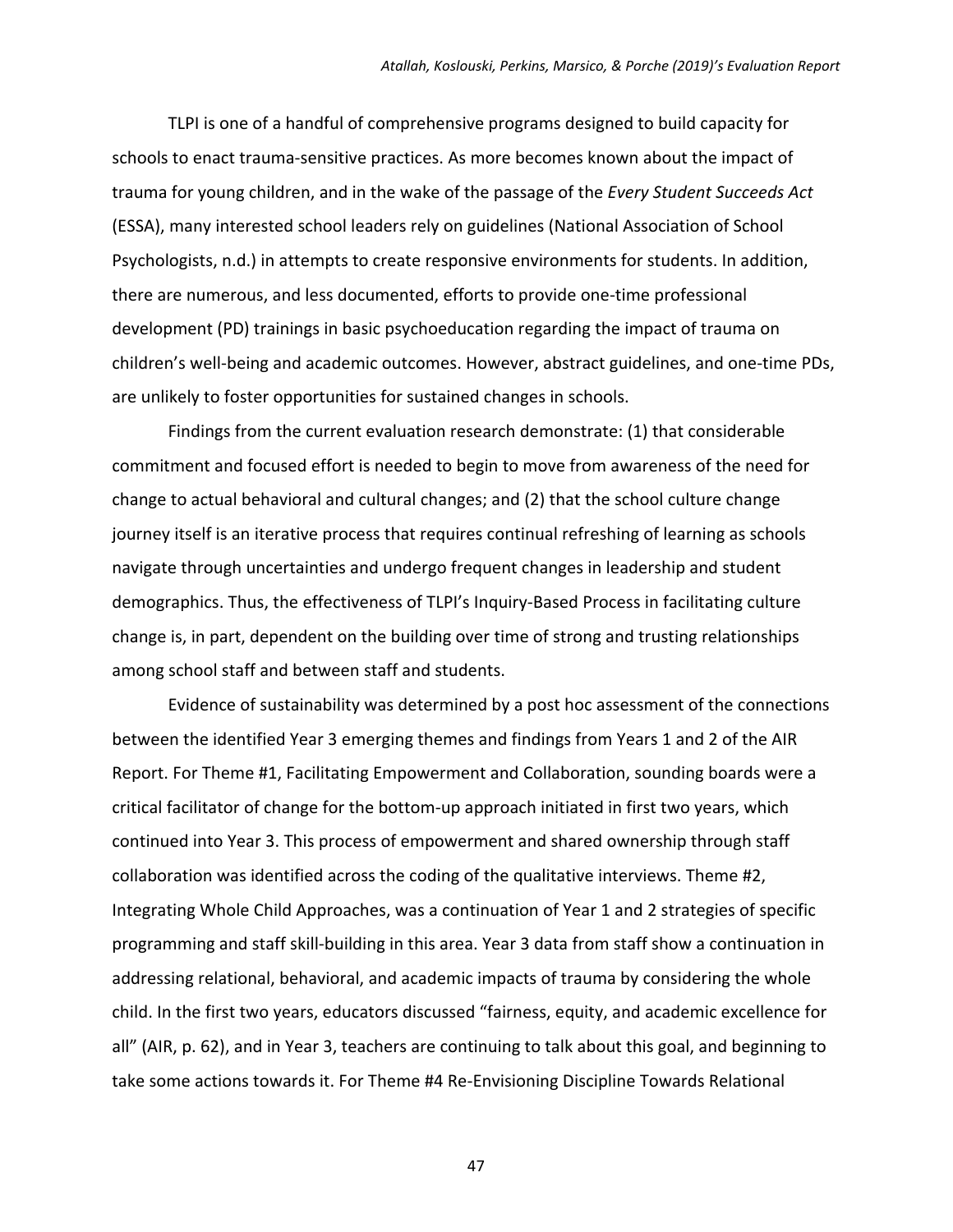TLPI is one of a handful of comprehensive programs designed to build capacity for schools to enact trauma‐sensitive practices. As more becomes known about the impact of trauma for young children, and in the wake of the passage of the *Every Student Succeeds Act* (ESSA), many interested school leaders rely on guidelines (National Association of School Psychologists, n.d.) in attempts to create responsive environments for students. In addition, there are numerous, and less documented, efforts to provide one‐time professional development (PD) trainings in basic psychoeducation regarding the impact of trauma on children's well‐being and academic outcomes. However, abstract guidelines, and one‐time PDs, are unlikely to foster opportunities for sustained changes in schools.

Findings from the current evaluation research demonstrate: (1) that considerable commitment and focused effort is needed to begin to move from awareness of the need for change to actual behavioral and cultural changes; and (2) that the school culture change journey itself is an iterative process that requires continual refreshing of learning as schools navigate through uncertainties and undergo frequent changes in leadership and student demographics. Thus, the effectiveness of TLPI's Inquiry‐Based Process in facilitating culture change is, in part, dependent on the building over time of strong and trusting relationships among school staff and between staff and students.

Evidence of sustainability was determined by a post hoc assessment of the connections between the identified Year 3 emerging themes and findings from Years 1 and 2 of the AIR Report. For Theme #1, Facilitating Empowerment and Collaboration, sounding boards were a critical facilitator of change for the bottom‐up approach initiated in first two years, which continued into Year 3. This process of empowerment and shared ownership through staff collaboration was identified across the coding of the qualitative interviews. Theme #2, Integrating Whole Child Approaches, was a continuation of Year 1 and 2 strategies of specific programming and staff skill‐building in this area. Year 3 data from staff show a continuation in addressing relational, behavioral, and academic impacts of trauma by considering the whole child. In the first two years, educators discussed "fairness, equity, and academic excellence for all" (AIR, p. 62), and in Year 3, teachers are continuing to talk about this goal, and beginning to take some actions towards it. For Theme #4 Re‐Envisioning Discipline Towards Relational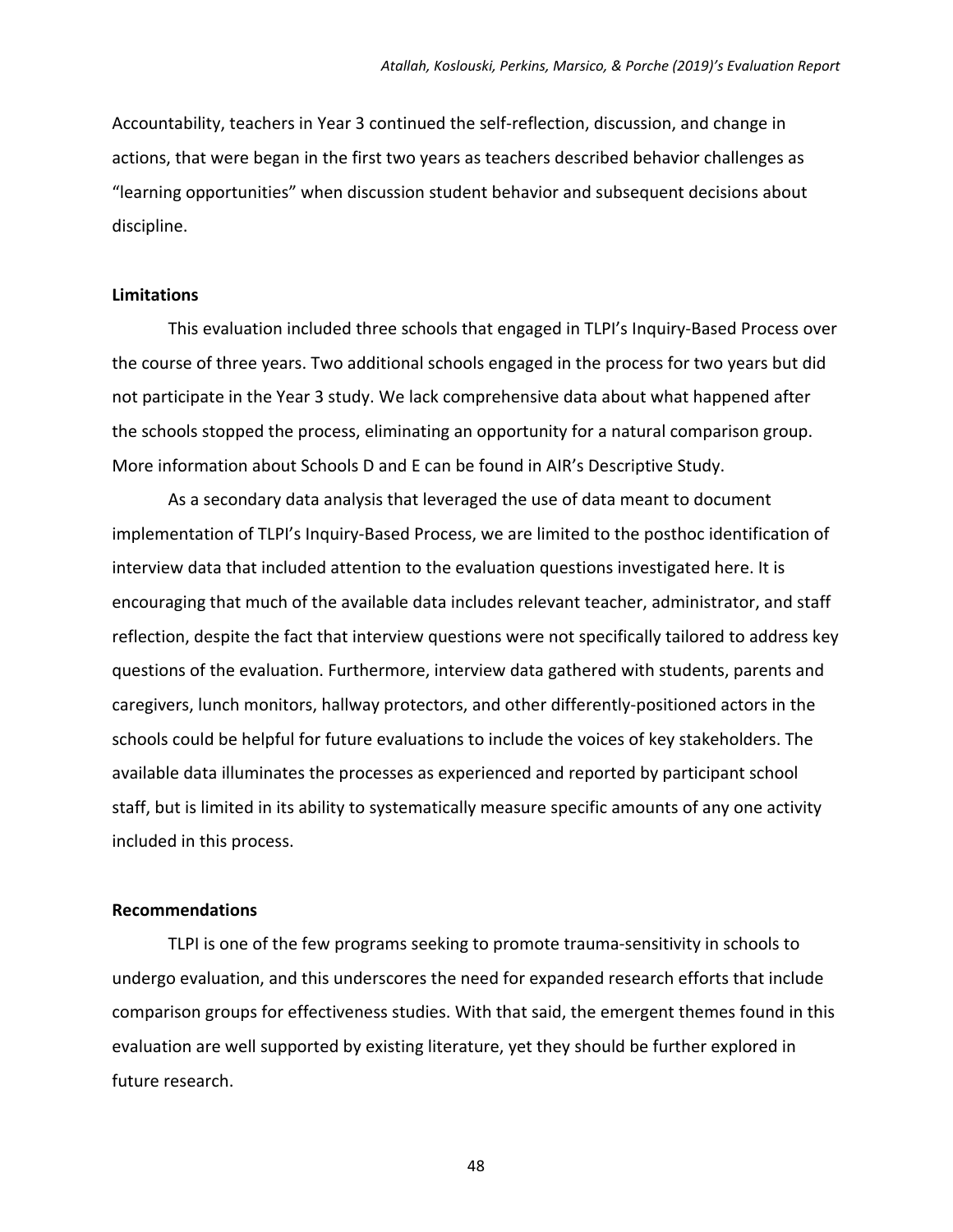Accountability, teachers in Year 3 continued the self‐reflection, discussion, and change in actions, that were began in the first two years as teachers described behavior challenges as "learning opportunities" when discussion student behavior and subsequent decisions about discipline.

#### **Limitations**

This evaluation included three schools that engaged in TLPI's Inquiry‐Based Process over the course of three years. Two additional schools engaged in the process for two years but did not participate in the Year 3 study. We lack comprehensive data about what happened after the schools stopped the process, eliminating an opportunity for a natural comparison group. More information about Schools D and E can be found in AIR's Descriptive Study.

As a secondary data analysis that leveraged the use of data meant to document implementation of TLPI's Inquiry‐Based Process, we are limited to the posthoc identification of interview data that included attention to the evaluation questions investigated here. It is encouraging that much of the available data includes relevant teacher, administrator, and staff reflection, despite the fact that interview questions were not specifically tailored to address key questions of the evaluation. Furthermore, interview data gathered with students, parents and caregivers, lunch monitors, hallway protectors, and other differently‐positioned actors in the schools could be helpful for future evaluations to include the voices of key stakeholders. The available data illuminates the processes as experienced and reported by participant school staff, but is limited in its ability to systematically measure specific amounts of any one activity included in this process.

#### **Recommendations**

TLPI is one of the few programs seeking to promote trauma‐sensitivity in schools to undergo evaluation, and this underscores the need for expanded research efforts that include comparison groups for effectiveness studies. With that said, the emergent themes found in this evaluation are well supported by existing literature, yet they should be further explored in future research.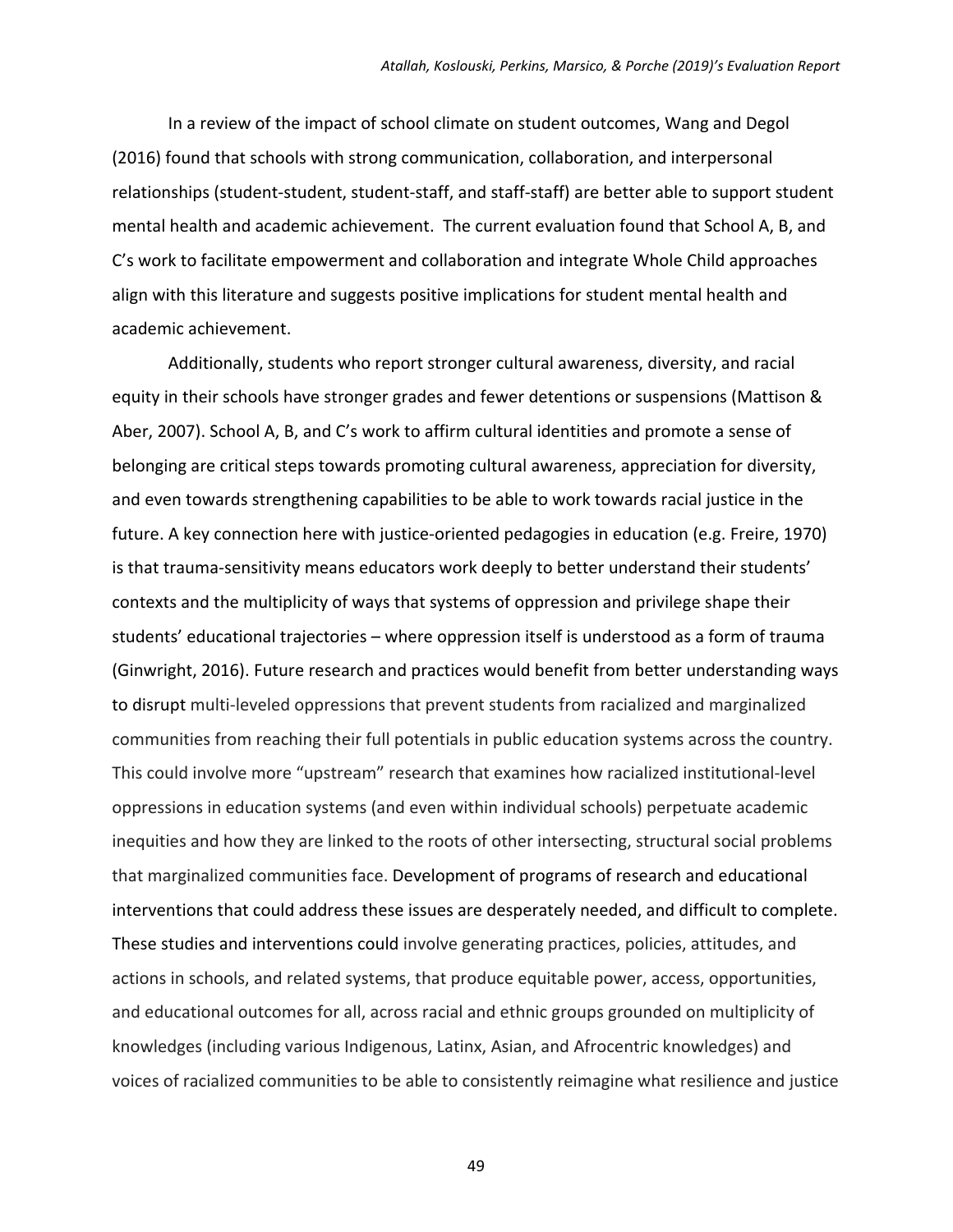In a review of the impact of school climate on student outcomes, Wang and Degol (2016) found that schools with strong communication, collaboration, and interpersonal relationships (student‐student, student‐staff, and staff‐staff) are better able to support student mental health and academic achievement. The current evaluation found that School A, B, and C's work to facilitate empowerment and collaboration and integrate Whole Child approaches align with this literature and suggests positive implications for student mental health and academic achievement.

Additionally, students who report stronger cultural awareness, diversity, and racial equity in their schools have stronger grades and fewer detentions or suspensions (Mattison & Aber, 2007). School A, B, and C's work to affirm cultural identities and promote a sense of belonging are critical steps towards promoting cultural awareness, appreciation for diversity, and even towards strengthening capabilities to be able to work towards racial justice in the future. A key connection here with justice-oriented pedagogies in education (e.g. Freire, 1970) is that trauma-sensitivity means educators work deeply to better understand their students' contexts and the multiplicity of ways that systems of oppression and privilege shape their students' educational trajectories – where oppression itself is understood as a form of trauma (Ginwright, 2016). Future research and practices would benefit from better understanding ways to disrupt multi‐leveled oppressions that prevent students from racialized and marginalized communities from reaching their full potentials in public education systems across the country. This could involve more "upstream" research that examines how racialized institutional‐level oppressions in education systems (and even within individual schools) perpetuate academic inequities and how they are linked to the roots of other intersecting, structural social problems that marginalized communities face. Development of programs of research and educational interventions that could address these issues are desperately needed, and difficult to complete. These studies and interventions could involve generating practices, policies, attitudes, and actions in schools, and related systems, that produce equitable power, access, opportunities, and educational outcomes for all, across racial and ethnic groups grounded on multiplicity of knowledges (including various Indigenous, Latinx, Asian, and Afrocentric knowledges) and voices of racialized communities to be able to consistently reimagine what resilience and justice

 $49<sup>2</sup>$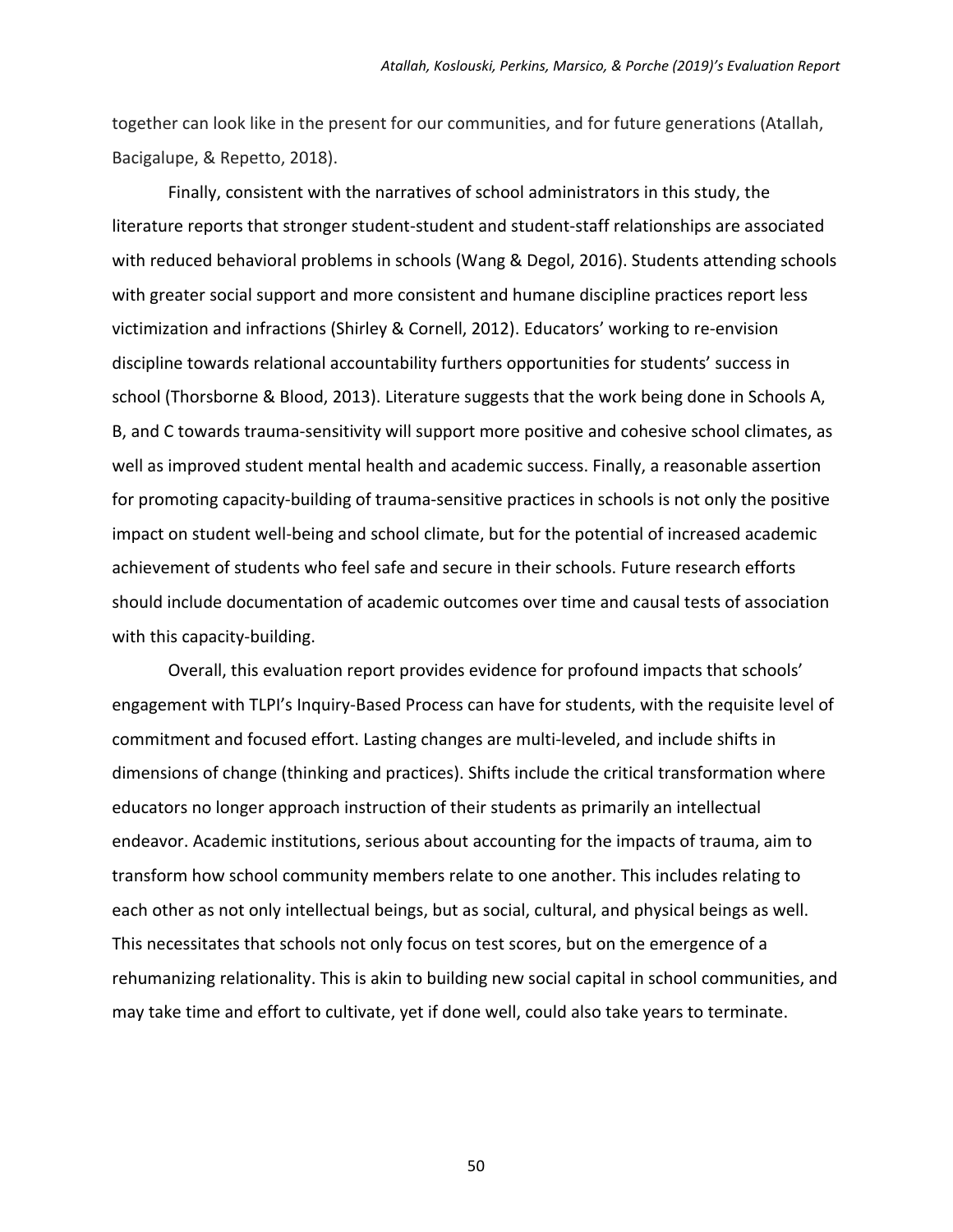together can look like in the present for our communities, and for future generations (Atallah, Bacigalupe, & Repetto, 2018).

Finally, consistent with the narratives of school administrators in this study, the literature reports that stronger student‐student and student‐staff relationships are associated with reduced behavioral problems in schools (Wang & Degol, 2016). Students attending schools with greater social support and more consistent and humane discipline practices report less victimization and infractions (Shirley & Cornell, 2012). Educators' working to re‐envision discipline towards relational accountability furthers opportunities for students' success in school (Thorsborne & Blood, 2013). Literature suggests that the work being done in Schools A, B, and C towards trauma‐sensitivity will support more positive and cohesive school climates, as well as improved student mental health and academic success. Finally, a reasonable assertion for promoting capacity-building of trauma-sensitive practices in schools is not only the positive impact on student well‐being and school climate, but for the potential of increased academic achievement of students who feel safe and secure in their schools. Future research efforts should include documentation of academic outcomes over time and causal tests of association with this capacity-building.

Overall, this evaluation report provides evidence for profound impacts that schools' engagement with TLPI's Inquiry‐Based Process can have for students, with the requisite level of commitment and focused effort. Lasting changes are multi‐leveled, and include shifts in dimensions of change (thinking and practices). Shifts include the critical transformation where educators no longer approach instruction of their students as primarily an intellectual endeavor. Academic institutions, serious about accounting for the impacts of trauma, aim to transform how school community members relate to one another. This includes relating to each other as not only intellectual beings, but as social, cultural, and physical beings as well. This necessitates that schools not only focus on test scores, but on the emergence of a rehumanizing relationality. This is akin to building new social capital in school communities, and may take time and effort to cultivate, yet if done well, could also take years to terminate.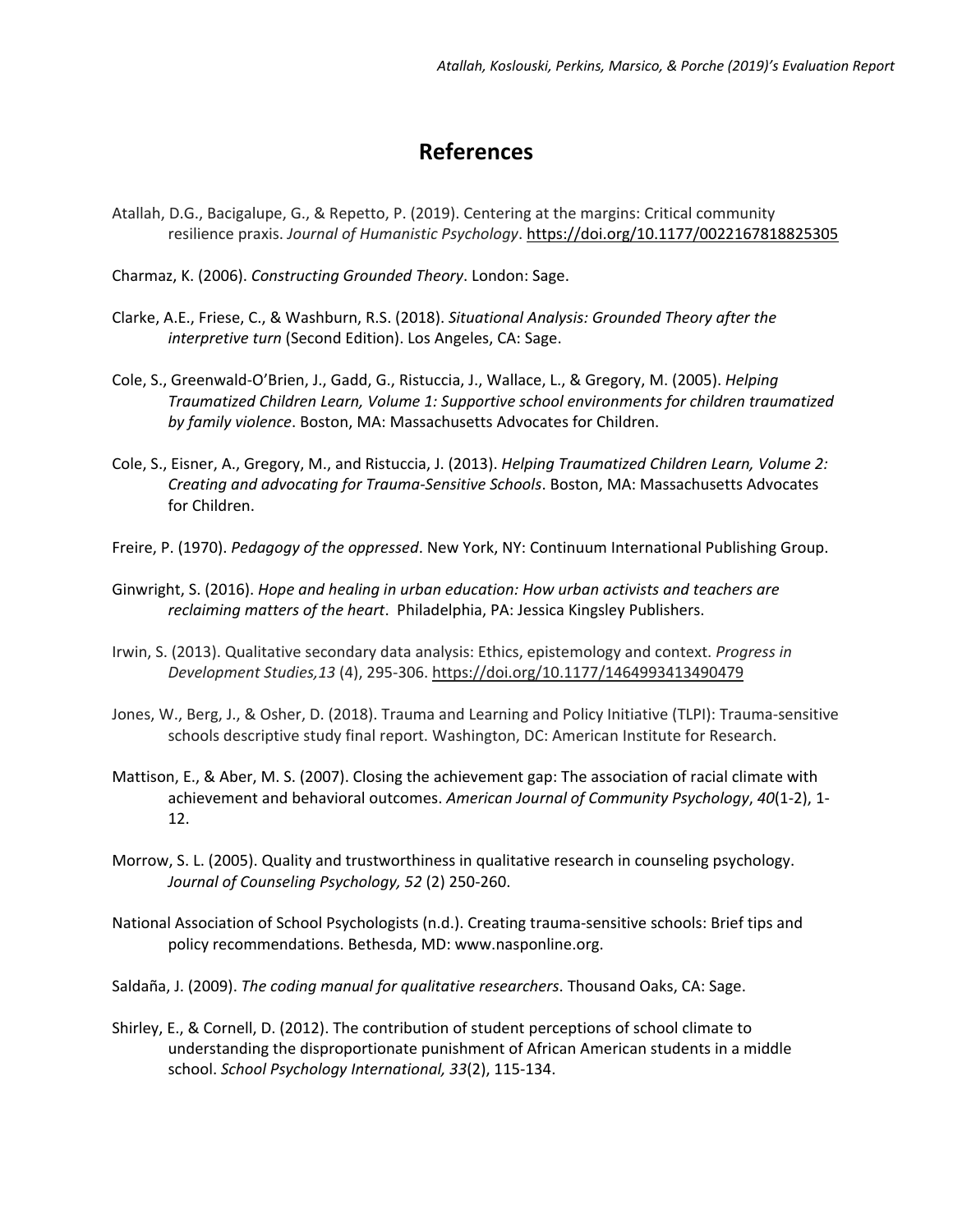### **References**

Atallah, D.G., Bacigalupe, G., & Repetto, P. (2019). Centering at the margins: Critical community resilience praxis. *Journal of Humanistic Psychology*. https://doi.org/10.1177/0022167818825305

Charmaz, K. (2006). *Constructing Grounded Theory*. London: Sage.

- Clarke, A.E., Friese, C., & Washburn, R.S. (2018). *Situational Analysis: Grounded Theory after the interpretive turn* (Second Edition). Los Angeles, CA: Sage.
- Cole, S., Greenwald‐O'Brien, J., Gadd, G., Ristuccia, J., Wallace, L., & Gregory, M. (2005). *Helping Traumatized Children Learn, Volume 1: Supportive school environments for children traumatized by family violence*. Boston, MA: Massachusetts Advocates for Children.
- Cole, S., Eisner, A., Gregory, M., and Ristuccia, J. (2013). *Helping Traumatized Children Learn, Volume 2: Creating and advocating for Trauma‐Sensitive Schools*. Boston, MA: Massachusetts Advocates for Children.
- Freire, P. (1970). *Pedagogy of the oppressed*. New York, NY: Continuum International Publishing Group.
- Ginwright, S. (2016). *Hope and healing in urban education: How urban activists and teachers are reclaiming matters of the heart*. Philadelphia, PA: Jessica Kingsley Publishers.
- Irwin, S. (2013). Qualitative secondary data analysis: Ethics, epistemology and context. *Progress in Development Studies,13* (4), 295‐306. https://doi.org/10.1177/1464993413490479
- Jones, W., Berg, J., & Osher, D. (2018). Trauma and Learning and Policy Initiative (TLPI): Trauma‐sensitive schools descriptive study final report. Washington, DC: American Institute for Research.
- Mattison, E., & Aber, M. S. (2007). Closing the achievement gap: The association of racial climate with achievement and behavioral outcomes. *American Journal of Community Psychology*, *40*(1‐2), 1‐ 12.
- Morrow, S. L. (2005). Quality and trustworthiness in qualitative research in counseling psychology. *Journal of Counseling Psychology, 52* (2) 250‐260.
- National Association of School Psychologists (n.d.). Creating trauma‐sensitive schools: Brief tips and policy recommendations. Bethesda, MD: www.nasponline.org.
- Saldaña, J. (2009). *The coding manual for qualitative researchers*. Thousand Oaks, CA: Sage.
- Shirley, E., & Cornell, D. (2012). The contribution of student perceptions of school climate to understanding the disproportionate punishment of African American students in a middle school. *School Psychology International, 33*(2), 115‐134.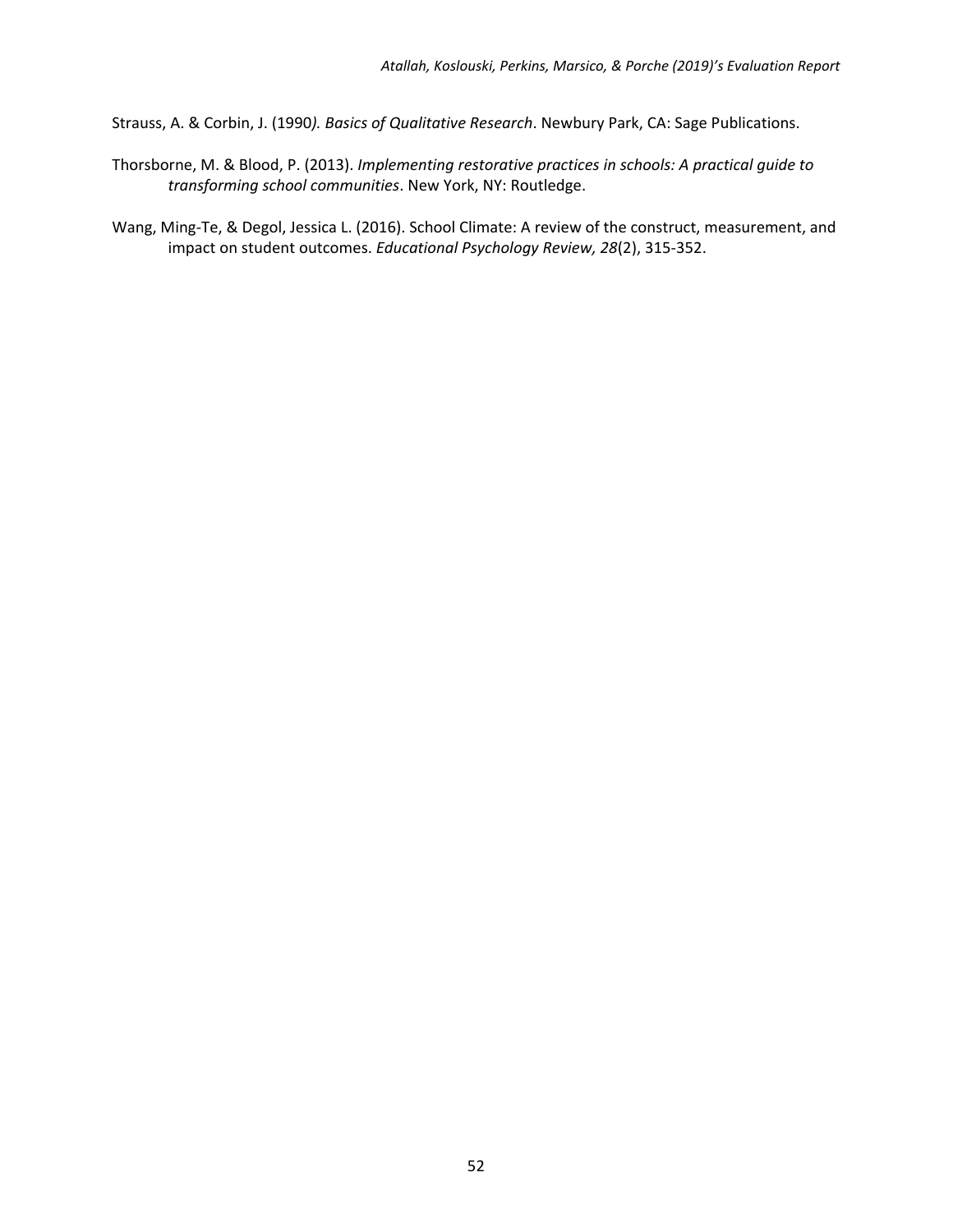Strauss, A. & Corbin, J. (1990*). Basics of Qualitative Research*. Newbury Park, CA: Sage Publications.

- Thorsborne, M. & Blood, P. (2013). *Implementing restorative practices in schools: A practical guide to transforming school communities*. New York, NY: Routledge.
- Wang, Ming‐Te, & Degol, Jessica L. (2016). School Climate: A review of the construct, measurement, and impact on student outcomes. *Educational Psychology Review, 28*(2), 315‐352.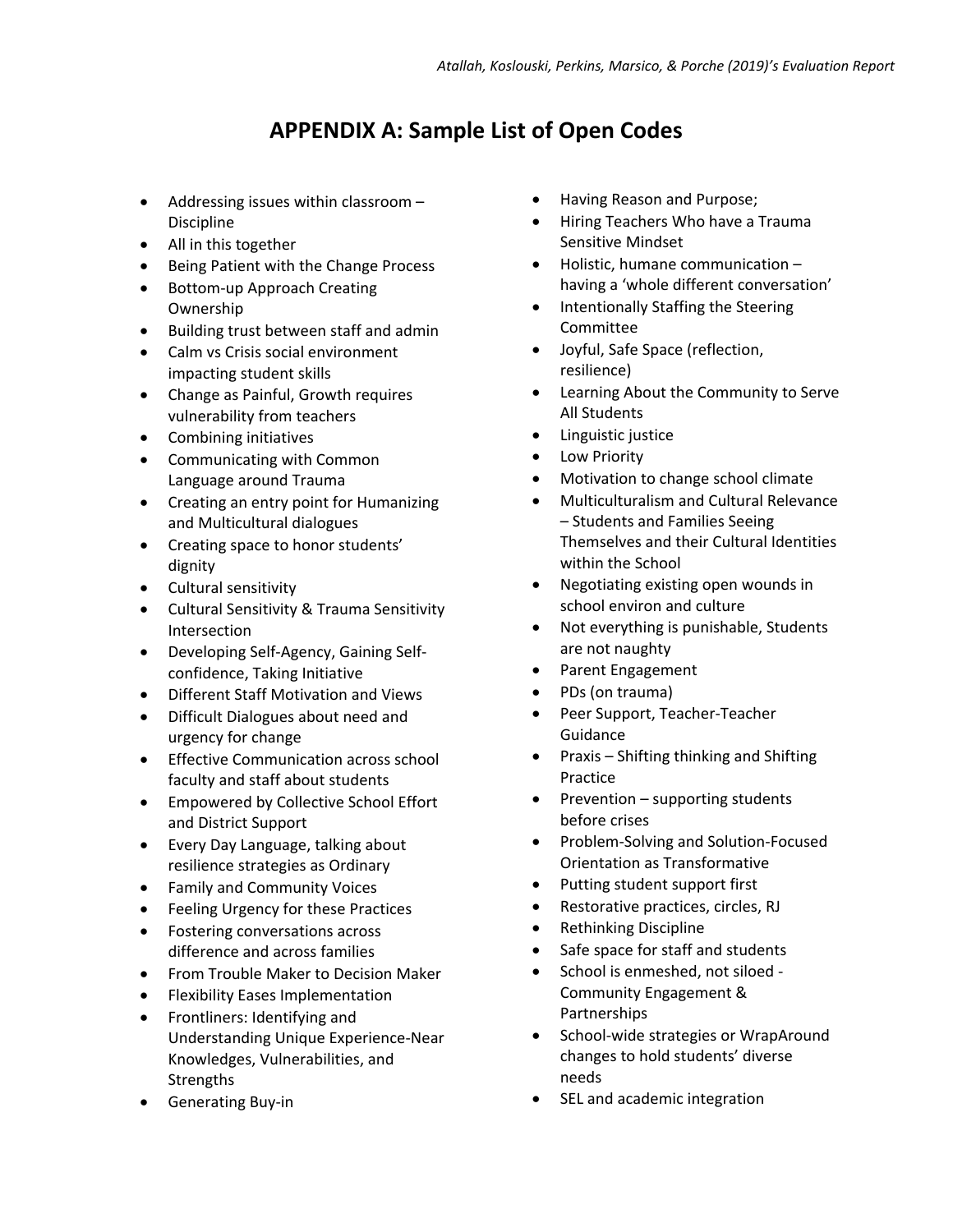### **APPENDIX A: Sample List of Open Codes**

- Addressing issues within classroom Discipline
- All in this together
- Being Patient with the Change Process
- Bottom-up Approach Creating Ownership
- Building trust between staff and admin
- Calm vs Crisis social environment impacting student skills
- Change as Painful, Growth requires vulnerability from teachers
- Combining initiatives
- Communicating with Common Language around Trauma
- Creating an entry point for Humanizing and Multicultural dialogues
- Creating space to honor students' dignity
- Cultural sensitivity
- Cultural Sensitivity & Trauma Sensitivity Intersection
- Developing Self-Agency, Gaining Selfconfidence, Taking Initiative
- Different Staff Motivation and Views
- Difficult Dialogues about need and urgency for change
- **Effective Communication across school** faculty and staff about students
- Empowered by Collective School Effort and District Support
- Every Day Language, talking about resilience strategies as Ordinary
- Family and Community Voices
- Feeling Urgency for these Practices
- Fostering conversations across difference and across families
- **•** From Trouble Maker to Decision Maker
- Flexibility Eases Implementation Frontliners: Identifying and Understanding Unique Experience‐Near
- Knowledges, Vulnerabilities, and **Strengths**
- Generating Buy-in
- Having Reason and Purpose;
- Hiring Teachers Who have a Trauma Sensitive Mindset
- Holistic, humane communication having a 'whole different conversation'
- Intentionally Staffing the Steering Committee
- Joyful, Safe Space (reflection, resilience)
- Learning About the Community to Serve All Students
- Linguistic justice
- **•** Low Priority
- Motivation to change school climate
- Multiculturalism and Cultural Relevance – Students and Families Seeing Themselves and their Cultural Identities within the School
- Negotiating existing open wounds in school environ and culture
- Not everything is punishable, Students are not naughty
- Parent Engagement
- PDs (on trauma)
- Peer Support, Teacher-Teacher Guidance
- Praxis Shifting thinking and Shifting Practice
- Prevention supporting students before crises
- Problem‐Solving and Solution‐Focused Orientation as Transformative
- Putting student support first
- Restorative practices, circles, RJ
- Rethinking Discipline
- Safe space for staff and students
- School is enmeshed, not siloed -Community Engagement & Partnerships
- School-wide strategies or WrapAround changes to hold students' diverse needs
- SEL and academic integration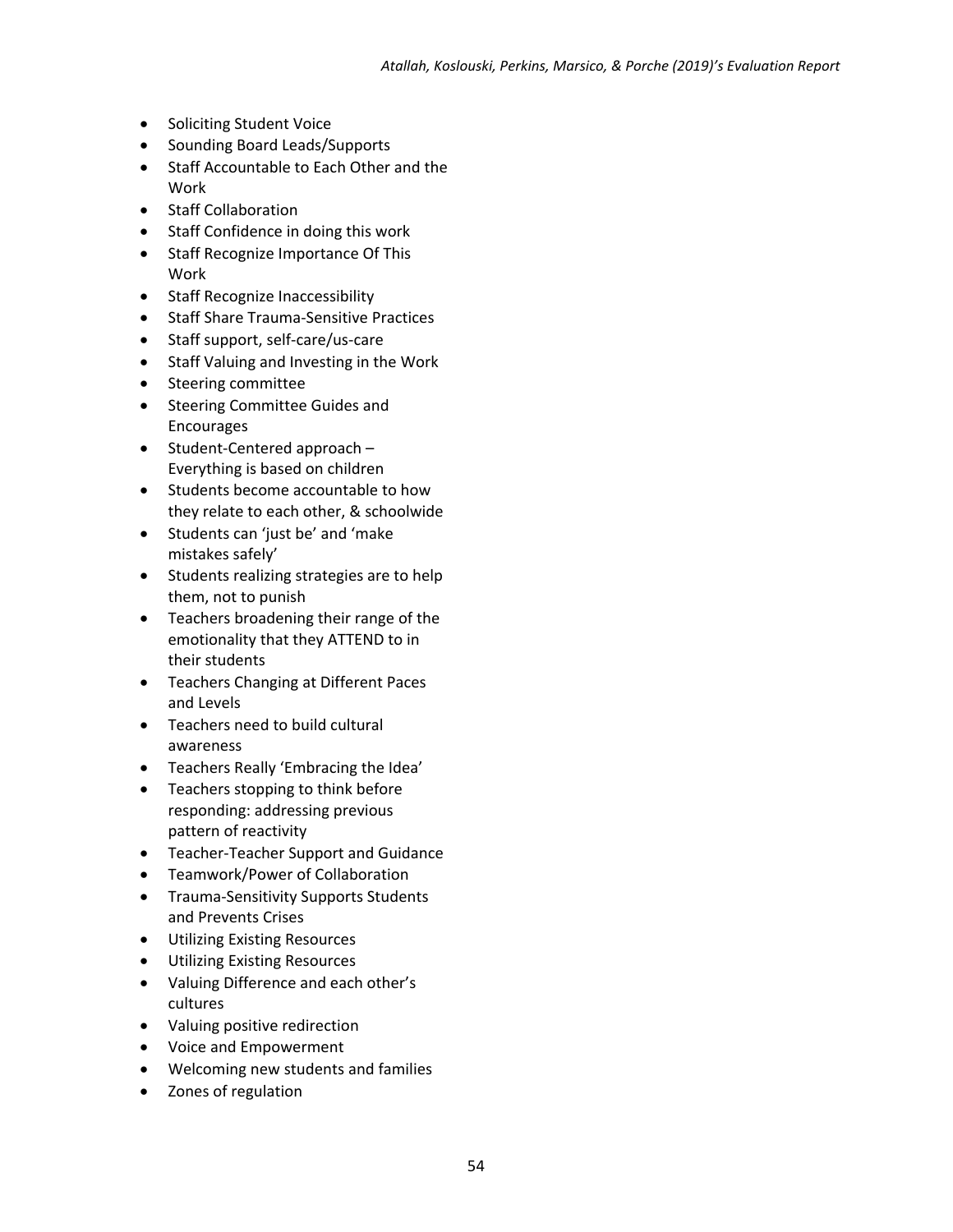- Soliciting Student Voice
- Sounding Board Leads/Supports
- Staff Accountable to Each Other and the Work
- Staff Collaboration
- Staff Confidence in doing this work
- Staff Recognize Importance Of This Work
- Staff Recognize Inaccessibility
- Staff Share Trauma-Sensitive Practices
- Staff support, self-care/us-care
- Staff Valuing and Investing in the Work
- Steering committee
- Steering Committee Guides and Encourages
- $\bullet$  Student-Centered approach Everything is based on children
- Students become accountable to how they relate to each other, & schoolwide
- Students can 'just be' and 'make mistakes safely'
- Students realizing strategies are to help them, not to punish
- Teachers broadening their range of the emotionality that they ATTEND to in their students
- Teachers Changing at Different Paces and Levels
- Teachers need to build cultural awareness
- Teachers Really 'Embracing the Idea'
- Teachers stopping to think before responding: addressing previous pattern of reactivity
- Teacher-Teacher Support and Guidance
- Teamwork/Power of Collaboration
- Trauma-Sensitivity Supports Students and Prevents Crises
- Utilizing Existing Resources
- Utilizing Existing Resources
- Valuing Difference and each other's cultures
- Valuing positive redirection
- Voice and Empowerment
- Welcoming new students and families
- Zones of regulation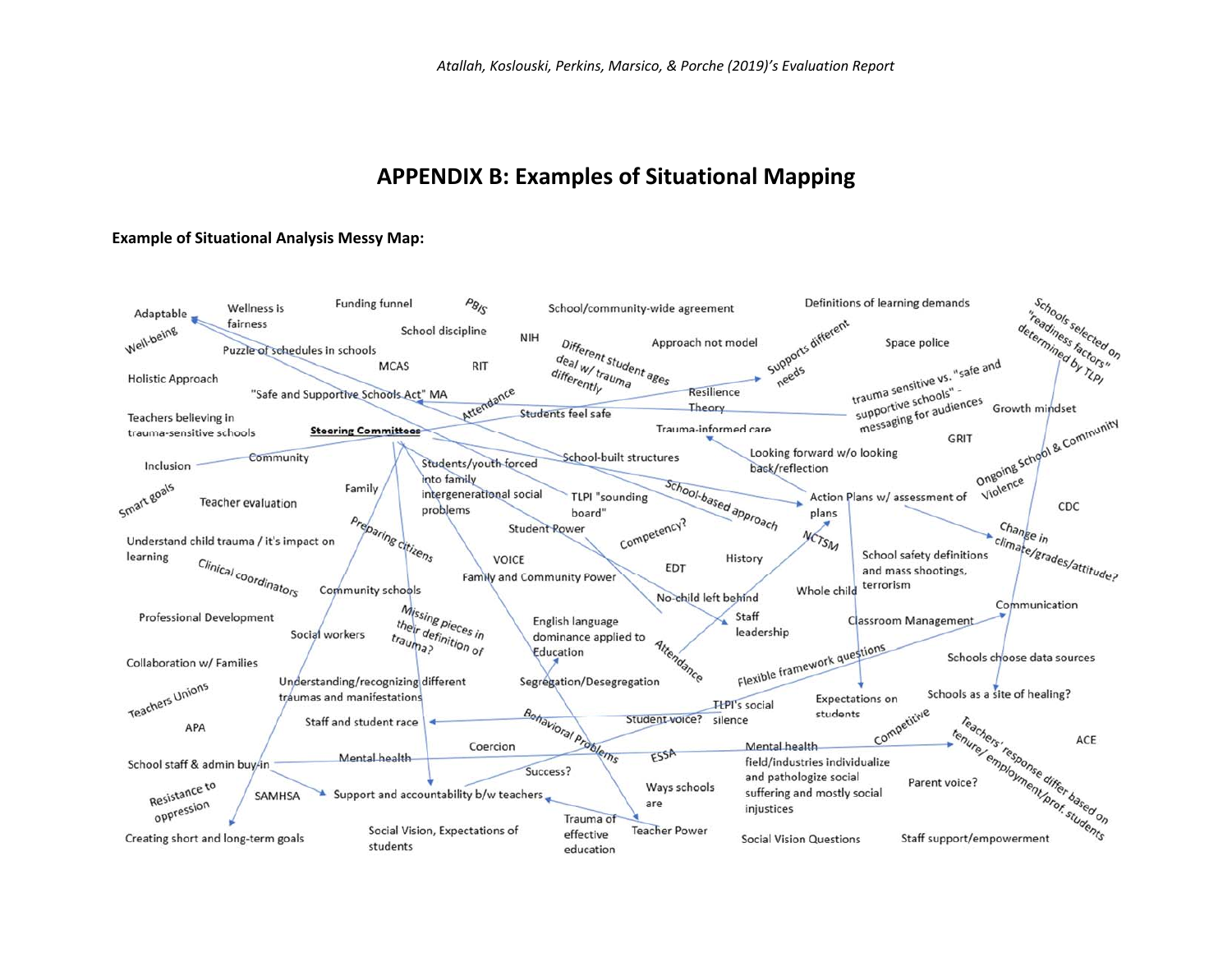### **APPENDIX B: Examples of Situational Mapping**

#### **Example of Situational Analysis Messy Map:**

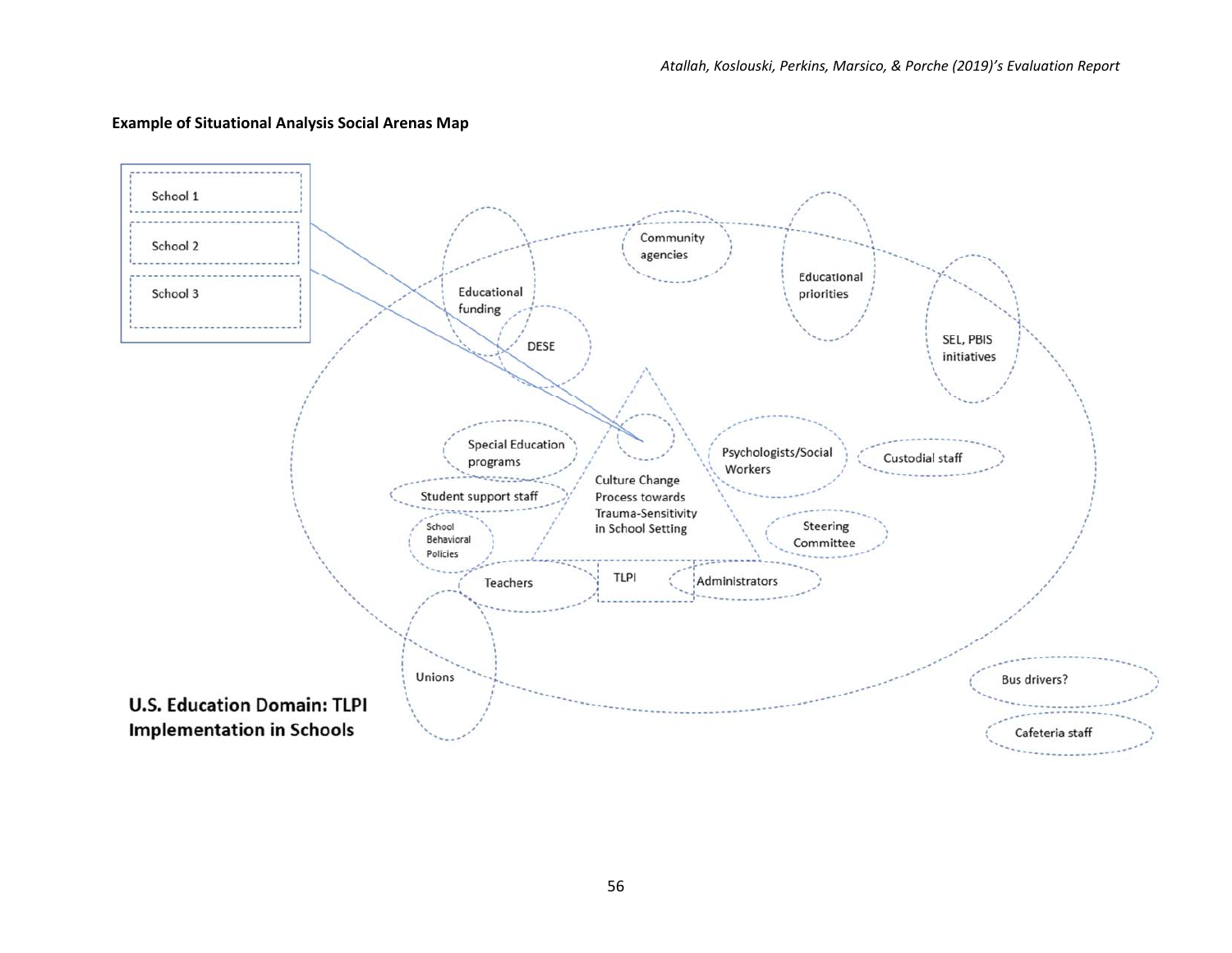

### **Example of Situational Analysis Social Arenas Map**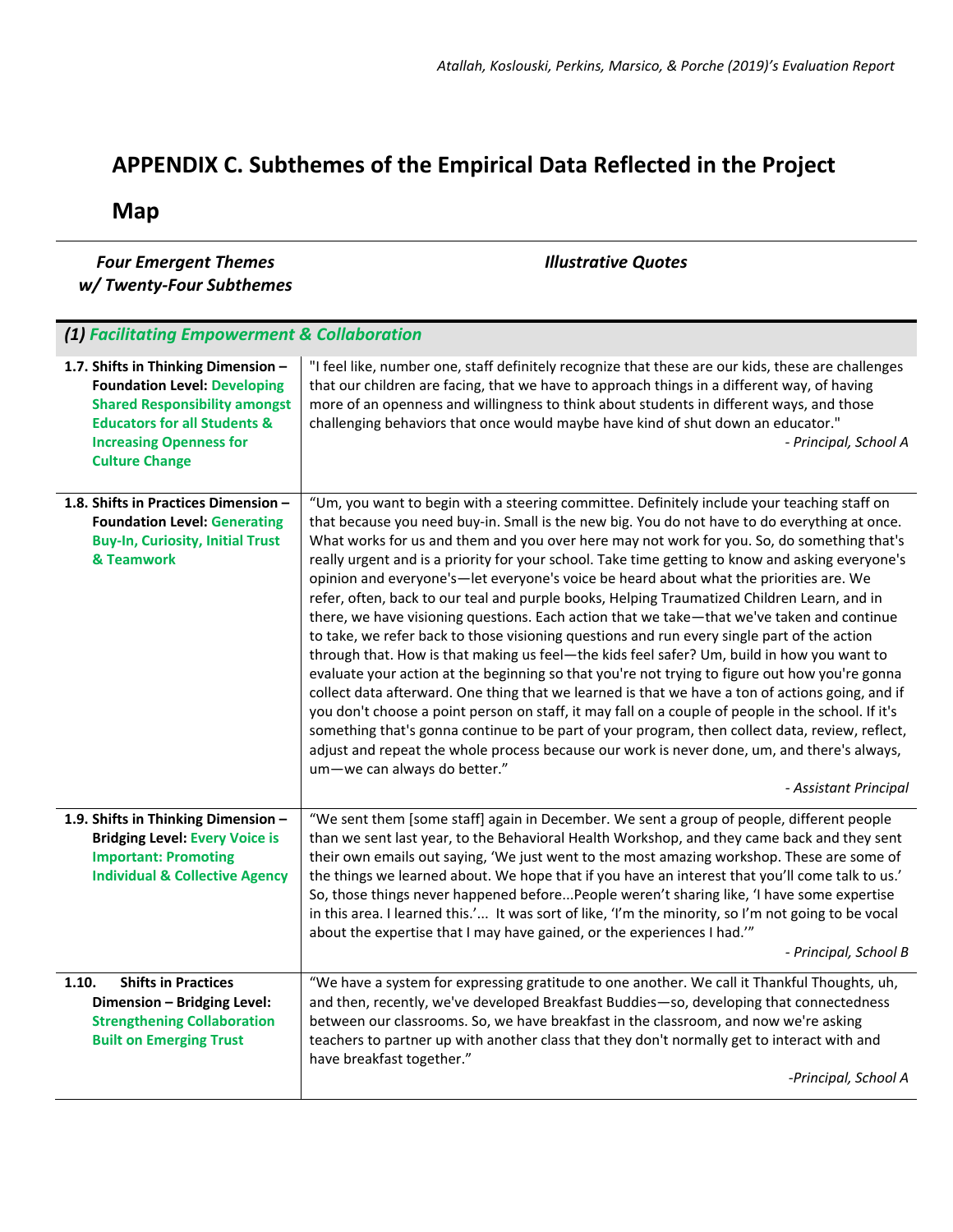## **APPENDIX C. Subthemes of the Empirical Data Reflected in the Project**

**Map** 

| <b>Four Emergent Themes</b><br>w/Twenty-Four Subthemes                                                                                                                                                                   | <b>Illustrative Quotes</b>                                                                                                                                                                                                                                                                                                                                                                                                                                                                                                                                                                                                                                                                                                                                                                                                                                                                                                                                                                                                                                                                                                                                                                                                                                                                                                                                                                                                                                |
|--------------------------------------------------------------------------------------------------------------------------------------------------------------------------------------------------------------------------|-----------------------------------------------------------------------------------------------------------------------------------------------------------------------------------------------------------------------------------------------------------------------------------------------------------------------------------------------------------------------------------------------------------------------------------------------------------------------------------------------------------------------------------------------------------------------------------------------------------------------------------------------------------------------------------------------------------------------------------------------------------------------------------------------------------------------------------------------------------------------------------------------------------------------------------------------------------------------------------------------------------------------------------------------------------------------------------------------------------------------------------------------------------------------------------------------------------------------------------------------------------------------------------------------------------------------------------------------------------------------------------------------------------------------------------------------------------|
|                                                                                                                                                                                                                          |                                                                                                                                                                                                                                                                                                                                                                                                                                                                                                                                                                                                                                                                                                                                                                                                                                                                                                                                                                                                                                                                                                                                                                                                                                                                                                                                                                                                                                                           |
| (1) Facilitating Empowerment & Collaboration                                                                                                                                                                             |                                                                                                                                                                                                                                                                                                                                                                                                                                                                                                                                                                                                                                                                                                                                                                                                                                                                                                                                                                                                                                                                                                                                                                                                                                                                                                                                                                                                                                                           |
| 1.7. Shifts in Thinking Dimension -<br><b>Foundation Level: Developing</b><br><b>Shared Responsibility amongst</b><br><b>Educators for all Students &amp;</b><br><b>Increasing Openness for</b><br><b>Culture Change</b> | "I feel like, number one, staff definitely recognize that these are our kids, these are challenges<br>that our children are facing, that we have to approach things in a different way, of having<br>more of an openness and willingness to think about students in different ways, and those<br>challenging behaviors that once would maybe have kind of shut down an educator."<br>- Principal, School A                                                                                                                                                                                                                                                                                                                                                                                                                                                                                                                                                                                                                                                                                                                                                                                                                                                                                                                                                                                                                                                |
| 1.8. Shifts in Practices Dimension -<br><b>Foundation Level: Generating</b><br><b>Buy-In, Curiosity, Initial Trust</b><br>& Teamwork                                                                                     | "Um, you want to begin with a steering committee. Definitely include your teaching staff on<br>that because you need buy-in. Small is the new big. You do not have to do everything at once.<br>What works for us and them and you over here may not work for you. So, do something that's<br>really urgent and is a priority for your school. Take time getting to know and asking everyone's<br>opinion and everyone's—let everyone's voice be heard about what the priorities are. We<br>refer, often, back to our teal and purple books, Helping Traumatized Children Learn, and in<br>there, we have visioning questions. Each action that we take—that we've taken and continue<br>to take, we refer back to those visioning questions and run every single part of the action<br>through that. How is that making us feel-the kids feel safer? Um, build in how you want to<br>evaluate your action at the beginning so that you're not trying to figure out how you're gonna<br>collect data afterward. One thing that we learned is that we have a ton of actions going, and if<br>you don't choose a point person on staff, it may fall on a couple of people in the school. If it's<br>something that's gonna continue to be part of your program, then collect data, review, reflect,<br>adjust and repeat the whole process because our work is never done, um, and there's always,<br>um-we can always do better."<br>- Assistant Principal |
| 1.9. Shifts in Thinking Dimension -<br><b>Bridging Level: Every Voice is</b><br><b>Important: Promoting</b><br><b>Individual &amp; Collective Agency</b>                                                                 | "We sent them [some staff] again in December. We sent a group of people, different people<br>than we sent last year, to the Behavioral Health Workshop, and they came back and they sent<br>their own emails out saying, 'We just went to the most amazing workshop. These are some of<br>the things we learned about. We hope that if you have an interest that you'll come talk to us.'<br>So, those things never happened beforePeople weren't sharing like, 'I have some expertise<br>in this area. I learned this.' It was sort of like, 'I'm the minority, so I'm not going to be vocal<br>about the expertise that I may have gained, or the experiences I had."<br>- Principal, School B                                                                                                                                                                                                                                                                                                                                                                                                                                                                                                                                                                                                                                                                                                                                                          |
| <b>Shifts in Practices</b><br>1.10.                                                                                                                                                                                      | "We have a system for expressing gratitude to one another. We call it Thankful Thoughts, uh,                                                                                                                                                                                                                                                                                                                                                                                                                                                                                                                                                                                                                                                                                                                                                                                                                                                                                                                                                                                                                                                                                                                                                                                                                                                                                                                                                              |
| Dimension - Bridging Level:<br><b>Strengthening Collaboration</b><br><b>Built on Emerging Trust</b>                                                                                                                      | and then, recently, we've developed Breakfast Buddies-so, developing that connectedness<br>between our classrooms. So, we have breakfast in the classroom, and now we're asking<br>teachers to partner up with another class that they don't normally get to interact with and<br>have breakfast together."                                                                                                                                                                                                                                                                                                                                                                                                                                                                                                                                                                                                                                                                                                                                                                                                                                                                                                                                                                                                                                                                                                                                               |
|                                                                                                                                                                                                                          | -Principal, School A                                                                                                                                                                                                                                                                                                                                                                                                                                                                                                                                                                                                                                                                                                                                                                                                                                                                                                                                                                                                                                                                                                                                                                                                                                                                                                                                                                                                                                      |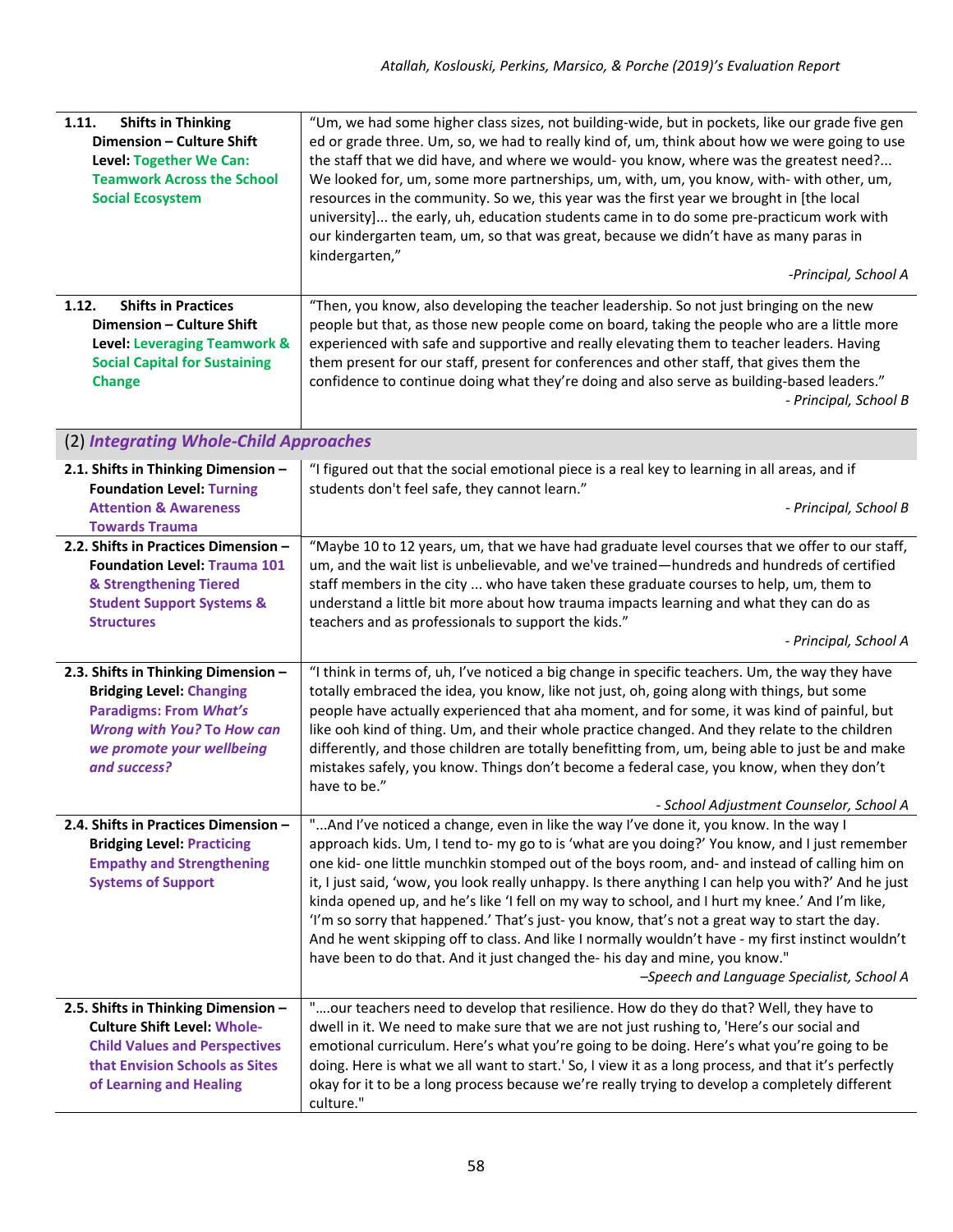| <b>Shifts in Thinking</b><br>1.11.<br>Dimension - Culture Shift<br>Level: Together We Can:<br><b>Teamwork Across the School</b><br><b>Social Ecosystem</b><br><b>Shifts in Practices</b><br>1.12.<br>Dimension - Culture Shift<br>Level: Leveraging Teamwork &<br><b>Social Capital for Sustaining</b> | "Um, we had some higher class sizes, not building-wide, but in pockets, like our grade five gen<br>ed or grade three. Um, so, we had to really kind of, um, think about how we were going to use<br>the staff that we did have, and where we would- you know, where was the greatest need?<br>We looked for, um, some more partnerships, um, with, um, you know, with- with other, um,<br>resources in the community. So we, this year was the first year we brought in [the local<br>university] the early, uh, education students came in to do some pre-practicum work with<br>our kindergarten team, um, so that was great, because we didn't have as many paras in<br>kindergarten,"<br>-Principal, School A<br>"Then, you know, also developing the teacher leadership. So not just bringing on the new<br>people but that, as those new people come on board, taking the people who are a little more<br>experienced with safe and supportive and really elevating them to teacher leaders. Having<br>them present for our staff, present for conferences and other staff, that gives them the |
|--------------------------------------------------------------------------------------------------------------------------------------------------------------------------------------------------------------------------------------------------------------------------------------------------------|-------------------------------------------------------------------------------------------------------------------------------------------------------------------------------------------------------------------------------------------------------------------------------------------------------------------------------------------------------------------------------------------------------------------------------------------------------------------------------------------------------------------------------------------------------------------------------------------------------------------------------------------------------------------------------------------------------------------------------------------------------------------------------------------------------------------------------------------------------------------------------------------------------------------------------------------------------------------------------------------------------------------------------------------------------------------------------------------------------|
| <b>Change</b>                                                                                                                                                                                                                                                                                          | confidence to continue doing what they're doing and also serve as building-based leaders."<br>- Principal, School B                                                                                                                                                                                                                                                                                                                                                                                                                                                                                                                                                                                                                                                                                                                                                                                                                                                                                                                                                                                   |
| (2) Integrating Whole-Child Approaches                                                                                                                                                                                                                                                                 |                                                                                                                                                                                                                                                                                                                                                                                                                                                                                                                                                                                                                                                                                                                                                                                                                                                                                                                                                                                                                                                                                                       |
| 2.1. Shifts in Thinking Dimension -<br><b>Foundation Level: Turning</b><br><b>Attention &amp; Awareness</b><br><b>Towards Trauma</b>                                                                                                                                                                   | "I figured out that the social emotional piece is a real key to learning in all areas, and if<br>students don't feel safe, they cannot learn."<br>- Principal, School B                                                                                                                                                                                                                                                                                                                                                                                                                                                                                                                                                                                                                                                                                                                                                                                                                                                                                                                               |
| 2.2. Shifts in Practices Dimension -<br><b>Foundation Level: Trauma 101</b><br>& Strengthening Tiered<br><b>Student Support Systems &amp;</b><br><b>Structures</b>                                                                                                                                     | "Maybe 10 to 12 years, um, that we have had graduate level courses that we offer to our staff,<br>um, and the wait list is unbelievable, and we've trained—hundreds and hundreds of certified<br>staff members in the city  who have taken these graduate courses to help, um, them to<br>understand a little bit more about how trauma impacts learning and what they can do as<br>teachers and as professionals to support the kids."<br>- Principal, School A                                                                                                                                                                                                                                                                                                                                                                                                                                                                                                                                                                                                                                      |
| 2.3. Shifts in Thinking Dimension -<br><b>Bridging Level: Changing</b><br><b>Paradigms: From What's</b><br><b>Wrong with You? To How can</b><br>we promote your wellbeing<br>and success?                                                                                                              | "I think in terms of, uh, I've noticed a big change in specific teachers. Um, the way they have<br>totally embraced the idea, you know, like not just, oh, going along with things, but some<br>people have actually experienced that aha moment, and for some, it was kind of painful, but<br>like ooh kind of thing. Um, and their whole practice changed. And they relate to the children<br>differently, and those children are totally benefitting from, um, being able to just be and make<br>mistakes safely, you know. Things don't become a federal case, you know, when they don't<br>have to be."<br>- School Adjustment Counselor, School A                                                                                                                                                                                                                                                                                                                                                                                                                                               |
| 2.4. Shifts in Practices Dimension -<br><b>Bridging Level: Practicing</b><br><b>Empathy and Strengthening</b><br><b>Systems of Support</b>                                                                                                                                                             | " And I've noticed a change, even in like the way I've done it, you know. In the way I<br>approach kids. Um, I tend to- my go to is 'what are you doing?' You know, and I just remember<br>one kid- one little munchkin stomped out of the boys room, and- and instead of calling him on<br>it, I just said, 'wow, you look really unhappy. Is there anything I can help you with?' And he just<br>kinda opened up, and he's like 'I fell on my way to school, and I hurt my knee.' And I'm like,<br>'I'm so sorry that happened.' That's just-you know, that's not a great way to start the day.<br>And he went skipping off to class. And like I normally wouldn't have - my first instinct wouldn't<br>have been to do that. And it just changed the- his day and mine, you know."<br>-Speech and Language Specialist, School A                                                                                                                                                                                                                                                                    |
| 2.5. Shifts in Thinking Dimension -<br><b>Culture Shift Level: Whole-</b><br><b>Child Values and Perspectives</b><br>that Envision Schools as Sites<br>of Learning and Healing                                                                                                                         | "our teachers need to develop that resilience. How do they do that? Well, they have to<br>dwell in it. We need to make sure that we are not just rushing to, 'Here's our social and<br>emotional curriculum. Here's what you're going to be doing. Here's what you're going to be<br>doing. Here is what we all want to start.' So, I view it as a long process, and that it's perfectly<br>okay for it to be a long process because we're really trying to develop a completely different<br>culture."                                                                                                                                                                                                                                                                                                                                                                                                                                                                                                                                                                                               |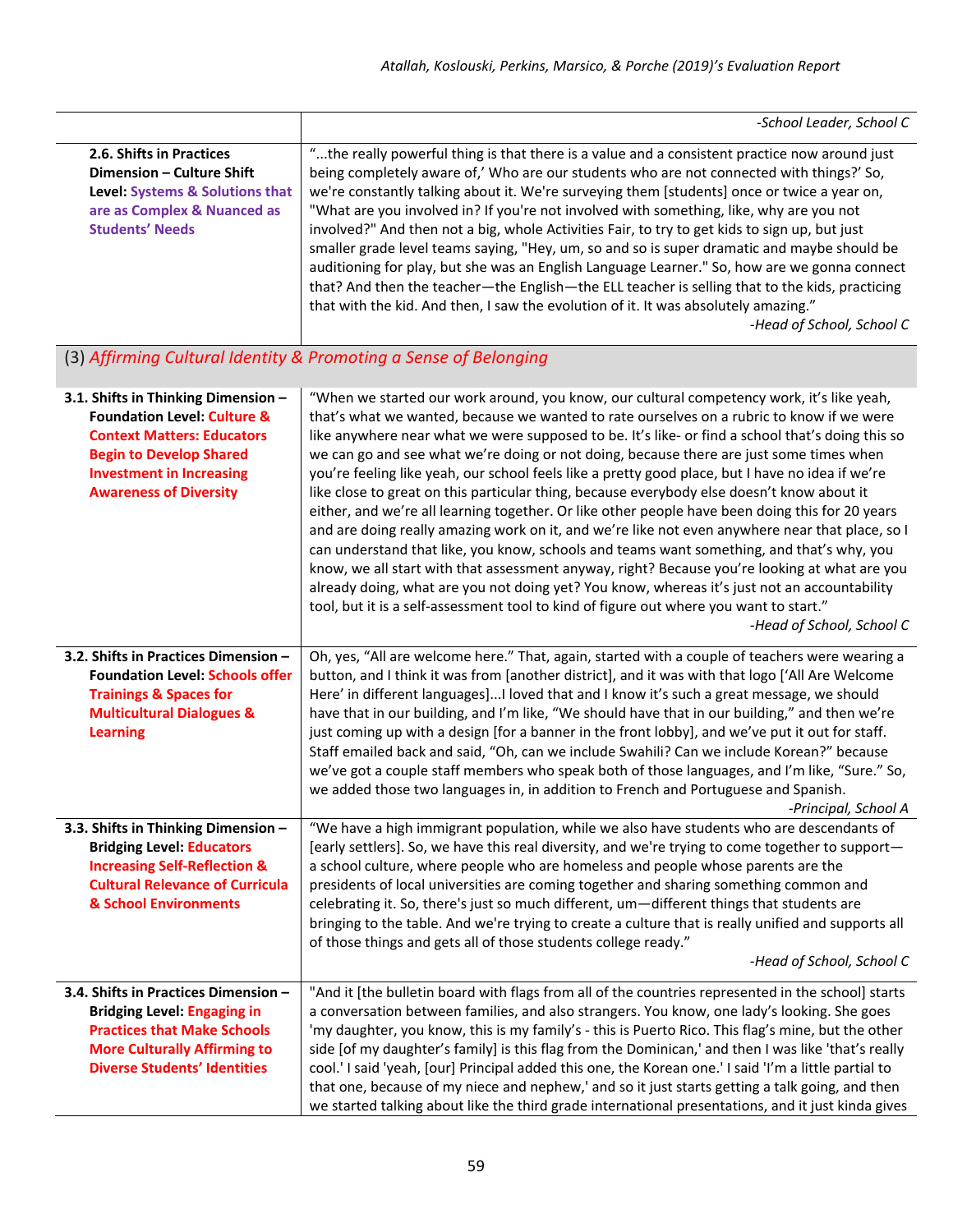|                                                                                                                                                                                                                          | -School Leader, School C                                                                                                                                                                                                                                                                                                                                                                                                                                                                                                                                                                                                                                                                                                                                                                                                                                                                                                                                                                                                                                                                                                                                                                                           |
|--------------------------------------------------------------------------------------------------------------------------------------------------------------------------------------------------------------------------|--------------------------------------------------------------------------------------------------------------------------------------------------------------------------------------------------------------------------------------------------------------------------------------------------------------------------------------------------------------------------------------------------------------------------------------------------------------------------------------------------------------------------------------------------------------------------------------------------------------------------------------------------------------------------------------------------------------------------------------------------------------------------------------------------------------------------------------------------------------------------------------------------------------------------------------------------------------------------------------------------------------------------------------------------------------------------------------------------------------------------------------------------------------------------------------------------------------------|
| 2.6. Shifts in Practices<br>Dimension - Culture Shift<br>Level: Systems & Solutions that<br>are as Complex & Nuanced as<br><b>Students' Needs</b>                                                                        | "the really powerful thing is that there is a value and a consistent practice now around just<br>being completely aware of,' Who are our students who are not connected with things?' So,<br>we're constantly talking about it. We're surveying them [students] once or twice a year on,<br>"What are you involved in? If you're not involved with something, like, why are you not<br>involved?" And then not a big, whole Activities Fair, to try to get kids to sign up, but just<br>smaller grade level teams saying, "Hey, um, so and so is super dramatic and maybe should be<br>auditioning for play, but she was an English Language Learner." So, how are we gonna connect<br>that? And then the teacher-the English-the ELL teacher is selling that to the kids, practicing<br>that with the kid. And then, I saw the evolution of it. It was absolutely amazing."<br>-Head of School, School C                                                                                                                                                                                                                                                                                                          |
|                                                                                                                                                                                                                          | (3) Affirming Cultural Identity & Promoting a Sense of Belonging                                                                                                                                                                                                                                                                                                                                                                                                                                                                                                                                                                                                                                                                                                                                                                                                                                                                                                                                                                                                                                                                                                                                                   |
| 3.1. Shifts in Thinking Dimension -<br><b>Foundation Level: Culture &amp;</b><br><b>Context Matters: Educators</b><br><b>Begin to Develop Shared</b><br><b>Investment in Increasing</b><br><b>Awareness of Diversity</b> | "When we started our work around, you know, our cultural competency work, it's like yeah,<br>that's what we wanted, because we wanted to rate ourselves on a rubric to know if we were<br>like anywhere near what we were supposed to be. It's like- or find a school that's doing this so<br>we can go and see what we're doing or not doing, because there are just some times when<br>you're feeling like yeah, our school feels like a pretty good place, but I have no idea if we're<br>like close to great on this particular thing, because everybody else doesn't know about it<br>either, and we're all learning together. Or like other people have been doing this for 20 years<br>and are doing really amazing work on it, and we're like not even anywhere near that place, so I<br>can understand that like, you know, schools and teams want something, and that's why, you<br>know, we all start with that assessment anyway, right? Because you're looking at what are you<br>already doing, what are you not doing yet? You know, whereas it's just not an accountability<br>tool, but it is a self-assessment tool to kind of figure out where you want to start."<br>-Head of School, School C |
| 3.2. Shifts in Practices Dimension -<br><b>Foundation Level: Schools offer</b><br><b>Trainings &amp; Spaces for</b><br><b>Multicultural Dialogues &amp;</b><br><b>Learning</b>                                           | Oh, yes, "All are welcome here." That, again, started with a couple of teachers were wearing a<br>button, and I think it was from [another district], and it was with that logo ['All Are Welcome<br>Here' in different languages]I loved that and I know it's such a great message, we should<br>have that in our building, and I'm like, "We should have that in our building," and then we're<br>just coming up with a design [for a banner in the front lobby], and we've put it out for staff.<br>Staff emailed back and said, "Oh, can we include Swahili? Can we include Korean?" because<br>we've got a couple staff members who speak both of those languages, and I'm like, "Sure." So,<br>we added those two languages in, in addition to French and Portuguese and Spanish.<br>-Principal, School A                                                                                                                                                                                                                                                                                                                                                                                                    |
| 3.3. Shifts in Thinking Dimension -<br><b>Bridging Level: Educators</b><br><b>Increasing Self-Reflection &amp;</b><br><b>Cultural Relevance of Curricula</b><br>& School Environments                                    | "We have a high immigrant population, while we also have students who are descendants of<br>[early settlers]. So, we have this real diversity, and we're trying to come together to support-<br>a school culture, where people who are homeless and people whose parents are the<br>presidents of local universities are coming together and sharing something common and<br>celebrating it. So, there's just so much different, um-different things that students are<br>bringing to the table. And we're trying to create a culture that is really unified and supports all<br>of those things and gets all of those students college ready."<br>-Head of School, School C                                                                                                                                                                                                                                                                                                                                                                                                                                                                                                                                       |
| 3.4. Shifts in Practices Dimension -<br><b>Bridging Level: Engaging in</b><br><b>Practices that Make Schools</b><br><b>More Culturally Affirming to</b><br><b>Diverse Students' Identities</b>                           | "And it [the bulletin board with flags from all of the countries represented in the school] starts<br>a conversation between families, and also strangers. You know, one lady's looking. She goes<br>'my daughter, you know, this is my family's - this is Puerto Rico. This flag's mine, but the other<br>side [of my daughter's family] is this flag from the Dominican,' and then I was like 'that's really<br>cool.' I said 'yeah, [our] Principal added this one, the Korean one.' I said 'I'm a little partial to<br>that one, because of my niece and nephew,' and so it just starts getting a talk going, and then<br>we started talking about like the third grade international presentations, and it just kinda gives                                                                                                                                                                                                                                                                                                                                                                                                                                                                                   |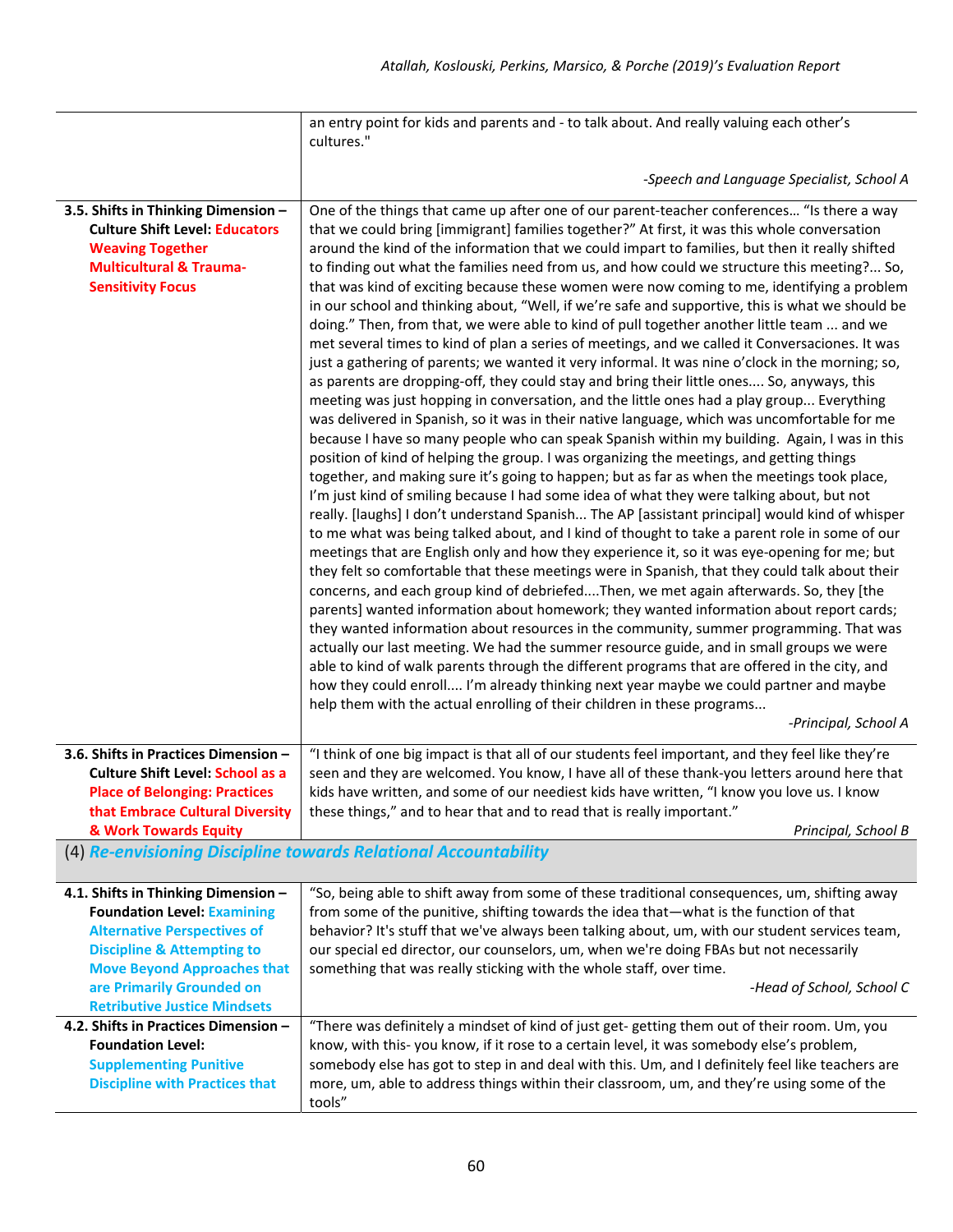|                                                                                                                                                                           | an entry point for kids and parents and - to talk about. And really valuing each other's                                                                                                                                                                                                                                                                                                                                                                                                                                                                                                                                                                                                                                                                                                                                                                                                                                                                                                                                                                                                                                                                                                                                                                                                                                                                                                                                                                                                                                                                                                                                                                                                                                                                                                                                                                                                                                                                                                                                                                                                                                                                                                                                                                                                                                                                                                                                                                                                                                                                                                                                                                            |  |
|---------------------------------------------------------------------------------------------------------------------------------------------------------------------------|---------------------------------------------------------------------------------------------------------------------------------------------------------------------------------------------------------------------------------------------------------------------------------------------------------------------------------------------------------------------------------------------------------------------------------------------------------------------------------------------------------------------------------------------------------------------------------------------------------------------------------------------------------------------------------------------------------------------------------------------------------------------------------------------------------------------------------------------------------------------------------------------------------------------------------------------------------------------------------------------------------------------------------------------------------------------------------------------------------------------------------------------------------------------------------------------------------------------------------------------------------------------------------------------------------------------------------------------------------------------------------------------------------------------------------------------------------------------------------------------------------------------------------------------------------------------------------------------------------------------------------------------------------------------------------------------------------------------------------------------------------------------------------------------------------------------------------------------------------------------------------------------------------------------------------------------------------------------------------------------------------------------------------------------------------------------------------------------------------------------------------------------------------------------------------------------------------------------------------------------------------------------------------------------------------------------------------------------------------------------------------------------------------------------------------------------------------------------------------------------------------------------------------------------------------------------------------------------------------------------------------------------------------------------|--|
|                                                                                                                                                                           | cultures."                                                                                                                                                                                                                                                                                                                                                                                                                                                                                                                                                                                                                                                                                                                                                                                                                                                                                                                                                                                                                                                                                                                                                                                                                                                                                                                                                                                                                                                                                                                                                                                                                                                                                                                                                                                                                                                                                                                                                                                                                                                                                                                                                                                                                                                                                                                                                                                                                                                                                                                                                                                                                                                          |  |
|                                                                                                                                                                           | -Speech and Language Specialist, School A                                                                                                                                                                                                                                                                                                                                                                                                                                                                                                                                                                                                                                                                                                                                                                                                                                                                                                                                                                                                                                                                                                                                                                                                                                                                                                                                                                                                                                                                                                                                                                                                                                                                                                                                                                                                                                                                                                                                                                                                                                                                                                                                                                                                                                                                                                                                                                                                                                                                                                                                                                                                                           |  |
| 3.5. Shifts in Thinking Dimension -<br><b>Culture Shift Level: Educators</b><br><b>Weaving Together</b><br><b>Multicultural &amp; Trauma-</b><br><b>Sensitivity Focus</b> | One of the things that came up after one of our parent-teacher conferences "Is there a way<br>that we could bring [immigrant] families together?" At first, it was this whole conversation<br>around the kind of the information that we could impart to families, but then it really shifted<br>to finding out what the families need from us, and how could we structure this meeting? So,<br>that was kind of exciting because these women were now coming to me, identifying a problem<br>in our school and thinking about, "Well, if we're safe and supportive, this is what we should be<br>doing." Then, from that, we were able to kind of pull together another little team  and we<br>met several times to kind of plan a series of meetings, and we called it Conversaciones. It was<br>just a gathering of parents; we wanted it very informal. It was nine o'clock in the morning; so,<br>as parents are dropping-off, they could stay and bring their little ones So, anyways, this<br>meeting was just hopping in conversation, and the little ones had a play group Everything<br>was delivered in Spanish, so it was in their native language, which was uncomfortable for me<br>because I have so many people who can speak Spanish within my building. Again, I was in this<br>position of kind of helping the group. I was organizing the meetings, and getting things<br>together, and making sure it's going to happen; but as far as when the meetings took place,<br>I'm just kind of smiling because I had some idea of what they were talking about, but not<br>really. [laughs] I don't understand Spanish The AP [assistant principal] would kind of whisper<br>to me what was being talked about, and I kind of thought to take a parent role in some of our<br>meetings that are English only and how they experience it, so it was eye-opening for me; but<br>they felt so comfortable that these meetings were in Spanish, that they could talk about their<br>concerns, and each group kind of debriefedThen, we met again afterwards. So, they [the<br>parents] wanted information about homework; they wanted information about report cards;<br>they wanted information about resources in the community, summer programming. That was<br>actually our last meeting. We had the summer resource guide, and in small groups we were<br>able to kind of walk parents through the different programs that are offered in the city, and<br>how they could enroll I'm already thinking next year maybe we could partner and maybe<br>help them with the actual enrolling of their children in these programs<br>-Principal, School A |  |
| 3.6. Shifts in Practices Dimension -<br><b>Culture Shift Level: School as a</b><br><b>Place of Belonging: Practices</b><br>that Embrace Cultural Diversity                | "I think of one big impact is that all of our students feel important, and they feel like they're<br>seen and they are welcomed. You know, I have all of these thank-you letters around here that<br>kids have written, and some of our neediest kids have written, "I know you love us. I know<br>these things," and to hear that and to read that is really important."                                                                                                                                                                                                                                                                                                                                                                                                                                                                                                                                                                                                                                                                                                                                                                                                                                                                                                                                                                                                                                                                                                                                                                                                                                                                                                                                                                                                                                                                                                                                                                                                                                                                                                                                                                                                                                                                                                                                                                                                                                                                                                                                                                                                                                                                                           |  |
| & Work Towards Equity                                                                                                                                                     | Principal, School B                                                                                                                                                                                                                                                                                                                                                                                                                                                                                                                                                                                                                                                                                                                                                                                                                                                                                                                                                                                                                                                                                                                                                                                                                                                                                                                                                                                                                                                                                                                                                                                                                                                                                                                                                                                                                                                                                                                                                                                                                                                                                                                                                                                                                                                                                                                                                                                                                                                                                                                                                                                                                                                 |  |
| (4) Re-envisioning Discipline towards Relational Accountability                                                                                                           |                                                                                                                                                                                                                                                                                                                                                                                                                                                                                                                                                                                                                                                                                                                                                                                                                                                                                                                                                                                                                                                                                                                                                                                                                                                                                                                                                                                                                                                                                                                                                                                                                                                                                                                                                                                                                                                                                                                                                                                                                                                                                                                                                                                                                                                                                                                                                                                                                                                                                                                                                                                                                                                                     |  |
| 4.1. Shifts in Thinking Dimension -                                                                                                                                       | "So, being able to shift away from some of these traditional consequences, um, shifting away                                                                                                                                                                                                                                                                                                                                                                                                                                                                                                                                                                                                                                                                                                                                                                                                                                                                                                                                                                                                                                                                                                                                                                                                                                                                                                                                                                                                                                                                                                                                                                                                                                                                                                                                                                                                                                                                                                                                                                                                                                                                                                                                                                                                                                                                                                                                                                                                                                                                                                                                                                        |  |
| <b>Foundation Level: Examining</b><br><b>Alternative Perspectives of</b>                                                                                                  | from some of the punitive, shifting towards the idea that-what is the function of that<br>behavior? It's stuff that we've always been talking about, um, with our student services team,                                                                                                                                                                                                                                                                                                                                                                                                                                                                                                                                                                                                                                                                                                                                                                                                                                                                                                                                                                                                                                                                                                                                                                                                                                                                                                                                                                                                                                                                                                                                                                                                                                                                                                                                                                                                                                                                                                                                                                                                                                                                                                                                                                                                                                                                                                                                                                                                                                                                            |  |
| <b>Discipline &amp; Attempting to</b>                                                                                                                                     | our special ed director, our counselors, um, when we're doing FBAs but not necessarily                                                                                                                                                                                                                                                                                                                                                                                                                                                                                                                                                                                                                                                                                                                                                                                                                                                                                                                                                                                                                                                                                                                                                                                                                                                                                                                                                                                                                                                                                                                                                                                                                                                                                                                                                                                                                                                                                                                                                                                                                                                                                                                                                                                                                                                                                                                                                                                                                                                                                                                                                                              |  |
| <b>Move Beyond Approaches that</b>                                                                                                                                        | something that was really sticking with the whole staff, over time.                                                                                                                                                                                                                                                                                                                                                                                                                                                                                                                                                                                                                                                                                                                                                                                                                                                                                                                                                                                                                                                                                                                                                                                                                                                                                                                                                                                                                                                                                                                                                                                                                                                                                                                                                                                                                                                                                                                                                                                                                                                                                                                                                                                                                                                                                                                                                                                                                                                                                                                                                                                                 |  |
| are Primarily Grounded on                                                                                                                                                 | -Head of School, School C                                                                                                                                                                                                                                                                                                                                                                                                                                                                                                                                                                                                                                                                                                                                                                                                                                                                                                                                                                                                                                                                                                                                                                                                                                                                                                                                                                                                                                                                                                                                                                                                                                                                                                                                                                                                                                                                                                                                                                                                                                                                                                                                                                                                                                                                                                                                                                                                                                                                                                                                                                                                                                           |  |
| <b>Retributive Justice Mindsets</b><br>4.2. Shifts in Practices Dimension -                                                                                               | "There was definitely a mindset of kind of just get-getting them out of their room. Um, you                                                                                                                                                                                                                                                                                                                                                                                                                                                                                                                                                                                                                                                                                                                                                                                                                                                                                                                                                                                                                                                                                                                                                                                                                                                                                                                                                                                                                                                                                                                                                                                                                                                                                                                                                                                                                                                                                                                                                                                                                                                                                                                                                                                                                                                                                                                                                                                                                                                                                                                                                                         |  |
| <b>Foundation Level:</b>                                                                                                                                                  | know, with this- you know, if it rose to a certain level, it was somebody else's problem,                                                                                                                                                                                                                                                                                                                                                                                                                                                                                                                                                                                                                                                                                                                                                                                                                                                                                                                                                                                                                                                                                                                                                                                                                                                                                                                                                                                                                                                                                                                                                                                                                                                                                                                                                                                                                                                                                                                                                                                                                                                                                                                                                                                                                                                                                                                                                                                                                                                                                                                                                                           |  |
| <b>Supplementing Punitive</b>                                                                                                                                             | somebody else has got to step in and deal with this. Um, and I definitely feel like teachers are                                                                                                                                                                                                                                                                                                                                                                                                                                                                                                                                                                                                                                                                                                                                                                                                                                                                                                                                                                                                                                                                                                                                                                                                                                                                                                                                                                                                                                                                                                                                                                                                                                                                                                                                                                                                                                                                                                                                                                                                                                                                                                                                                                                                                                                                                                                                                                                                                                                                                                                                                                    |  |
| <b>Discipline with Practices that</b>                                                                                                                                     | more, um, able to address things within their classroom, um, and they're using some of the<br>tools"                                                                                                                                                                                                                                                                                                                                                                                                                                                                                                                                                                                                                                                                                                                                                                                                                                                                                                                                                                                                                                                                                                                                                                                                                                                                                                                                                                                                                                                                                                                                                                                                                                                                                                                                                                                                                                                                                                                                                                                                                                                                                                                                                                                                                                                                                                                                                                                                                                                                                                                                                                |  |
|                                                                                                                                                                           |                                                                                                                                                                                                                                                                                                                                                                                                                                                                                                                                                                                                                                                                                                                                                                                                                                                                                                                                                                                                                                                                                                                                                                                                                                                                                                                                                                                                                                                                                                                                                                                                                                                                                                                                                                                                                                                                                                                                                                                                                                                                                                                                                                                                                                                                                                                                                                                                                                                                                                                                                                                                                                                                     |  |